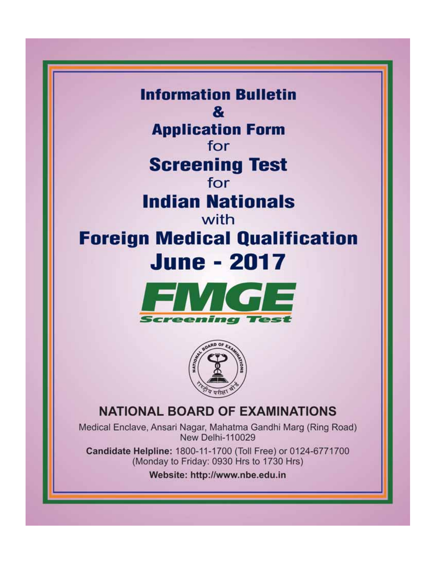





Medical Enclave, Ansari Nagar, Mahatma Gandhi Marg (Ring Road) New Delhi-110029

Candidate Helpline: 1800-11-1700 (Toll Free) or 0124-6771700 (Monday to Friday: 0930 Hrs to 1730 Hrs)

Website: http://www.nbe.edu.in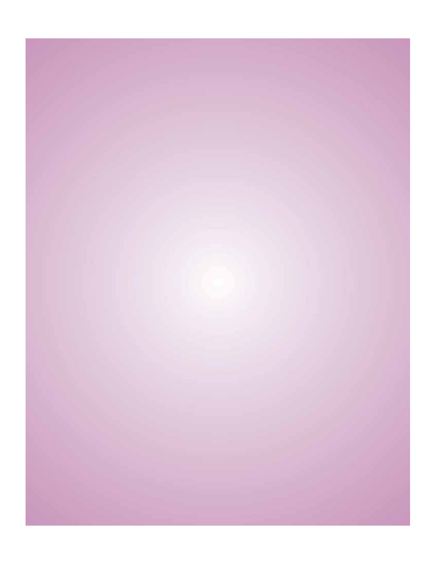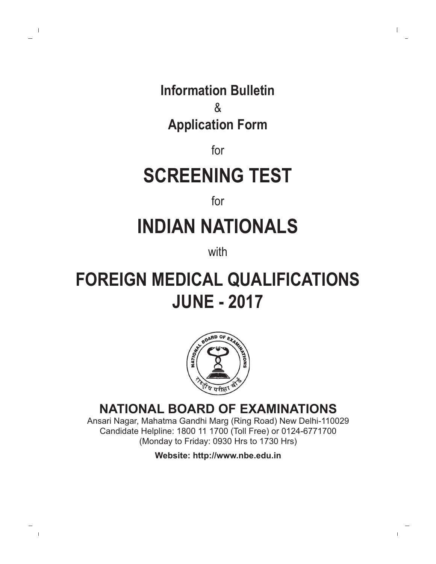**Information Bulletin** & **Application Form**

for

# **SCREENING TEST**

for

# **INDIAN NATIONALS**

with

# **FOREIGN MEDICAL QUALIFICATIONS JUNE - 2017**



### **NATIONAL BOARD OF EXAMINATIONS**

Ansari Nagar, Mahatma Gandhi Marg (Ring Road) New Delhi-110029 Candidate Helpline: 1800 11 1700 (Toll Free) or 0124-6771700 (Monday to Friday: 0930 Hrs to 1730 Hrs)

**Website: http://www.nbe.edu.in**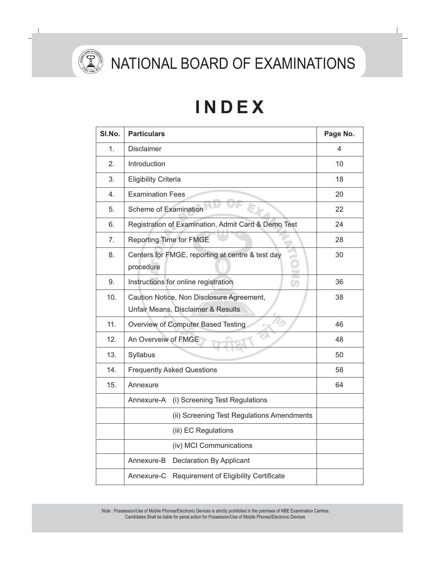

# **INDEX**

| SI.No. | <b>Particulars</b>                                                                  | Page No. |
|--------|-------------------------------------------------------------------------------------|----------|
| 1.     | <b>Disclaimer</b>                                                                   | 4        |
| 2.     | Introduction                                                                        | 10       |
| 3.     | <b>Eligibility Criteria</b>                                                         | 18       |
| 4.     | <b>Examination Fees</b>                                                             | 20       |
| 5.     | Scheme of Examination                                                               | 22       |
| 6.     | Registration of Examination, Admit Card & Demo Test                                 | 24       |
| 7.     | <b>Reporting Time for FMGE</b>                                                      | 28       |
| 8.     | <b>A</b><br>O<br>Centers for FMGE, reporting at centre & test day<br>procedure<br>ž | 30       |
| 9.     | $\overline{U}$<br>Instructions for online registration                              | 36       |
| 10.    | Caution Notice, Non Disclosure Agreement,<br>Unfair Means, Disclaimer & Results     | 38       |
| 11.    | Overview of Computer Based Testing                                                  | 46       |
| 12.    | An Overveiw of FMGE                                                                 | 48       |
| 13.    | Syllabus                                                                            | 50       |
| 14.    | <b>Frequently Asked Questions</b>                                                   | 58       |
| 15.    | Annexure                                                                            | 64       |
|        | (i) Screening Test Regulations<br>Annexure-A                                        |          |
|        | (ii) Screening Test Regulations Amendments                                          |          |
|        | (iii) EC Regulations                                                                |          |
|        | (iv) MCI Communications                                                             |          |
|        | <b>Declaration By Applicant</b><br>Annexure-B                                       |          |
|        | Requirement of Eligibility Certificate<br>Annexure-C                                |          |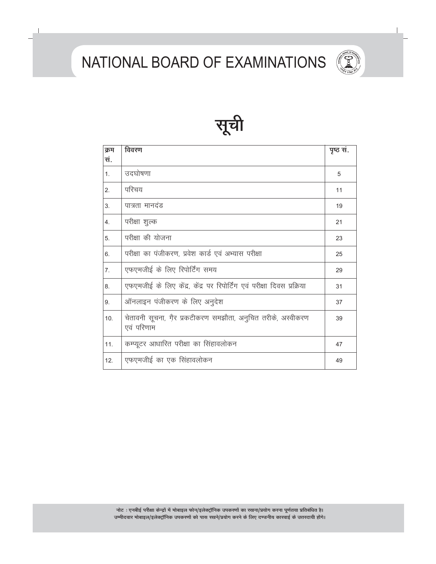

सूची

| क्रम           | विवरण                                                                      | पृष्ठ सं. |
|----------------|----------------------------------------------------------------------------|-----------|
| सं.            |                                                                            |           |
| $\mathbf{1}$ . | उदघोषणा                                                                    | 5         |
| 2.             | परिचय                                                                      | 11        |
| 3.             | पात्रता मानदंड                                                             | 19        |
| 4.             | परीक्षा शुल्क                                                              | 21        |
| 5.             | परीक्षा की योजना                                                           | 23        |
| 6.             | परीक्षा का पंजीकरण, प्रवेश कार्ड एवं अभ्यास परीक्षा                        | 25        |
| 7.             | एफएमजीई के लिए रिपोर्टिंग समय                                              | 29        |
| 8.             | एफएमजीई के लिए केंद्र, केंद्र पर रिपोर्टिंग एवं परीक्षा दिवस प्रक्रिया     | 31        |
| 9.             | ऑनलाइन पंजीकरण के लिए अनुदेश                                               | 37        |
| 10.            | चेतावनी सूचना, ग़ैर प्रकटीकरण समझौता, अनुचित तरीके, अस्वीकरण<br>एवं परिणाम | 39        |
| 11.            | कम्प्यूटर आधारित परीक्षा का सिंहावलोकन                                     | 47        |
| 12.            | एफएमजीई का एक सिंहावलोकन                                                   | 49        |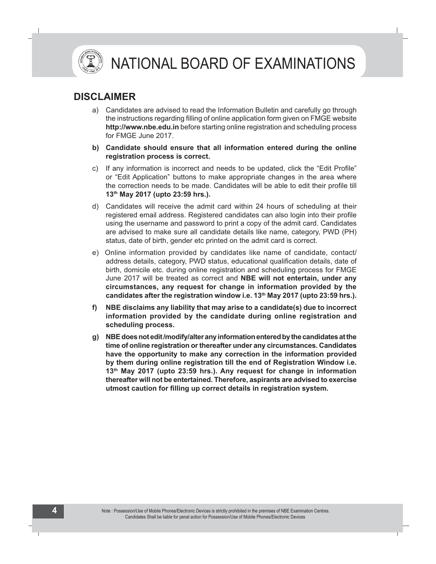

### **DISCLAIMER**

- a) Candidates are advised to read the Information Bulletin and carefully go through the instructions regarding filling of online application form given on FMGE website **http://www.nbe.edu.in** before starting online registration and scheduling process for FMGE June 2017.
- **b) Candidate should ensure that all information entered during the online registration process is correct.**
- c) If any information is incorrect and needs to be updated, click the "Edit Profile" or "Edit Application" buttons to make appropriate changes in the area where the correction needs to be made. Candidates will be able to edit their profile till **13th May 2017 (upto 23:59 hrs.).**
- d) Candidates will receive the admit card within 24 hours of scheduling at their registered email address. Registered candidates can also login into their profile using the username and password to print a copy of the admit card. Candidates are advised to make sure all candidate details like name, category, PWD (PH) status, date of birth, gender etc printed on the admit card is correct.
- e) Online information provided by candidates like name of candidate, contact/ address details, category, PWD status, educational qualification details, date of birth, domicile etc. during online registration and scheduling process for FMGE June 2017 will be treated as correct and **NBE will not entertain, under any circumstances, any request for change in information provided by the candidates after the registration window i.e. 13th May 2017 (upto 23:59 hrs.).**
- **f) NBE disclaims any liability that may arise to a candidate(s) due to incorrect information provided by the candidate during online registration and scheduling process.**
- **g) NBE does not edit /modify/alter any information entered by the candidates at the time of online registration or thereafter under any circumstances. Candidates have the opportunity to make any correction in the information provided by them during online registration till the end of Registration Window i.e. 13th May 2017 (upto 23:59 hrs.). Any request for change in information thereafter will not be entertained. Therefore, aspirants are advised to exercise**  utmost caution for filling up correct details in registration system.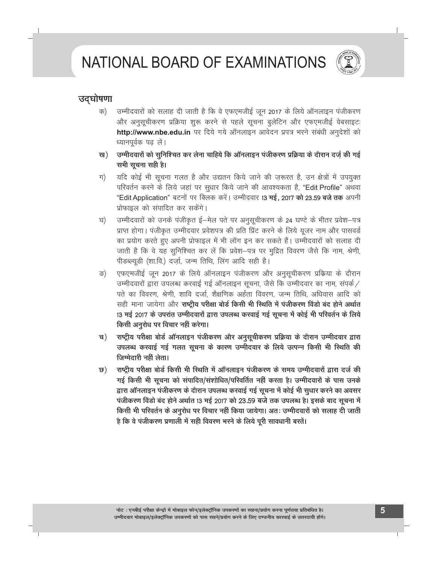

#### उदघोषणा

- उम्मीदवारों को सलाह दी जाती है कि वे एफएमजीई जून 2017 के लिये ऑनलाइन पंजीकरण क) और अनुसूचीकरण प्रक्रिया शुरू करने से पहले सूचना बुलेटिन और एफएमजीई वेबसाइटः http://www.nbe.edu.in पर दिये गये ऑनलाइन आवेदन प्रपत्र भरने संबंधी अनुदेशों को ध्यानपूर्वक पढ़ लें।
- उम्मीदवारों को सुनिश्चित कर लेना चाहिये कि ऑनलाइन पंजीकरण प्रक्रिया के दौरान दर्ज की गई ख ) सभी सूचना सही है।
- यदि कोई भी सूचना गलत है और उद्यतन किये जाने की ज़रूरत है, उन क्षेत्रों में उपयुक्त ग) परिवर्तन करने के लिये जहां पर सूधार किये जाने की आवश्यकता है, "Edit Profile" अथवा "Edit Application" बटनों पर क्लिक करें। उम्मीदवार 13 **मई . 2017 को 23.59 बजे तक** अपनी प्रोफाइल को संपादित कर सकेंगे।
- उम्मीदवारों को उनके पंजीकृत ई-मेल पते पर अनुसूचीकरण के 24 घण्टे के भीतर प्रवेश-पत्र घ) प्राप्त होगा। पंजीकृत उम्मीदवार प्रवेशपत्र की प्रति प्रिंट करने के लिये यूजर नाम और पासवर्ड का प्रयोग करते हुए अपनी प्रोफाइल में भी लॉग इन कर सकते हैं। उम्मीदवारों को सलाह दी जाती है कि वे यह सुनिश्चित कर लें कि प्रवेश—पत्र पर मुद्रित विवरण जैसे कि नाम, श्रेणी, पीडब्ल्यूडी (शा.वि.) दर्ज़ा, जन्म तिथि, लिंग आदि सही है।
- एफएमजीई जून 2017 के लिये ऑनलाइन पंजीकरण और अनुसूचीकरण प्रकिया के दौरान ङ) उम्मीदवारों द्वारा उपलब्ध करवाई गई ऑनलाइन सूचना, जैसे कि उम्मीदवार का नाम, संपर्क / पते का विवरण, श्रेणी, शावि दर्जा, शैक्षणिक अर्हता विवरण, जन्म तिथि, अधिवास आदि को सही माना जायेगा और **राष्ट्रीय परीक्षा बोर्ड किसी भी रिथति में पंजीकरण विंडो बंद होने अर्थात** 13 मई 2017 के उपरांत उम्मीदवारों द्वारा उपलब्ध करवाई गई सूचना में कोई भी परिवर्तन के लिये किसी अनुरोध पर विचार नहीं करेगा।
- राष्ट्रीय परीक्षा बोर्ड ऑनलाइन पंजीकरण और अनुसूचीकरण प्रक्रिया के दौरान उम्मीदवार द्वारा च) उपलब्ध करवाई गई गलत सूचना के कारण उम्मीदवार के लिये उत्पन्न किसी भी स्थिति की जिम्मेटारी नहीं लेता।
- राष्टीय परीक्षा बोर्ड किसी भी रिथति में ऑनलाइन पंजीकरण के समय उम्मीदवारों द्वारा दर्ज की ফ) गई किसी भी सूचना को संपादित/संशोधित/परिवर्तित नहीं करता है। उम्मीदवारों के पास उनके द्वारा ऑनलाइन पंजीकरण के दौरान उपलब्ध करवाई गई सूचना में कोई भी सुधार करने का अवसर पंजीकरण विंडो बंद होने अर्थात 13 मई 2017 को 23.59 बजे तक उपलब्ध है। इसके बाद सूचना में किसी भी परिवर्तन के अनुरोध पर विचार नहीं किया जायेगा। अतः उम्मीदवारों को सलाह दी जाती है कि वे पंजीकरण प्रणाली में सही विवरण भरने के लिये पूरी सावधानी बरतें।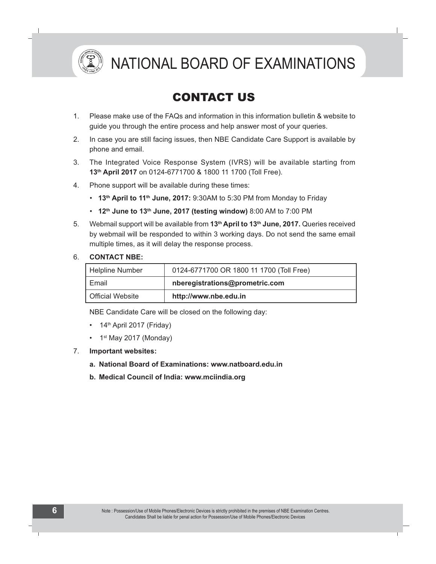

### **CONTACT US** Contact US of the Contact US

- 1. Please make use of the FAQs and information in this information bulletin & website to guide you through the entire process and help answer most of your queries.
- 2. In case you are still facing issues, then NBE Candidate Care Support is available by phone and email.
- 3. The Integrated Voice Response System (IVRS) will be available starting from **13th April 2017** on 0124-6771700 & 1800 11 1700 (Toll Free).
- 4. Phone support will be available during these times:
	- 13<sup>th</sup> April to 11<sup>th</sup> June, 2017: 9:30AM to 5:30 PM from Monday to Friday
	- **12th June to 13th June, 2017 (testing window)** 8:00 AM to 7:00 PM
- 5. Webmail support will be available from **13th April to 13th June, 2017.** Queries received by webmail will be responded to within 3 working days. Do not send the same email multiple times, as it will delay the response process.

#### 6. **CONTACT NBE:**

| <b>Helpline Number</b>  | 0124-6771700 OR 1800 11 1700 (Toll Free) |
|-------------------------|------------------------------------------|
| Email                   | nberegistrations@prometric.com           |
| <b>Official Website</b> | http://www.nbe.edu.in                    |

NBE Candidate Care will be closed on the following day:

- $\cdot$  14<sup>th</sup> April 2017 (Friday)
- $\cdot$  1<sup>st</sup> May 2017 (Monday)
- 7. **Important websites:**
	- **a. National Board of Examinations: www.natboard.edu.in**
	- **b. Medical Council of India: www.mciindia.org**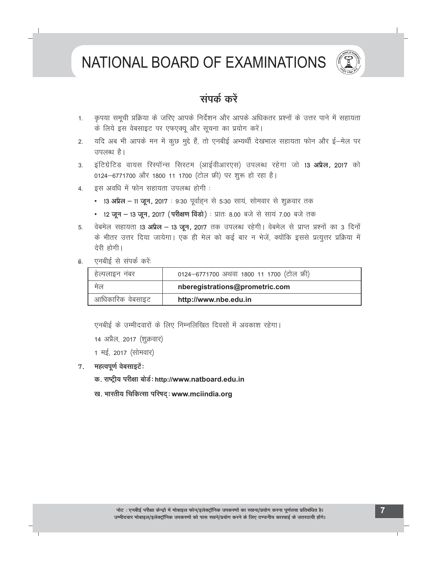

### संपर्क करें

- कृपया समुची प्रक्रिया के जरिए आपके निर्देशन और आपके अधिकतर प्रश्नों के उत्तर पाने में सहायता  $1.$ के लिये इस वेबसाइट पर एफएक्यू और सूचना का प्रयोग करें।
- यदि अब भी आपके मन में कूछ मुद्दे हैं, तो एनबीई अभ्यर्थी देखभाल सहायता फोन और ई-मेल पर  $2.$ उपलब्ध है।
- इंटिग्रेटिड वायस रिस्पॉन्स सिस्टम (आईवीआरएस) उपलब्ध रहेगा जो 13 अप्रैल, 2017 को  $\mathcal{R}$ 0124-6771700 और 1800 11 1700 (टोल फ्री) पर शुरू हो रहा है।
- इस अवधि में फोन सहायता उपलब्ध होगी:  $\overline{4}$ 
	- 13 अप्रैल 11 जून, 2017 : 9:30 पूर्वाहून से 5:30 सायं, सोमवार से शूक्रवार तक
	- 12 जन 13 जन, 2017 (परीक्षण विंडो) : प्रातः 8.00 बजे से सायं 7.00 बजे तक
- वेबमेल सहायता 13 अप्रैल 13 जून, 2017 तक उपलब्ध रहेगी। वेबमेल से प्राप्त प्रश्नों का 3 दिनों  $5<sub>1</sub>$ के भीतर उत्तर दिया जायेगा। एक ही मेल को कई बार न भेजें, क्योंकि इससे प्रत्युत्तर प्रक्रिया में देरी होगी।
- एनबीई से संपर्क करें: 6

| हेल्पलाइन नंबर   | 0124-6771700 अथवा 1800 11 1700 (टोल फ्री) |  |
|------------------|-------------------------------------------|--|
| मेल              | nberegistrations@prometric.com            |  |
| आधिकारिक वेबसाइट | http://www.nbe.edu.in                     |  |

एनबीई के उम्मीदवारों के लिए निम्नलिखित दिवसों में अवकाश रहेगा।

14 अप्रैल, 2017 (शुक्रवार)

1 मई, 2017 (सोमवार)

7. महत्वपूर्ण वेबसाइटें:

क. राष्ट्रीय परीक्षा बोर्ड: http://www.natboard.edu.in

ख. भारतीय चिकित्सा परिषद्: www.mciindia.org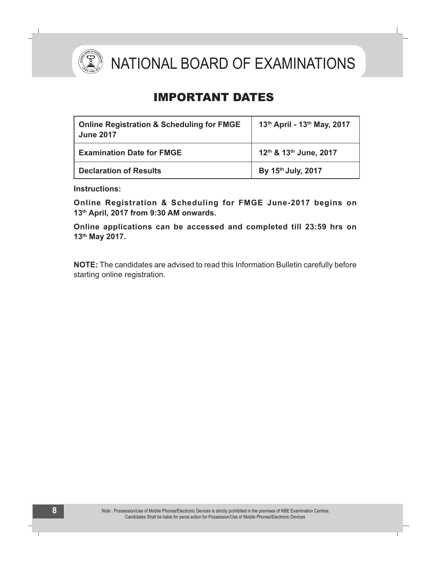

### **IMPORTANT DATES** IMPORTANT DATES

| <b>Online Registration &amp; Scheduling for FMGE</b><br><b>June 2017</b> | 13th April - 13th May, 2017 |
|--------------------------------------------------------------------------|-----------------------------|
| <b>Examination Date for FMGE</b>                                         | 12th & 13th June, 2017      |
| <b>Declaration of Results</b>                                            | By 15th July, 2017          |

**Instructions:**

**Online Registration & Scheduling for FMGE June-2017 begins on 13th April, 2017 from 9:30 AM onwards.**

**Online applications can be accessed and completed till 23:59 hrs on 13th May 2017.**

**NOTE:** The candidates are advised to read this Information Bulletin carefully before starting online registration.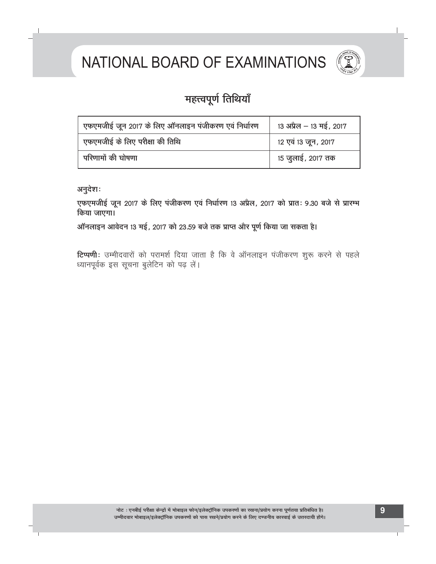

### महत्त्वपूर्ण तिथियाँ

| एफएमजीई जून 2017 के लिए ऑनलाइन पंजीकरण एवं निर्धारण | 13 अप्रैल – 13 मई, 2017 |
|-----------------------------------------------------|-------------------------|
| एफएमजीई के लिए परीक्षा की तिथि                      | 12 एवं 13 जून, 2017     |
| परिणामों की घोषणा                                   | 15 जुलाई, 2017 तक       |

अनुदेशः

एफएमजीई जून 2017 के लिए पंजीकरण एवं निर्धारण 13 अप्रैल, 2017 को प्रातः 9.30 बजे से प्रारम्भ किया जाएगा।

ऑनलाइन आवेदन 13 मई, 2017 को 23.59 बजे तक प्राप्त और पूर्ण किया जा सकता है।

**टिप्पणी**: उम्मीदवारों को परामर्श दिया जाता है कि वे ऑनलाइन पंजीकरण शुरू करने से पहले ध्यानपूर्वक इस सूचना बुलेटिन को पढ़ लें।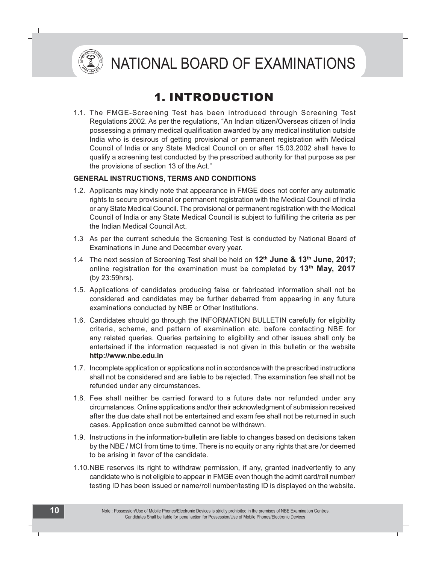

### **1. INTRODUCTION**

1.1. The FMGE-Screening Test has been introduced through Screening Test Regulations 2002. As per the regulations, "An Indian citizen/Overseas citizen of India possessing a primary medical qualification awarded by any medical institution outside India who is desirous of getting provisional or permanent registration with Medical Council of India or any State Medical Council on or after 15.03.2002 shall have to qualify a screening test conducted by the prescribed authority for that purpose as per the provisions of section 13 of the Act."

#### **GENERAL INSTRUCTIONS, TERMS AND CONDITIONS**

- 1.2. Applicants may kindly note that appearance in FMGE does not confer any automatic rights to secure provisional or permanent registration with the Medical Council of India or any State Medical Council. The provisional or permanent registration with the Medical Council of India or any State Medical Council is subject to fulfilling the criteria as per the Indian Medical Council Act.
- 1.3 As per the current schedule the Screening Test is conducted by National Board of Examinations in June and December every year.
- 1.4 The next session of Screening Test shall be held on **12th June & 13th June, 2017**; online registration for the examination must be completed by **13th May, 2017** (by 23:59hrs).
- 1.5. Applications of candidates producing false or fabricated information shall not be considered and candidates may be further debarred from appearing in any future examinations conducted by NBE or Other Institutions.
- 1.6. Candidates should go through the INFORMATION BULLETIN carefully for eligibility criteria, scheme, and pattern of examination etc. before contacting NBE for any related queries. Queries pertaining to eligibility and other issues shall only be entertained if the information requested is not given in this bulletin or the website **http://www.nbe.edu.in**
- 1.7. Incomplete application or applications not in accordance with the prescribed instructions shall not be considered and are liable to be rejected. The examination fee shall not be refunded under any circumstances.
- 1.8. Fee shall neither be carried forward to a future date nor refunded under any circumstances. Online applications and/or their acknowledgment of submission received after the due date shall not be entertained and exam fee shall not be returned in such cases. Application once submitted cannot be withdrawn.
- 1.9. Instructions in the information-bulletin are liable to changes based on decisions taken by the NBE / MCI from time to time. There is no equity or any rights that are /or deemed to be arising in favor of the candidate.
- 1.10.NBE reserves its right to withdraw permission, if any, granted inadvertently to any candidate who is not eligible to appear in FMGE even though the admit card/roll number/ testing ID has been issued or name/roll number/testing ID is displayed on the website.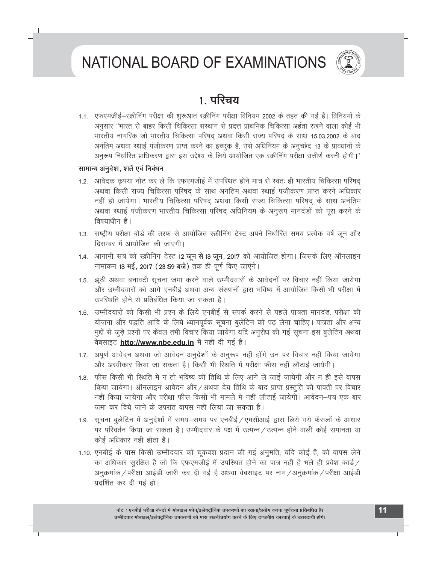

### 1. परिचय

1.1. एफएमजीई–स्क्रीनिंग परीक्षा की शुरूआत स्क्रीनिंग परीक्षा विनियम 2002 के तहत की गई है। विनियमों के अनसार ''भारत से बाहर किसी चिकित्सा संस्थान से प्रदत्त प्राथमिक चिकित्सा अर्हता रखने वाला कोई भी भारतीय नागरिक जो भारतीय चिकित्सा परिषद अथवा किसी राज्य परिषद के साथ 15.03.2002 के बाद अनंतिम अथवा स्थाई पंजीकरण प्राप्त करने का इच्छुक है, उसे अधिनियम के अनुच्छेद 13 के प्रावधानों के अनुरूप निर्धारित प्राधिकरण द्वारा इस उद्देश्य के लिये आयोजित एक स्क्रीनिंग परीक्षा उत्तीर्ण करनी होगी।''

#### सामान्य अनुदेश, शर्तें एवं निबंधन

- 1.2. आवेदक कृपया नोट कर लें कि एफएमजीई में उपस्थित होने मात्र से स्वतः ही भारतीय चिकित्सा परिषद अथवा किसी राज्य चिकित्सा परिषद के साथ अनंतिम अथवा स्थाई पंजीकरण प्राप्त करने अधिकार नहीं हो जायेगा। भारतीय चिकित्सा परिषद अथवा किसी राज्य चिकित्सा परिषद के साथ अनंतिम अथवा स्थाई पंजीकरण भारतीय चिकित्सा परिषद् अधिनियम के अनुरूप मानदंडों को पूरा करने के विषयाधीन है।
- 1.3. राष्ट्रीय परीक्षा बोर्ड की तरफ से आयोजित स्क्रीनिंग टेस्ट अपने निर्धारित समय प्रत्येक वर्ष जून और दिसम्बर में आयोजित की जाएगी।
- 1.4. आगामी सत्र को स्क्रीनिंग टेस्ट 12 **जून से 13 जून, 2017** को आयोजित होगा। जिसके लिए ऑनलाइन नामांकन 13 मई, 2017 (23:59 बजे) तक ही पूर्ण किए जाएंगे।
- 1.5. झुठी अथवा बनावटी सूचना जमा करने वाले उम्मीदवारों के आवेदनों पर विचार नहीं किया जायेगा और उम्मीदवारों को आगे एनबीई अथवा अन्य संस्थानों द्वारा भविष्य में आयोजित किसी भी परीक्षा में उपस्थिति होने से प्रतिबंधित किया जा सकता है।
- 1.6. उम्मीदवारों को किसी भी प्रश्न के लिये एनबीई से संपर्क करने से पहले पात्रता मानदंड, परीक्षा की योजना और पद्धति आदि के लिये ध्यानपूर्वक सूचना बुलेटिन को पढ़ लेना चाहिए। पात्रता और अन्य मुद्दों से जुड़े प्रश्नों पर केवल तभी विचार किया जायेगा यदि अनुरोध की गई सूचना इस बुलेटिन अथवा वेबसाइट <u>http://www.nbe.edu.in</u> में नहीं दी गई है।
- 1.7. अपूर्ण आवेदन अथवा जो आवेदन अनुदेशों के अनुरूप नहीं होंगे उन पर विचार नहीं किया जायेगा और अस्वीकार किया जा सकता है। किसी भी स्थिति में परीक्षा फीस नहीं लौटाई जायेगी।
- 1.8. फीस किसी भी स्थिति में न तो भविष्य की तिथि के लिए आगे ले जाई जायेगी और न ही इसे वापस किया जायेगा। ऑनलाइन आवेदन और ⁄ अथवा देय तिथि के बाद प्राप्त प्रस्तुति की पावती पर विचार नहीं किया जायेगा और परीक्षा फीस किसी भी मामले में नहीं लौटाई जायेगी। आवेदन-पत्र एक बार जमा कर दिये जाने के उपरांत वापस नहीं लिया जा सकता है।
- 1.9. सूचना बुलेटिन में अनुदेशों में समय-समय पर एनबीई /एमसीआई द्वारा लिये गये फ़ैसलों के आधार पर परिवर्तन किया जा सकता है। उम्मीदवार के पक्ष में उत्पन्न / उत्पन्न होने वाली कोई समानता या कोई अधिकार नहीं होता है।
- 1.10. एनबीई के पास किसी उम्मीदवार को चूकवश प्रदान की गई अनुमति, यदि कोई है, को वापस लेने का अधिकार सुरक्षित है जो कि एफएमजीई में उपस्थित होने का पात्र नहीं है भले ही प्रवेश कार्ड/ अनुक्रमांक / परीक्षा आईडी जारी कर दी गई है अथवा वेबसाइट पर नाम / अनुक्रमांक / परीक्षा आईडी प्रदर्शित कर दी गई हो।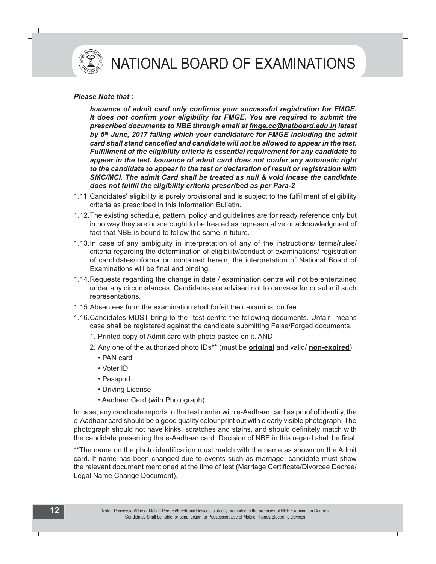

#### *Please Note that :*

Issuance of admit card only confirms your successful registration for FMGE. It does not confirm your eligibility for FMGE. You are reguired to submit the *SUHVFULEHGGRFXPHQWVWR1%(WKURXJKHPDLODWIPJHFF#QDWERDUGHGXLQ latest*  by 5<sup>th</sup> June, 2017 failing which your candidature for FMGE including the admit card shall stand cancelled and candidate will not be allowed to appear in the test. Fulfillment of the eligibility criteria is essential requirement for any candidate to appear in the test. Issuance of admit card does not confer any automatic right to the candidate to appear in the test or declaration of result or registration with SMC/MCI. The admit Card shall be treated as null & void incase the candidate does not fulfill the eligibility criteria prescribed as per Para-2

- 1.11. Candidates' eligibility is purely provisional and is subject to the fulfillment of eligibility criteria as prescribed in this Information Bulletin.
- 1.12.The existing schedule, pattern, policy and guidelines are for ready reference only but in no way they are or are ought to be treated as representative or acknowledgment of fact that NBE is bound to follow the same in future.
- 1.13.In case of any ambiguity in interpretation of any of the instructions/ terms/rules/ criteria regarding the determination of eligibility/conduct of examinations/ registration of candidates/information contained herein, the interpretation of National Board of Examinations will be final and binding.
- 1.14.Requests regarding the change in date / examination centre will not be entertained under any circumstances. Candidates are advised not to canvass for or submit such representations.
- 1.15.Absentees from the examination shall forfeit their examination fee.
- 1.16.Candidates MUST bring to the test centre the following documents. Unfair means case shall be registered against the candidate submitting False/Forged documents.
	- 1. Printed copy of Admit card with photo pasted on it. AND
	- 2. Any one of the authorized photo IDs\*\* (must be **original** and valid/ **non-expired**):
		- PAN card
		- Voter ID
		- Passport
		- Driving License
		- Aadhaar Card (with Photograph)

In case, any candidate reports to the test center with e-Aadhaar card as proof of identity, the e-Aadhaar card should be a good quality colour print out with clearly visible photograph. The photograph should not have kinks, scratches and stains, and should definitely match with the candidate presenting the e-Aadhaar card. Decision of NBE in this regard shall be final.

\*\*The name on the photo identification must match with the name as shown on the Admit card. If name has been changed due to events such as marriage, candidate must show the relevant document mentioned at the time of test (Marriage Certificate/Divorcee Decree/ Legal Name Change Document).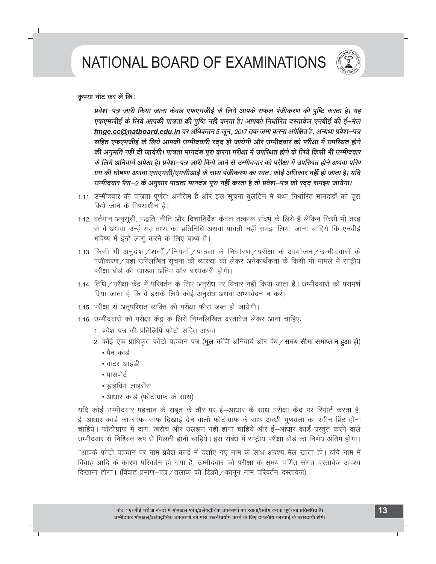

कृपया नोट कर लें कि:

प्रवेश–पत्र जारी किया जाना केवल एफएमजीई के लिये आपके सफल पंजीकरण की पृष्टि करता है। यह एफएमजीई के लिये आपकी पात्रता की पुष्टि नहीं करता है। आपको निर्धारित दस्तावेज एनबीई की ई–मेल fmae.cc@natboard.edu.in पर अधिकतम 5 जन, 2017 तक जमा करना अपेक्षित है, अन्यथा प्रवेश–पत्र सहित एफएमजीई के लिये आपकी उम्मीदवारी रदद हो जायेगी और उम्मीदवार को परीक्षा में उपरिथत होने की अनुमति नहीं दी जायेगी। पात्रता मानदंड पूरा करना परीक्षा में उपस्थित होने के लिये किसी भी उम्मीदवार के लिये अनिवार्य अपेक्षा है। प्रवेश–पत्र जारी किये जाने से उम्मीदवार को परीक्षा में उपस्थित होने अथवा परिण TTम की घोषणा अथवा एसएमसी/एमसीआई के साथ पंजीकरण का स्वतः कोई अधिकार नहीं हो जाता है। यदि उम्मीदवार पैरा–2 के अनुसार पात्रता मानदंड पूरा नहीं करता है तो प्रवेश–पत्र को रदद समझा जायेगा।

- 1.11. उम्मीदवार की पात्रता पूर्णतः अनंतिम है और इस सूचना बुलेटिन में यथा निर्धारित मानदंडों को पुरा किये जाने के विषयाधीन है।
- 1.12. वर्तमान अनुसूची, पद्धति, नीति और दिशानिर्देश केवल तत्काल संदर्भ के लिये हैं लेकिन किसी भी तरह से वे अथवा उन्हें यह तथ्य का प्रतिनिधि अथवा पावती नहीं समझ लिया जाना चाहिये कि एनबीई भविष्य में इन्हें लागू करने के लिए बाध्य है।
- 1.13. किसी भी अनुदेश/शर्तों /नियमों /पात्रता के निर्धारण/परीक्षा के आयोजन/उम्मीदवारों के पंजीकरण/यहां उल्लिखित सूचना की व्याख्या को लेकर अनेकार्थकता के किसी भी मामले में राष्ट्रीय परीक्षा बोर्ड की व्याख्या अंतिम और बाध्यकारी होगी।
- 1.14. तिथि / परीक्षा केंद्र में परिवर्तन के लिए अनुरोध पर विचार नहीं किया जाता है। उम्मीदवारों को परामर्श दिया जाता है कि वे इसके लिये कोई अनुरोध अथवा अभ्यावेदन न करें।
- 1.15. परीक्षा से अनुपस्थित व्यक्ति की परीक्षा फीस जब्त हो जायेगी।
- 1.16. उम्मीदवारों को परीक्षा केंद्र के लिये निम्नलिखित दस्तावेज लेकर आना चाहिए:
	- 1. प्रवेश पत्र की प्रतिलिपि फोटो सहित अथवा
	- 2. कोई एक प्राधिकृत फोटो पहचान पत्र (मूल कॉपी अनिवार्य और वैध / समय सीमा समाप्त न हुआ हो) • पैन कार्ड
		- वोटर आईडी
		- पासपोर्ट
		- ड्राइविंग लाइसेंस
		- आधार कार्ड (फोटोग्राफ के साथ)

यदि कोई उम्मीदवार पहचान के सबूत के तौर पर ई—आधार के साथ परीक्षा केंद्र पर रिपोर्ट करता है, ई-आधार कार्ड का साफ-साफ दिखाई देने वाली फोटोग्राफ के साथ अच्छी गुणवत्ता का रंगीन प्रिंट होना चाहिये। फोटोग्राफ में दाग, खरोंच और उलझन नहीं होना चाहिये और ई—आधार कार्ड प्रस्तुत करने वाले उम्मीदवार से निश्चित रूप से मिलती होनी चाहिये। इस संबंध में राष्ट्रीय परीक्षा बोर्ड का निर्णय अंतिम होगा।

''आपके फोटो पहचान पर नाम प्रवेश कार्ड में दर्शाए गए नाम के साथ अवश्य मेल खाता हो। यदि नाम में विवाह आदि के कारण परिवर्तन हो गया है, उम्मीदवार को परीक्षा के समय वर्णित संगत दस्तावेज अवश्य दिखाना होगा। (विवाह प्रमाण-पत्र/तलाक की डिक्री/कानून नाम परिवर्तन दस्तावेज)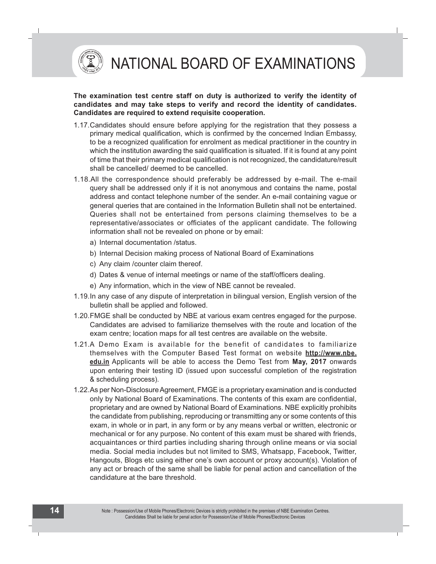

**The examination test centre staff on duty is authorized to verify the identity of candidates and may take steps to verify and record the identity of candidates. Candidates are required to extend requisite cooperation.**

- 1.17.Candidates should ensure before applying for the registration that they possess a primary medical qualification, which is confirmed by the concerned Indian Embassy, to be a recognized qualification for enrolment as medical practitioner in the country in which the institution awarding the said qualification is situated. If it is found at any point of time that their primary medical qualification is not recognized, the candidature/result shall be cancelled/ deemed to be cancelled.
- 1.18.All the correspondence should preferably be addressed by e-mail. The e-mail query shall be addressed only if it is not anonymous and contains the name, postal address and contact telephone number of the sender. An e-mail containing vague or general queries that are contained in the Information Bulletin shall not be entertained. Queries shall not be entertained from persons claiming themselves to be a representative/associates or officiates of the applicant candidate. The following information shall not be revealed on phone or by email:
	- a) Internal documentation /status.
	- b) Internal Decision making process of National Board of Examinations
	- c) Any claim /counter claim thereof.
	- d) Dates & venue of internal meetings or name of the staff/officers dealing.
	- e) Any information, which in the view of NBE cannot be revealed.
- 1.19.In any case of any dispute of interpretation in bilingual version, English version of the bulletin shall be applied and followed.
- 1.20.FMGE shall be conducted by NBE at various exam centres engaged for the purpose. Candidates are advised to familiarize themselves with the route and location of the exam centre; location maps for all test centres are available on the website.
- 1.21.A Demo Exam is available for the benefit of candidates to familiarize themselves with the Computer Based Test format on website **http://www.nbe. edu.in** Applicants will be able to access the Demo Test from **May, 2017** onwards upon entering their testing ID (issued upon successful completion of the registration & scheduling process).
- 1.22.As per Non-Disclosure Agreement, FMGE is a proprietary examination and is conducted only by National Board of Examinations. The contents of this exam are confidential, proprietary and are owned by National Board of Examinations. NBE explicitly prohibits the candidate from publishing, reproducing or transmitting any or some contents of this exam, in whole or in part, in any form or by any means verbal or written, electronic or mechanical or for any purpose. No content of this exam must be shared with friends, acquaintances or third parties including sharing through online means or via social media. Social media includes but not limited to SMS, Whatsapp, Facebook, Twitter, Hangouts, Blogs etc using either one's own account or proxy account(s). Violation of any act or breach of the same shall be liable for penal action and cancellation of the candidature at the bare threshold.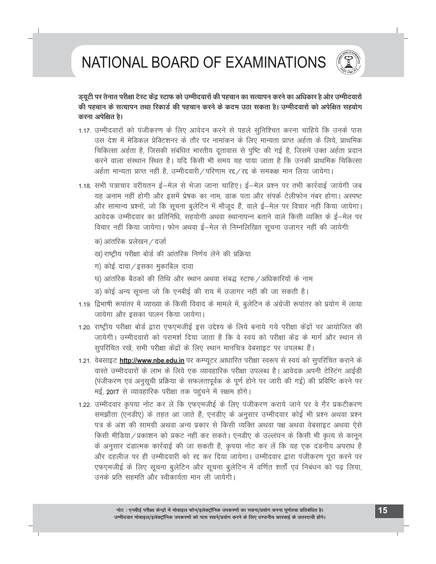

डयूटी पर तैनात परीक्षा टैस्ट केंद्र स्टाफ को उम्मीदवारों की पहचान का सत्यापन करने का अधिकार है और उम्मीदवारों की पहचान के सत्यापन तथा रिकार्ड की पहचान करने के कदम उठा सकता है। उम्मीदवारों को अपेक्षित सहयोग करना अपेक्षित है।

- 1.17. उम्मीदवारों को पंजीकरण के लिए आवेदन करने से पहले सुनिश्चित करना चाहिये कि उनके पास उस देश में मेडिकल प्रेक्टिशनर के तौर पर नामांकन के लिए मान्यता प्राप्त अर्हता के लिये. प्राथमिक चिकित्सा अर्हता है, जिसकी संबंधित भारतीय दतावास से पुष्टि की गई है, जिसमें उक्त अर्हता प्रदान करने वाला संस्थान स्थित है। यदि किसी भी समय यह पाया जाता है कि उनकी प्राथमिक चिकित्सा अर्हता मान्यता प्राप्त नहीं है. उम्मीदवारी / परिणाम रद्द / रद्द के समकक्ष मान लिया जायेगा।
- 1.18. सभी पत्राचार वरीयतन ई—मेल से भेजा जाना चाहिए। ई—मेल प्रश्न पर तभी कार्रवाई जायेगी जब यह अनाम नहीं होगी और इसमें प्रेषक का नाम, डाक पता और संपर्क टेलीफोन नंबर होगा। अस्पष्ट और सामान्य प्रश्नों, जो कि सूचना बुलेटिन में मौजूद हैं, वाले ई-मेल पर विचार नहीं किया जायेगा। आवेदक उम्मीदवार का प्रतिनिधि, सहयोगी अथवा स्थानापन्न बताने वाले किसी व्यक्ति के ई—मेल पर विचार नहीं किया जायेगा। फोन अथवा ई–मेल से निम्नलिखित सूचना उजागर नहीं की जायेगी:
	- क) आंतरिक प्रलेखन / दर्जा
	- ख) राष्ट्रीय परीक्षा बोर्ड की आंतरिक निर्णय लेने की प्रक्रिया
	- ग) कोई दावा / इसका मुकाबिल दावा
	- घ) आंतरिक बैठकों की तिथि और स्थान अथवा संबद्ध स्टाफ / अधिकारियों के नाम
	- ड़) कोई अन्य सूचना जो कि एनबीई की राय में उज़ागर नहीं की जा सकती है।
- 1.19. द्विभाषी रूपांतर में व्याख्या के किसी विवाद के मामले में, बुलेटिन के अंग्रेजी रूपांतर को प्रयोग में लाया जायेगा और इसका पालन किया जायेगा।
- 1.20. राष्ट्रीय परीक्षा बोर्ड द्वारा एफएमजीई इस उद्देश्य के लिये बनाये गये परीक्षा केंद्रों पर आयोजित की जायेगी। उम्मीदवारों को परामर्श दिया जाता है कि वे स्वयं को परीक्षा केंद्र के मार्ग और स्थान से सुपरिचित रखें; सभी परीक्षा केंद्रों के लिए स्थान मानचित्र वेबसाइट पर उपलब्ध हैं।
- 1.21. वेबसाइट http://www.nbe.edu.in पर कम्प्यूटर आधारित परीक्षा स्वरूप से स्वयं को सुपरिचित कराने के वास्ते उम्मीदवारों के लाभ के लिये एक व्यावहारिक परीक्षा उपलब्ध है। आवेदक अपनी टेस्टिंग आईडी (पंजीकरण एवं अनुसूची प्रक्रिया के सफलतापूर्वक के पूर्ण होने पर जारी की गई) की प्रविष्टि करने पर मई, 2017 से व्यावहारिक परीक्षा तक पहुंचने में सक्षम होंगे।
- 1.22. उम्मीदवार कृपया नोट कर लें कि एफएमजीई के लिए पंजीकरण कराये जाने पर वे गैर प्रकटीकरण समझौता (एनडीए) के तहत आ जाते हैं; एनडीए के अनुसार उम्मीदवार कोई भी प्रश्न अथवा प्रश्न पत्र के अंश की सामग्री अथवा अन्य प्रकार से किसी व्यक्ति अथवा पक्ष अथवा वेबसाइट अथवा ऐसे किसी मीडिया/प्रकाशन को प्रकट नहीं कर सकते। एनडीए के उल्लंघन के किसी भी कृत्य से कानून के अनुसार दंडात्मक कार्रवाई की जा सकती है, कृपया नोट कर लें कि यह एक दंडनीय अपराध है और दहलीज़ पर ही उम्मीदवारी को रद्द कर दिया जायेगा। उम्मीदवार द्वारा पंजीकरण पूरा करने पर एफएमजीई के लिए सूचना बुलेटिन और सूचना बुलेटिन में वर्णित शर्तों एवं निबंधन को पढ़ लिया, उनके प्रति सहमति और स्वीकार्यता मान ली जायेगी।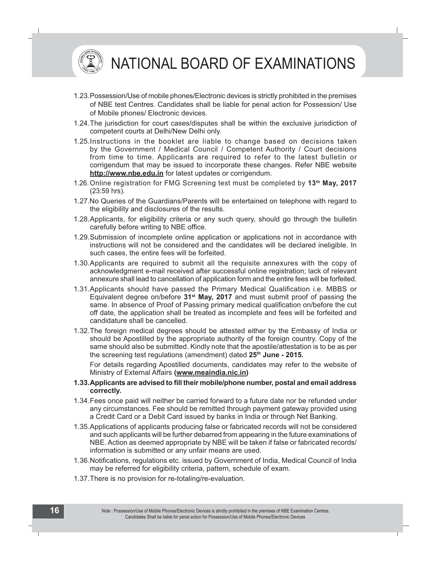

- 1.23.Possession/Use of mobile phones/Electronic devices is strictly prohibited in the premises of NBE test Centres. Candidates shall be liable for penal action for Possession/ Use of Mobile phones/ Electronic devices.
- 1.24.The jurisdiction for court cases/disputes shall be within the exclusive jurisdiction of competent courts at Delhi/New Delhi only.
- 1.25.Instructions in the booklet are liable to change based on decisions taken by the Government / Medical Council / Competent Authority / Court decisions from time to time. Applicants are required to refer to the latest bulletin or corrigendum that may be issued to incorporate these changes. Refer NBE website **http://www.nbe.edu.in** for latest updates or corrigendum.
- 1.26. Online registration for FMG Screening test must be completed by **13th May, 2017** (23:59 hrs).
- 1.27.No Queries of the Guardians/Parents will be entertained on telephone with regard to the eligibility and disclosures of the results.
- 1.28.Applicants, for eligibility criteria or any such query, should go through the bulletin carefully before writing to NBE office.
- 1.29.Submission of incomplete online application or applications not in accordance with instructions will not be considered and the candidates will be declared ineligible. In such cases, the entire fees will be forfeited.
- 1.30.Applicants are required to submit all the requisite annexures with the copy of acknowledgment e-mail received after successful online registration; lack of relevant annexure shall lead to cancellation of application form and the entire fees will be forfeited.
- 1.31. Applicants should have passed the Primary Medical Qualification i.e. MBBS or Equivalent degree on/before **31st May, 2017** and must submit proof of passing the same. In absence of Proof of Passing primary medical qualification on/before the cut off date, the application shall be treated as incomplete and fees will be forfeited and candidature shall be cancelled.
- 1.32.The foreign medical degrees should be attested either by the Embassy of India or should be Apostilled by the appropriate authority of the foreign country. Copy of the same should also be submitted. Kindly note that the apostile/attestation is to be as per the screening test regulations (amendment) dated **25th June - 2015.**

For details regarding Apostilled documents, candidates may refer to the website of Ministry of External Affairs **(www.meaindia.nic.in)**

#### 1.33. Applicants are advised to fill their mobile/phone number, postal and email address **correctly.**

- 1.34.Fees once paid will neither be carried forward to a future date nor be refunded under any circumstances. Fee should be remitted through payment gateway provided using a Credit Card or a Debit Card issued by banks in India or through Net Banking.
- 1.35.Applications of applicants producing false or fabricated records will not be considered and such applicants will be further debarred from appearing in the future examinations of NBE. Action as deemed appropriate by NBE will be taken if false or fabricated records/ information is submitted or any unfair means are used.
- 1.36. Notifications, regulations etc. issued by Government of India, Medical Council of India may be referred for eligibility criteria, pattern, schedule of exam.
- 1.37.There is no provision for re-totaling/re-evaluation.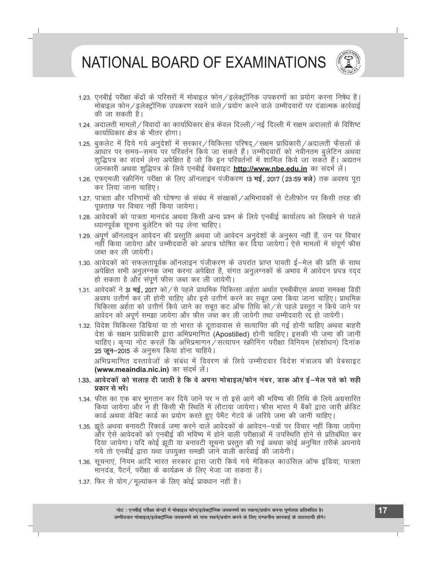

- 1.23. एनबीई परीक्षा केंद्रों के परिसरों में मोबाइल फोन ⁄ इलेक्टॉनिक उपकरणों का प्रयोग करना निषेध है। मोबाइल फोन / इलेक्ट्रॉनिक उपकरण रखने वाले / प्रयोग करने वाले उम्मीदवारों पर दंडात्मक कार्रवाई की जा सकती है।
- 1.24. अदालती मामलों / विवादों का कार्याधिकार क्षेत्र केवल दिल्ली / नई दिल्ली में सक्षम अदालतों के विशिष्ट कार्याधिकार क्षेत्र के भीतर होगा।
- 1.25. बुकलेट में दिये गये अनुदेशों में सरकार / चिकित्सा परिषद् / सक्षम प्राधिकारी / अदालती फ़ैसलों के ु<br>आधार पर समय–समय पर परिवर्तन किये जा सकते हैं। उम्मीदवारों को नवीनतम बुलेटिन अथवा शुद्धिपत्र का संदर्भ लेना अपेक्षित है जो कि इन परिवर्तनों में शामिल किये जा सकते हैं। अद्यतन जानकारी अथवा शुद्धिपत्र के लिये एनबीई वेबसाइट http://www.nbe.edu.in का संदर्भ लें।
- 1.26. एफएमजी स्क्रीनिंग परीक्षा के लिए ऑनलाइन पंजीकरण 1**3 मई , 2017 ( 23:59 बजे)** तक अवश्य परा कर लिया जाना चाहिए।
- 1.27. पात्रता और परिणामों की घोषणा के संबंध में संरक्षकों /अभिभावकों से टेलीफोन पर किसी तरह की पछताछ पर विचार नहीं किया जायेगा।
- 1.28. आवेदकों को पात्रता मानदंड अथवा किसी अन्य प्रश्न के लिये एनबीई कार्यालय को लिखने से पहले ध्यानपूर्वक सूचना बुलेटिन को पढ़ लेना चाहिए।
- 1.29. अपूर्ण ऑनलाइन आवेदन की प्रस्तुति अथवा जो आवेदन अनुदेशों के अनुरूप नहीं हैं, उन पर विचार नहीं किया जायेगा और उम्मीदवारों को अपात्र घोषित कर दिया जायेगा। ऐसे मामलों में संपूर्ण फीस जब्त कर ली जायेगी।
- 1.30. आवेदकों को सफलतापूर्वक ऑनलाइन पंजीकरण के उपरांत प्राप्त पावती ई—मेल की प्रति के साथ अपेक्षित सभी अनुलग्नक जमा करना अपेक्षित है, संगत अनुलग्नकों के अभाव में आवेदन प्रपत्र रदद हो सकता है और संपूर्ण फीस जब्त कर ली जायेगी।
- 1.31. आवेदकों ने **31 मई . 2017** को / से पहले प्राथमिक चिकित्सा अर्हता अर्थात एमबीबीएस अथवा समकक्ष डिग्री अवश्य उत्तीर्ण कर ली होनी चाहिए और इसे उत्तीर्ण करने का सबत जमा किया जाना चाहिए। प्राथमिक चिकित्सा अर्हता को उत्तीर्ण किये जाने का सबूत कट ऑफ तिथि को/से पहले प्रस्तुत न किये जाने पर आवेदन को अपूर्ण समझा जायेगा और फीस जब्त कर ली जायेगी तथा उम्मीदवारी रद्द हो जायेगी।
- 1.32. विदेश चिकित्सा डिग्रियां या तो भारत के दतावावास से सत्यापित की गई होनी चाहिए अथवा बाहरी देश के सक्षम प्राधिकारी द्वारा अभिप्रमाणित (Apostilled) होनी चाहिए। इसकी भी जमा की जानी चाहिए। कृप्या नोट करलें कि अभिप्रमाणन ⁄ सत्यापन स्क्रीनिंग परीक्षा विनियम (संशोधन) दिनांक 25 जून-2015 के अनुरूप किया होना चाहिये।

अभिप्रमाणित दस्तावेजों के संबंध में विवरण के लिये उम्मीदवार विदेश मंत्रालय की वेबसाइट (www.meaindia.nic.in) का संदर्भ लें।

- 1.33. आवेदकों को सलाह दी जाती है कि वे अपना मोबाइल/फोन नंबर, डाक और ई–मेल पते को सही प्रकार से भरें।
- 1.34. फीस का एक बार भगतान कर दिये जाने पर न तो इसे आगे की भविष्य की तिथि के लिये अग्रसारित किया जायेगा और न ही किसी भी स्थिति में लौटाया जायेगा। फीस भारत में बैंकों द्वारा जारी क्रेडिट कार्ड अथवा डेबिट कार्ड का प्रयोग करते हुए पेमैंट गेटवे के जरिये जमा की जानी चाहिए।
- 1.35. झूठे अथवा बनावटी रिकार्ड जमा करने वाले आवेदकों के आवेदन-पत्रों पर विचार नहीं किया जायेगा और ऐसे आवेदकों को एनबीई की भविष्य में होने वाली परीक्षाओं में उपस्थिति होने से प्रतिबंधित कर दिया जायेगा। यदि कोई झूठी या बनावटी सूचना प्रस्तुत की गई अथवा कोई अनुचित तरीके अपनाये गये तो एनबीई द्वारा यथा उपयुक्त समझी जाने वाली कार्रवाई की जायेगी।
- 1.36. सचनाएं, नियम आदि भारत सरकार द्वारा जारी किये गये मेडिकल काउंसिल ऑफ इंडिया, पात्रता मानदंड, पैटर्न, परीक्षा के कार्यक्रम के लिए भेजा जा सकता है।
- 1.37. फिर से योग / मूल्यांकन के लिए कोई प्रावधान नहीं है।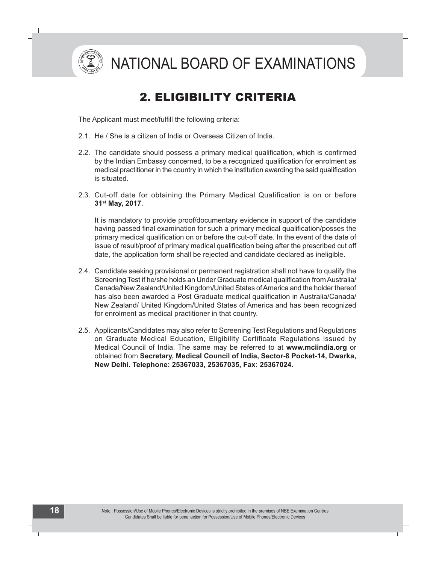

### **2. ELIGIBILITY CRITERIA** 2. ELIGIBILITY CRITERIA

The Applicant must meet/fulfill the following criteria:

- 2.1. He / She is a citizen of India or Overseas Citizen of India.
- 2.2. The candidate should possess a primary medical qualification, which is confirmed by the Indian Embassy concerned, to be a recognized qualification for enrolment as medical practitioner in the country in which the institution awarding the said qualification is situated.
- 2.3. Cut-off date for obtaining the Primary Medical Qualification is on or before **31st May, 2017**.

It is mandatory to provide proof/documentary evidence in support of the candidate having passed final examination for such a primary medical qualification/posses the primary medical qualification on or before the cut-off date. In the event of the date of issue of result/proof of primary medical qualification being after the prescribed cut off date, the application form shall be rejected and candidate declared as ineligible.

- 2.4. Candidate seeking provisional or permanent registration shall not have to qualify the Screening Test if he/she holds an Under Graduate medical qualification from Australia/ Canada/New Zealand/United Kingdom/United States of America and the holder thereof has also been awarded a Post Graduate medical qualification in Australia/Canada/ New Zealand/ United Kingdom/United States of America and has been recognized for enrolment as medical practitioner in that country.
- 2.5. Applicants/Candidates may also refer to Screening Test Regulations and Regulations on Graduate Medical Education, Eligibility Certificate Regulations issued by Medical Council of India. The same may be referred to at **www.mciindia.org** or obtained from **Secretary, Medical Council of India, Sector-8 Pocket-14, Dwarka, New Delhi. Telephone: 25367033, 25367035, Fax: 25367024.**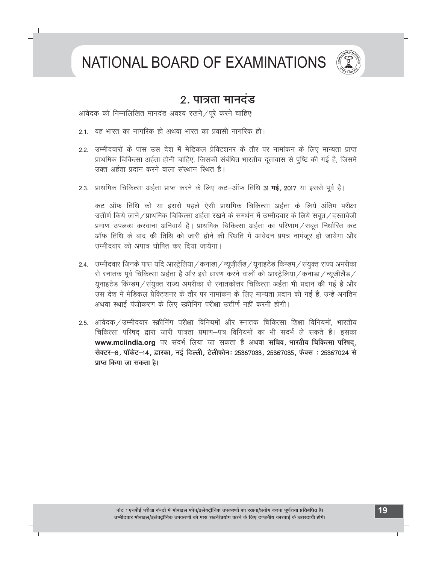

### 2. पात्रता मानदंड

आवेदक को निम्नलिखित मानदंड अवश्य रखने / पूरे करने चाहिए:

- 2.1. वह भारत का नागरिक हो अथवा भारत का प्रवासी नागरिक हो।
- 2.2. उम्मीदवारों के पास उस देश में मेडिकल प्रेक्टिशनर के तौर पर नामांकन के लिए मान्यता प्राप्त प्राथमिक चिकित्सा अर्हता होनी चाहिए, जिसकी संबंधित भारतीय दतावास से पुष्टि की गई है, जिसमें उक्त अर्हता प्रदान करने वाला संस्थान स्थित है।
- 2.3. प्राथमिक चिकित्सा अर्हता प्राप्त करने के लिए कट–ऑफ तिथि 31 मई, 2017 या इससे पूर्व है।

कट ऑफ तिथि को या इससे पहले ऐसी प्राथमिक चिकित्सा अर्हता के लिये अंतिम परीक्षा उत्तीर्ण किये जाने / प्राथमिक चिकित्सा अर्हता रखने के समर्थन में उम्मीदवार के लिये सबत / दस्तावेजी प्रमाण उपलब्ध करवाना अनिवार्य है। प्राथमिक चिकित्सा अर्हता का परिणाम / सबुत निर्धारित कट ऑफ तिथि के बाद की तिथि को जारी होने की स्थिति में आवेदन प्रपत्र नामंजुर हो जायेगा और उम्मीदवार को अपात्र घोषित कर दिया जायेगा।

- 2.4. उम्मीदवार जिनके पास यदि आस्ट्रेलिया / कनाडा / न्यूजीलैंड / युनाइटेड किंग्डम / संयुक्त राज्य अमरीका से स्नातक पूर्व चिकित्सा अर्हता है और इसे धारण करने वालों को आस्ट्रेलिया / कनाडा / न्यूज़ीलैंड / यूनाइटेड किंग्डम / संयुक्त राज्य अमरीका से स्नातकोत्तर चिकित्सा अर्हता भी प्रदान की गई है और उस देश में मेडिकल प्रेक्टिशनर के तौर पर नामांकन के लिए मान्यता प्रदान की गई है, उन्हें अनंतिम अथवा स्थाई पंजीकरण के लिए स्कीनिंग परीक्षा उत्तीर्ण नहीं करनी होगी।
- 2.5. आवेदक / उम्मीदवार स्क्रीनिंग परीक्षा विनियमों और स्नातक चिकित्सा शिक्षा विनियमों. भारतीय चिकित्सा परिषद द्वारा जारी पात्रता प्रमाण–पत्र विनियमों का भी संदर्भ ले सकते हैं। इसका www.mciindia.org पर संदर्भ लिया जा सकता है अथवा सचिव, भारतीय चिकित्सा परिषद, सेक्टर–8, पॉकेट–14, द्वारका, नई दिल्ली, टेलीफोन: 25367033, 25367035, फैक्स : 25367024 से प्राप्त किया जा सकता है।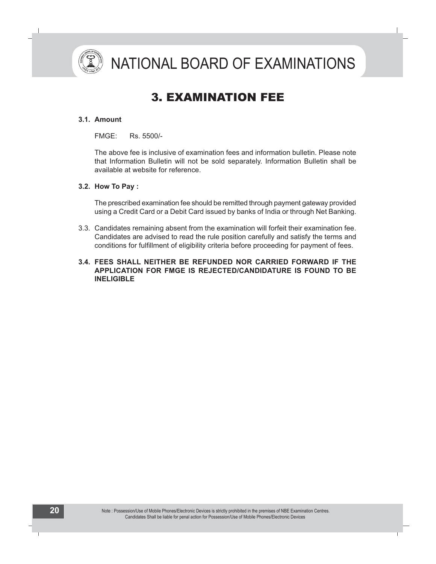

#### **3. EXAMINATION FEE** 3. EXAMINATION FEE

#### **3.1. Amount**

FMGE: Rs. 5500/-

The above fee is inclusive of examination fees and information bulletin. Please note that Information Bulletin will not be sold separately. Information Bulletin shall be available at website for reference.

#### **3.2. How To Pay :**

The prescribed examination fee should be remitted through payment gateway provided using a Credit Card or a Debit Card issued by banks of India or through Net Banking.

3.3. Candidates remaining absent from the examination will forfeit their examination fee. Candidates are advised to read the rule position carefully and satisfy the terms and conditions for fulfillment of eligibility criteria before proceeding for payment of fees.

#### **3.4. FEES SHALL NEITHER BE REFUNDED NOR CARRIED FORWARD IF THE APPLICATION FOR FMGE IS REJECTED/CANDIDATURE IS FOUND TO BE INELIGIBLE**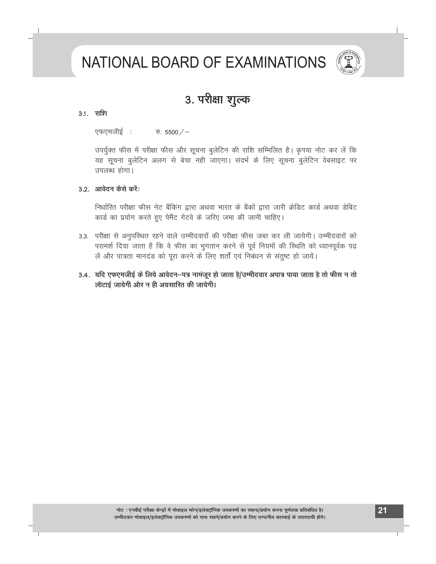

### 3. परीक्षा शुल्क

#### 3.1. राशि

एफएमजीई : ক. 5500  $/$  -

उपर्यूक्त फीस में परीक्षा फीस और सूचना बूलेटिन की राशि सम्मिलित है। कृपया नोट कर लें कि यह सूचना बुलेटिन अलग से बेचा नही जाएगा। संदर्भ के लिए सूचना बुलेटिन वेबसाइट पर उपलब्ध होगा।

#### 3.2 आवेटन कैसे करें:

निर्धारित परीक्षा फीस नेट बैंकिंग द्वारा अथवा भारत के बैंकों द्वारा जारी क्रेडिट कार्ड अथवा डेबिट कार्ड का प्रयोग करते हुए पेमैंट गेटवे के जरिए जमा की जानी चाहिए।

- 3.3. परीक्षा से अनूपस्थित रहने वाले उम्मीदवारों की परीक्षा फीस जब्त कर ली जायेगी। उम्मीदवारों को परामर्श दिया जाता है कि वे फीस का भुगतान करने से पूर्व नियमों की स्थिति को ध्यानपूर्वक पढ़ लें और पात्रता मानदंड को पूरा करने के लिए शर्तों एवं निबंधन से संतुष्ट हो जायें।
- 3.4. यदि एफएमजीई के लिये आवेदन–पत्र नामंजूर हो जाता है/उम्मीदवार अपात्र पाया जाता है तो फीस न तो लौटाई जायेगी और न ही अग्रसारित की जायेगी।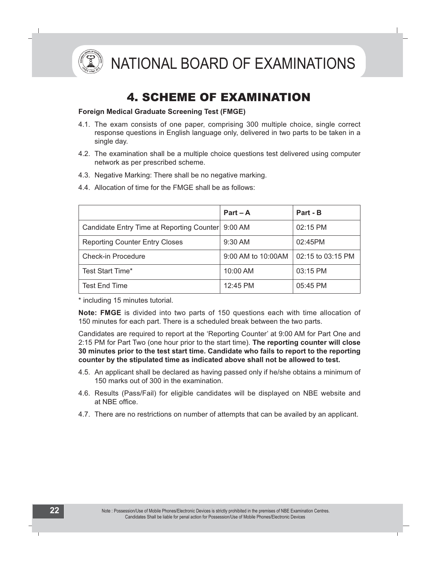

### **4. SCHEME OF EXAMINATION**

### **Foreign Medical Graduate Screening Test (FMGE)**

- 4.1. The exam consists of one paper, comprising 300 multiple choice, single correct response questions in English language only, delivered in two parts to be taken in a single day.
- 4.2. The examination shall be a multiple choice questions test delivered using computer network as per prescribed scheme.
- 4.3. Negative Marking: There shall be no negative marking.
- 4.4. Allocation of time for the FMGE shall be as follows:

|                                           | $Part - A$          | Part - B          |
|-------------------------------------------|---------------------|-------------------|
| Candidate Entry Time at Reporting Counter | $9:00$ AM           | 02:15 PM          |
| <b>Reporting Counter Entry Closes</b>     | $9:30$ AM           | 02:45PM           |
| <b>Check-in Procedure</b>                 | 9:00 AM to 10:00 AM | 02:15 to 03:15 PM |
| Test Start Time*                          | 10:00 AM            | 03:15 PM          |
| <b>Test End Time</b>                      | 12:45 PM            | 05:45 PM          |

\* including 15 minutes tutorial.

**Note: FMGE** is divided into two parts of 150 questions each with time allocation of 150 minutes for each part. There is a scheduled break between the two parts.

Candidates are required to report at the 'Reporting Counter' at 9:00 AM for Part One and 2:15 PM for Part Two (one hour prior to the start time). **The reporting counter will close 30 minutes prior to the test start time. Candidate who fails to report to the reporting counter by the stipulated time as indicated above shall not be allowed to test.**

- 4.5. An applicant shall be declared as having passed only if he/she obtains a minimum of 150 marks out of 300 in the examination.
- 4.6. Results (Pass/Fail) for eligible candidates will be displayed on NBE website and at NBE office.
- 4.7. There are no restrictions on number of attempts that can be availed by an applicant.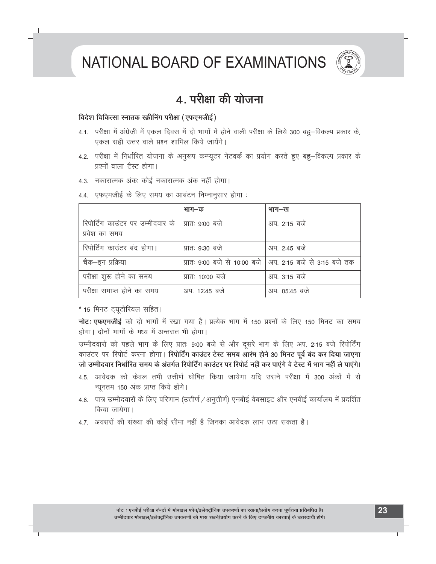

### 4. परीक्षा की योजना

#### विदेश चिकित्सा स्नातक स्क्रीनिंग परीक्षा (एफएमजीई)

- 4.1. परीक्षा में अंग्रेज़ी में एकल दिवस में दो भागों में होने वाली परीक्षा के लिये 300 बहू-विकल्प प्रकार के, एकल सही उत्तर वाले प्रश्न शामिल किये जायेंगे।
- 4.2. परीक्षा में निर्धारित योजना के अनुरूप कम्प्यूटर नेटवर्क का प्रयोग करते हुए बहु-विकल्प प्रकार के प्रश्नों वाला टैस्ट होगा।
- 4.3. नकारात्मक अंकः कोई नकारात्मक अंक नहीं होगा।
- 4.4. एफएमजीई के लिए समय का आबंटन निम्नानुसार होगा :

|                                                                      | भाग–क            | भाग–ख                                                      |
|----------------------------------------------------------------------|------------------|------------------------------------------------------------|
| रिपोर्टिंग काउंटर पर उम्मीदवार के   प्रातः 9:00 बजे<br>प्रवेश का समय |                  | अप. 2:15 बजे                                               |
| रिपोर्टिंग काउंटर बंद होगा।                                          | प्रातः ९ः३० बजे  | अप. 2:45 बजे                                               |
| चैक—इन प्रक्रिया                                                     |                  | प्रातः 9:00 बजे से 10:00 बजे   अप. 2:15 बजे से 3:15 बजे तक |
| परीक्षा शुरू होने का समय                                             | प्रातः 10:00 बजे | अप. 3:15 बजे                                               |
| परीक्षा समाप्त होने का समय                                           | अप. 12:45 बजे    | अप. 05:45 बजे                                              |

\* 15 मिनट ट्यूटोरियल सहित।

**नोट: एफएमजीई** को दो भागों में रखा गया है। प्रत्येक भाग में 150 प्रश्नों के लिए 150 मिनट का समय होगा। दोनों भागों के मध्य में अन्तरात भी होगा।

उम्मीदवारों को पहले भाग के लिए प्रातः 9:00 बजे से और दूसरे भाग के लिए अप. 2:15 बजे रिपोर्टिंग काउंटर पर रिपोर्ट करना होगा। रिपोर्टिंग काउंटर टेस्ट समय आरंभ होने 30 मिनट पूर्व बंद कर दिया जाएगा जो उम्मीदवार निर्धारित समय के अंतर्गत रिपोर्टिंग काउंटर पर रिपोर्ट नहीं कर पाएंगे वे टेस्ट में भाग नहीं ले पाएंगे।

- 4.5. आवेदक को केवल तभी उत्तीर्ण घोषित किया जायेगा यदि उसने परीक्षा में 300 अंकों में से न्यूनतम 150 अंक प्राप्त किये होंगे।
- 4.6. पात्र उम्मीदवारों के लिए परिणाम (उत्तीर्ण/अनुत्तीर्ण) एनबीई वेबसाइट और एनबीई कार्यालय में प्रदर्शित किया जायेगा।
- 4.7. अवसरों की संख्या की कोई सीमा नहीं है जिनका आवेदक लाभ उठा सकता है।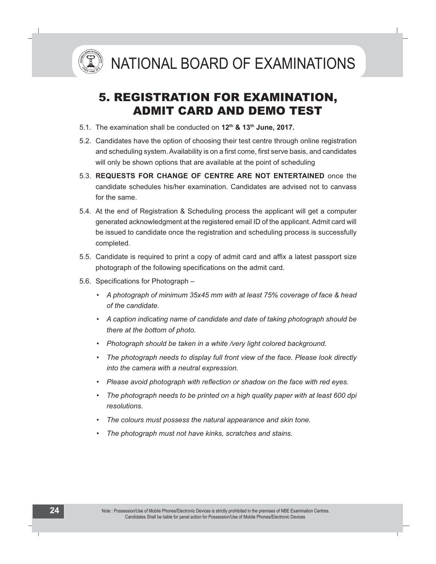# **5. REGISTRATION FOR EXAMINATION,<br>ADMIT CARD AND DEMO TEST**

- 5.1. The examination shall be conducted on 12<sup>th</sup> & 13<sup>th</sup> June, 2017.
- 5.2. Candidates have the option of choosing their test centre through online registration and scheduling system. Availability is on a first come, first serve basis, and candidates will only be shown options that are available at the point of scheduling
- 5.3. **REQUESTS FOR CHANGE OF CENTRE ARE NOT ENTERTAINED** once the candidate schedules his/her examination. Candidates are advised not to canvass for the same.
- 5.4. At the end of Registration & Scheduling process the applicant will get a computer generated acknowledgment at the registered email ID of the applicant. Admit card will be issued to candidate once the registration and scheduling process is successfully completed.
- 5.5. Candidate is required to print a copy of admit card and affix a latest passport size photograph of the following specifications on the admit card.
- 5.6. Specifications for Photograph -
	- *A photograph of minimum 35x45 mm with at least 75% coverage of face & head of the candidate.*
	- **•** A caption indicating name of candidate and date of taking photograph should be *there at the bottom of photo.*
	- Photograph should be taken in a white /very light colored background.
	- The photograph needs to display full front view of the face. Please look directly *into the camera with a neutral expression.*
	- **•** Please avoid photograph with reflection or shadow on the face with red eyes.
	- The photograph needs to be printed on a high quality paper with at least 600 dpi *resolutions.*
	- The colours must possess the natural appearance and skin tone.
	- *The photograph must not have kinks, scratches and stains.*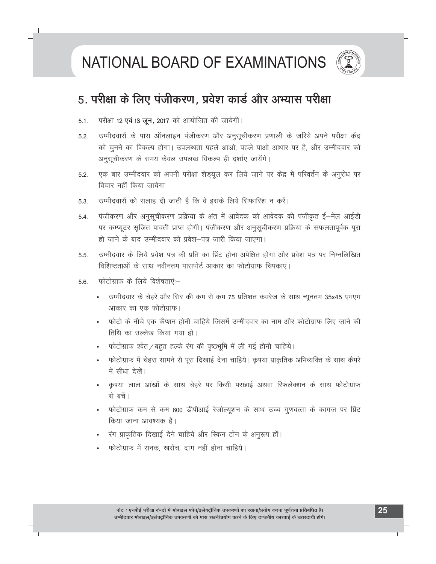

### 5. परीक्षा के लिए पंजीकरण, प्रवेश कार्ड और अभ्यास परीक्षा

- $5.1.$ परीक्षा 12 एवं 13 जून, 2017 को आयोजित की जायेगी।
- उम्मीदवारों के पास ऑनलाइन पंजीकरण और अनुसूचीकरण प्रणाली के जरिये अपने परीक्षा केंद्र  $5.2.$ को चुनने का विकल्प होगा। उपलब्धता पहले आओ, पहले पाओ आधार पर है, और उम्मीदवार को अनुसूचीकरण के समय केवल उपलब्ध विकल्प ही दर्शाए जायेंगे।
- एक बार उम्मीदवार को अपनी परीक्षा शेड्यूल कर लिये जाने पर केंद्र में परिवर्तन के अनुरोध पर  $5.2.$ विचार नहीं किया जायेगा
- उम्मीदवारों को सलाह दी जाती है कि वे इसके लिये सिफारिश न करें।  $5.3.$
- पंजीकरण और अनुसूचीकरण प्रक्रिया के अंत में आवेदक को आवेदक की पंजीकृत ई-मेल आईडी 5.4. पर कम्प्यूटर सृजित पावती प्राप्त होगी। पंजीकरण और अनुसूचीकरण प्रक्रिया के सफलतापूर्वक पूरा हो जाने के बाद उम्मीदवार को प्रवेश-पत्र जारी किया जाएगा।
- उम्मीदवार के लिये प्रवेश पत्र की प्रति का प्रिंट होना अपेक्षित होगा और प्रवेश पत्र पर निम्नलिखित  $5.5.$ विशिष्टताओं के साथ नवीनतम पासपोर्ट आकार का फोटोग्राफ चिपकाएं।
- फोटोग्राफ के लिये विशेषताएं:-5.6.
	- उम्मीदवार के चेहरे और सिर की कम से कम 75 प्रतिशत कवरेज के साथ न्यूनतम 35x45 एमएम आकार का एक फोटोग्राफ।
	- फोटो के नीचे एक कैप्शन होनी चाहिये जिसमें उम्मीदवार का नाम और फोटोग्राफ लिए जाने की तिथि का उल्लेख किया गया हो।
	- फोटोग्राफ श्वेत ⁄ बहुत हुल्के रंग की पृष्ठभूमि में ली गई होनी चाहिये।
	- फोटोग्राफ में चेहरा सामने से पूरा दिखाई देना चाहिये। कृपया प्राकृतिक अभिव्यक्ति के साथ कैमरे में सीधा देखें।
	- कृपया लाल आंखों के साथ चेहरे पर किसी परछाई अथवा रिफलेक्शन के साथ फोटोग्राफ से बचें।
	- फोटोग्राफ कम से कम 600 डीपीआई रेजोल्यूशन के साथ उच्च गुणवत्ता के कागज पर प्रिंट किया जाना आवश्यक है।
	- रंग प्राकृतिक दिखाई देने चाहिये और स्किन टोन के अनुरूप हों।
	- फोटोग्राफ में सनक, खरोंच, दाग नहीं होना चाहिये।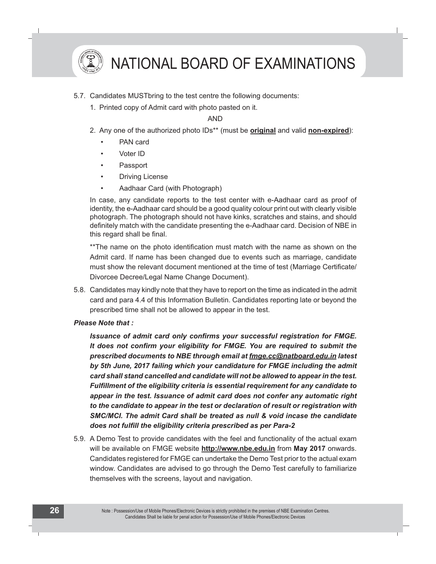

- 5.7. Candidates MUSTbring to the test centre the following documents:
	- 1. Printed copy of Admit card with photo pasted on it.

#### AND

- 2. Any one of the authorized photo IDs\*\* (must be **original** and valid **non-expired**):
	- PAN card
	- Voter ID
	- Passport
	- Driving License
	- Aadhaar Card (with Photograph)

In case, any candidate reports to the test center with e-Aadhaar card as proof of identity, the e-Aadhaar card should be a good quality colour print out with clearly visible photograph. The photograph should not have kinks, scratches and stains, and should definitely match with the candidate presenting the e-Aadhaar card. Decision of NBE in this regard shall be final.

\*\*The name on the photo identification must match with the name as shown on the Admit card. If name has been changed due to events such as marriage, candidate must show the relevant document mentioned at the time of test (Marriage Certificate/ Divorcee Decree/Legal Name Change Document).

5.8. Candidates may kindly note that they have to report on the time as indicated in the admit card and para 4.4 of this Information Bulletin. Candidates reporting late or beyond the prescribed time shall not be allowed to appear in the test.

#### *Please Note that :*

*Issuance of admit card only confirms your successful registration for FMGE.* It does not confirm your eligibility for FMGE. You are required to submit the prescribed documents to NBE through email at fmge.cc@natboard.edu.in latest by 5th June, 2017 failing which your candidature for FMGE including the admit card shall stand cancelled and candidate will not be allowed to appear in the test. Fulfillment of the eligibility criteria is essential requirement for any candidate to appear in the test. Issuance of admit card does not confer any automatic right to the candidate to appear in the test or declaration of result or registration with SMC/MCI. The admit Card shall be treated as null & void incase the candidate does not fulfill the eligibility criteria prescribed as per Para-2

5.9. A Demo Test to provide candidates with the feel and functionality of the actual exam will be available on FMGE website **http://www.nbe.edu.in** from **May 2017** onwards. Candidates registered for FMGE can undertake the Demo Test prior to the actual exam window. Candidates are advised to go through the Demo Test carefully to familiarize themselves with the screens, layout and navigation.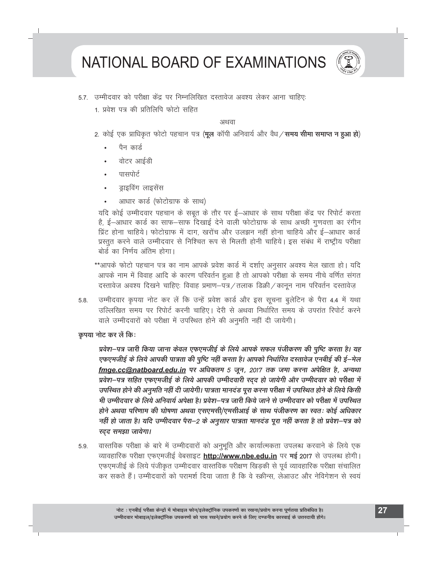

- 5.7. उम्मीदवार को परीक्षा केंद्र पर निम्नलिखित दस्तावेज अवश्य लेकर आना चाहिए:
	- 1. प्रवेश पत्र की प्रतिलिपि फोटो सहित

अथवा

- 2. कोई एक प्राधिकृत फोटो पहचान पत्र (मुल कॉपी अनिवार्य और वैध / समय सीमा समाप्त न हुआ हो)
	- पैन कार्ड
	- वोटर आईडी
	- पासपोर्ट
	- डाइविंग लाइसेंस
	- आधार कार्ड (फोटोग्राफ के साथ)

यदि कोई उम्मीदवार पहचान के सबत के तौर पर ई—आधार के साथ परीक्षा केंद्र पर रिपोर्ट करता है, ई—आधार कार्ड का साफ—साफ दिखाई देने वाली फोटोग्राफ के साथ अच्छी गुणवत्ता का रंगीन प्रिंट होना चाहिये। फोटोग्राफ में दाग, खरोंच और उलझन नहीं होना चाहिये और ई–आधार कार्ड प्रस्तुत करने वाले उम्मीदवार से निश्चित रूप से मिलती होनी चाहिये। इस संबंध में राष्ट्रीय परीक्षा बोर्ड का निर्णय अंतिम होगा।

\*\*आपके फोटो पहचान पत्र का नाम आपके प्रवेश कार्ड में दर्शाए अनुसार अवश्य मेल खाता हो। यदि आपके नाम में विवाह आदि के कारण परिवर्तन हुआ है तो आपको परीक्षा के समय नीचे वर्णित संगत दस्तावेज अवश्य दिखने चाहिएः विवाह प्रमाण-पत्र/तलाक डिक्री/कानून नाम परिवर्तन दस्तावेज़

उम्मीदवार कृपया नोट कर लें कि उन्हें प्रवेश कार्ड और इस सूचना बुलेटिन के पैरा 4.4 में यथा 5.8. उल्लिखित समय पर रिपोर्ट करनी चाहिए। देरी से अथवा निर्धारित समय के उपरांत रिपोर्ट करने वाले उम्मीदवारों को परीक्षा में उपस्थित होने की अनुमति नहीं दी जायेगी।

कृपया नोट कर लें कि:

प्रवेश–पत्र जारी किया जाना केवल एफएमजीई के लिये आपके सफल पंजीकरण की पृष्टि करता है। यह एफएमजीई के लिये आपकी पात्रता की पुष्टि नहीं करता है। आपको निर्धारित दरतावेज एनबीई की ई–मेल fmge.cc@natboard.edu.in पर अधिकतम 5 जून, 2017 तक जमा करना अपेक्षित है, अन्यथा प्रवेश–पत्र सहित एफएमजीई के लिये आपकी उम्मीदवारी रदद हो जायेगी और उम्मीदवार को परीक्षा में उपरिथत होने की अनुमति नहीं दी जायेगी। पात्रता मानदंड पूरा करना परीक्षा में उपरिथत होने के लिये किसी भी उम्मीदवार के लिये अनिवार्य अपेक्षा है। प्रवेश–पत्र जारी किये जाने से उम्मीदवार को परीक्षा में उपस्थित होने अथवा परिणाम की घोषणा अथवा एसएमसी/एमसीआई के साथ पंजीकरण का स्वतः कोई अधिकार नहीं हो जाता है। यदि उम्मीदवार पैरा–2 के अनुसार पात्रता मानदंड पूरा नहीं करता है तो प्रवेश–पत्र को रदद समझा जायेगा।

वास्तविक परीक्षा के बारे में उम्मीदवारों को अनुभूति और कार्यात्मकता उपलब्ध करवाने के लिये एक 5.9. व्यावहारिक परीक्षा एफएमजीई वेबसाइट http://www.nbe.edu.in पर मई 2017 से उपलब्ध होगी। एफएमजीई के लिये पंजीकृत उम्मीदवार वास्तविक परीक्षण खिड़की से पूर्व व्यावहारिक परीक्षा संचालित कर सकते हैं। उम्मीदवारों को परामर्श दिया जाता है कि वे स्क्रीन्स, लेआउट और नेविगेशन से स्वयं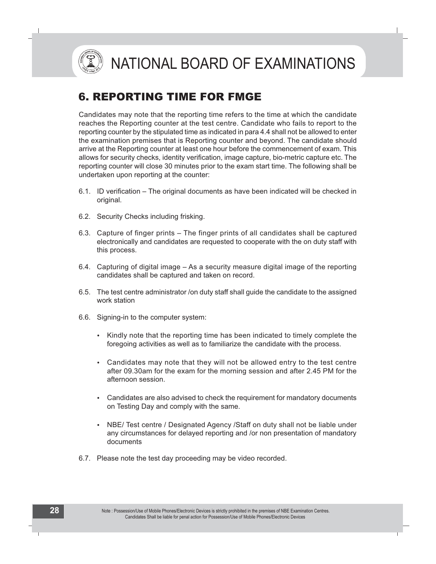

#### **6. REPORTING TIME FOR FMGE** 6. REPORTING TIME FOR FMGE

Candidates may note that the reporting time refers to the time at which the candidate reaches the Reporting counter at the test centre. Candidate who fails to report to the reporting counter by the stipulated time as indicated in para 4.4 shall not be allowed to enter the examination premises that is Reporting counter and beyond. The candidate should arrive at the Reporting counter at least one hour before the commencement of exam. This allows for security checks, identity verification, image capture, bio-metric capture etc. The reporting counter will close 30 minutes prior to the exam start time. The following shall be undertaken upon reporting at the counter:

- 6.1. ID verification The original documents as have been indicated will be checked in original.
- 6.2. Security Checks including frisking.
- 6.3. Capture of finger prints The finger prints of all candidates shall be captured electronically and candidates are requested to cooperate with the on duty staff with this process.
- 6.4. Capturing of digital image As a security measure digital image of the reporting candidates shall be captured and taken on record.
- 6.5. The test centre administrator /on duty staff shall guide the candidate to the assigned work station
- 6.6. Signing-in to the computer system:
	- Û Kindly note that the reporting time has been indicated to timely complete the foregoing activities as well as to familiarize the candidate with the process.
	- Candidates may note that they will not be allowed entry to the test centre after 09.30am for the exam for the morning session and after 2.45 PM for the afternoon session.
	- Candidates are also advised to check the requirement for mandatory documents on Testing Day and comply with the same.
	- NBE/ Test centre / Designated Agency /Staff on duty shall not be liable under any circumstances for delayed reporting and /or non presentation of mandatory documents
- 6.7. Please note the test day proceeding may be video recorded.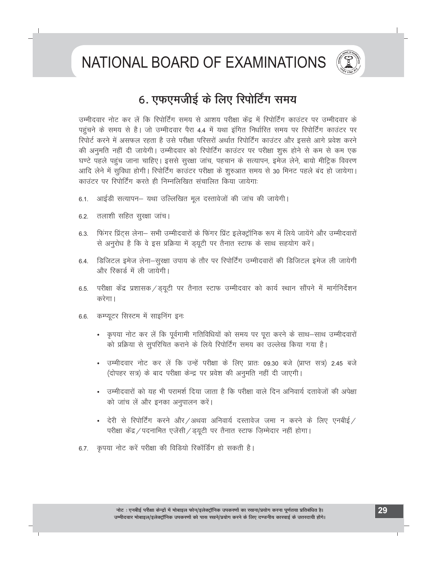

### 6. एफएमजीई के लिए रिपोर्टिंग समय

उम्मीदवार नोट कर लें कि रिपोर्टिंग समय से आशय परीक्षा केंद्र में रिपोर्टिंग काउंटर पर उम्मीदवार के पहुंचने के समय से है। जो उम्मीदवार पैरा 4.4 में यथा इंगित निर्धारित समय पर रिपोर्टिंग काउंटर पर रिपोर्ट करने में असफल रहता है उसे परीक्षा परिसरों अर्थात रिपोर्टिंग काउंटर और इससे आगे प्रवेश करने की अनुमति नहीं दी जायेगी। उम्मीदवार को रिपोर्टिंग काउंटर पर परीक्षा शुरू होने से कम से कम एक घण्टे पहले पहुंच जाना चाहिए। इससे सुरक्षा जांच, पहचान के सत्यापन, इमेज लेने, बायो मीट्रिक विवरण आदि लेने में सुविधा होगी। रिपोर्टिंग काउंटर परीक्षा के शुरुआत समय से 30 मिनट पहले बंद हो जायेगा। काउंटर पर रिपोर्टिंग करते ही निम्नलिखित संचालित किया जायेगाः

- आईडी सत्यापन– यथा उल्लिखित मूल दस्तावेजों की जांच की जायेगी।  $6.1.$
- तलाशी सहित सुरक्षा जांच।  $6.2.$
- फिंगर प्रिंटस लेना– सभी उम्मीदवारों के फिंगर प्रिंट इलेक्ट्रॉनिक रूप में लिये जायेंगे और उम्मीदवारों 6.3. से अनुरोध है कि वे इस प्रक्रिया में ड्यूटी पर तैनात स्टाफ के साथ सहयोग करें।
- डिजिटल इमेज लेना—सुरक्षा उपाय के तौर पर रिपोर्टिंग उम्मीदवारों की डिजिटल इमेज ली जायेगी 6.4. और रिकार्ड में ली जायेगी।
- 6.5. परीक्षा केंद्र प्रशासक / ड्यूटी पर तैनात स्टाफ उम्मीदवार को कार्य स्थान सौंपने में मार्गनिर्देशन करेगा।
- 6.6. कम्प्यूटर सिस्टम में साइनिंग इनः
	- कृपया नोट कर लें कि पूर्वगामी गतिविधियों को समय पर पूरा करने के साथ—साथ उम्मीदवारों को प्रक्रिया से सुपरिचित कराने के लिये रिपोर्टिंग समय का उल्लेख किया गया है।
	- उम्मीदवार नोट कर लें कि उन्हें परीक्षा के लिए प्रातः 09.30 बजे (प्राप्त सत्र) 2.45 बजे (दोपहर सत्र) के बाद परीक्षा केन्द्र पर प्रवेश की अनुमति नहीं दी जाएगी।
	- उम्मीदवारों को यह भी परामर्श दिया जाता है कि परीक्षा वाले दिन अनिवार्य दतावेजों की अपेक्षा को जांच लें और इनका अनुपालन करें।
	- देरी से रिपोर्टिंग करने और / अथवा अनिवार्य दस्तावेज जमा न करने के लिए एनबीई / परीक्षा केंद्र / पदनामित एजेंसी / डयूटी पर तैनात स्टाफ जिम्मेदार नहीं होगा।
- 6.7. कृपया नोट करें परीक्षा की विडियो रिकॉर्डिंग हो सकती है।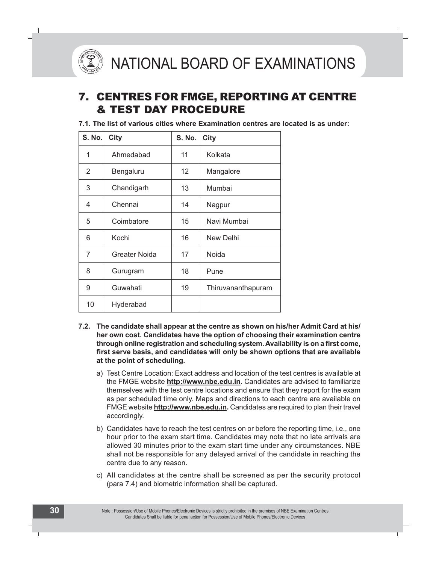

# 7. CENTRES FOR FMGE, REPORTING AT CENTRE<br>& TEST DAY PROCEDURE

**7.1. The list of various cities where Examination centres are located is as under:** 

| S. No. | City          | S. No. | <b>City</b>        |
|--------|---------------|--------|--------------------|
| 1      | Ahmedabad     | 11     | Kolkata            |
| 2      | Bengaluru     | 12     | Mangalore          |
| 3      | Chandigarh    | 13     | Mumbai             |
| 4      | Chennai       | 14     | Nagpur             |
| 5      | Coimbatore    | 15     | Navi Mumbai        |
| 6      | Kochi         | 16     | New Delhi          |
| 7      | Greater Noida | 17     | Noida              |
| 8      | Gurugram      | 18     | Pune               |
| 9      | Guwahati      | 19     | Thiruvananthapuram |
| 10     | Hyderabad     |        |                    |

- **7.2. The candidate shall appear at the centre as shown on his/her Admit Card at his/ her own cost. Candidates have the option of choosing their examination centre**  through online registration and scheduling system. Availability is on a first come, first serve basis, and candidates will only be shown options that are available **at the point of scheduling.**
	- a) Test Centre Location: Exact address and location of the test centres is available at the FMGE website **http://www.nbe.edu.in**. Candidates are advised to familiarize themselves with the test centre locations and ensure that they report for the exam as per scheduled time only. Maps and directions to each centre are available on FMGE website **http://www.nbe.edu.in.** Candidates are required to plan their travel accordingly.
	- b) Candidates have to reach the test centres on or before the reporting time, i.e., one hour prior to the exam start time. Candidates may note that no late arrivals are allowed 30 minutes prior to the exam start time under any circumstances. NBE shall not be responsible for any delayed arrival of the candidate in reaching the centre due to any reason.
	- c) All candidates at the centre shall be screened as per the security protocol (para 7.4) and biometric information shall be captured.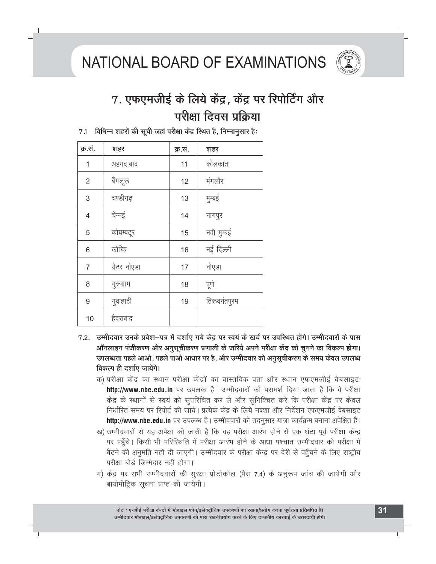

### 7. एफएमजीई के लिये केंद्र , केंद्र पर रिपोर्टिंग और परीक्षा दिवस प्रक्रिया

7.1 विभिन्न शहरों की सूची जहां परीक्षा केंद्र स्थित हैं, निम्नानुसार है:

| क्र.सं.        | शहर          | क्र.सं. | शहर          |
|----------------|--------------|---------|--------------|
| 1              | अहमदाबाद     | 11      | कोलकाता      |
| $\overline{2}$ | बैंगलूरू     | 12      | मंगलौर       |
| 3              | चण्डीगढ      | 13      | मुम्बई       |
| 4              | चेन्नई       | 14      | नागपुर       |
| 5              | कोयम्बटूर    | 15      | नवी मुम्बई   |
| 6              | कोच्चि       | 16      | नई दिल्ली    |
| 7              | ग्रेटर नोएडा | 17      | नोएडा        |
| 8              | गुरूग्राम    | 18      | पूर्णे       |
| 9              | गुवाहाटी     | 19      | तिरूवनंतपुरम |
| 10             | हैदराबाद     |         |              |

- 7.2. उम्मीदवार उनके प्रवेश–पत्र में दर्शाए गये केंद्र पर स्वयं के खर्च पर उपस्थित होंगे। उम्मीदवारों के पास ऑनलाइन पंजीकरण और अनुसूचीकरण प्रणाली के जरिये अपने परीक्षा केंद्र को चुनने का विकल्प होगा। उपलब्धता पहले आओ, पहले पाओ आधार पर है, और उम्मीदवार को अनुसुचीकरण के समय केवल उपलब्ध विकल्प ही दर्शाए जायेंगे।
	- क) परीक्षा केंद्र का स्थान परीक्षा केंद्रों का वास्तविक पता और स्थान एफएमजीई वेबसाइट: http://www.nbe.edu.in पर उपलब्ध है। उम्मीदवारों को परामर्श दिया जाता है कि वे परीक्षा केंद्र के स्थानों से स्वयं को सुपरिचित कर लें और सुनिश्चित करें कि परीक्षा केंद्र पर केवल निर्धारित समय पर रिपोर्ट की जाये। प्रत्येक केंद्र के लिये नक्शा और निर्देशन एफएमजीई वेबसाइट http://www.nbe.edu.in पर उपलब्ध है। उम्मीदवारों को तदनुसार यात्रा कार्यक्रम बनाना अपेक्षित है।
	- ख) उम्मीदवारों से यह अपेक्षा की जाती है कि वह परीक्षा आरंभ होने से एक घंटा पूर्व परीक्षा केन्द्र पर पहुँचे। किसी भी परिस्थिति में परीक्षा आरंभ होने के आधा पश्चात उम्मीदवार को परीक्षा में बैठने की अनुमति नहीं दी जाएगी। उम्मीदवार के परीक्षा केन्द्र पर देरी से पहुँचने के लिए राष्ट्रीय परीक्षा बोर्ड जिम्मेदार नहीं होगा।
	- ग) केंद्र पर सभी उम्मीदवारों की सुरक्षा प्रोटोकोल (पैरा 7.4) के अनुरूप जांच की जायेगी और बायोमीट्रिक सूचना प्राप्त की जायेगी।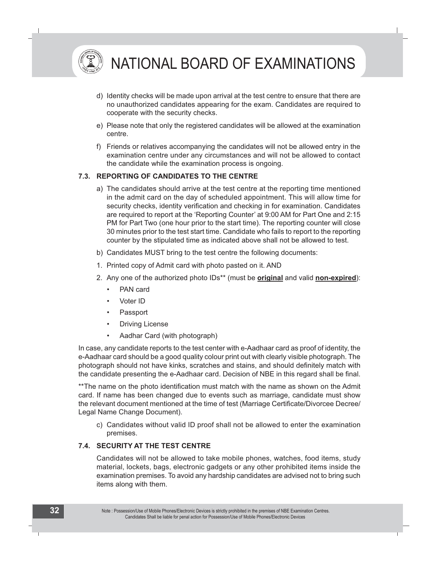

- d) Identity checks will be made upon arrival at the test centre to ensure that there are no unauthorized candidates appearing for the exam. Candidates are required to cooperate with the security checks.
- e) Please note that only the registered candidates will be allowed at the examination centre.
- f) Friends or relatives accompanying the candidates will not be allowed entry in the examination centre under any circumstances and will not be allowed to contact the candidate while the examination process is ongoing.

#### **7.3. REPORTING OF CANDIDATES TO THE CENTRE**

- a) The candidates should arrive at the test centre at the reporting time mentioned in the admit card on the day of scheduled appointment. This will allow time for security checks, identity verification and checking in for examination. Candidates are required to report at the 'Reporting Counter' at 9:00 AM for Part One and 2:15 PM for Part Two (one hour prior to the start time). The reporting counter will close 30 minutes prior to the test start time. Candidate who fails to report to the reporting counter by the stipulated time as indicated above shall not be allowed to test.
- b) Candidates MUST bring to the test centre the following documents:
- 1. Printed copy of Admit card with photo pasted on it. AND
- 2. Any one of the authorized photo IDs\*\* (must be **original** and valid **non-expired**):
	- PAN card
	- Voter ID
	- Passport
	- Driving License
	- Aadhar Card (with photograph)

In case, any candidate reports to the test center with e-Aadhaar card as proof of identity, the e-Aadhaar card should be a good quality colour print out with clearly visible photograph. The photograph should not have kinks, scratches and stains, and should definitely match with the candidate presenting the e-Aadhaar card. Decision of NBE in this regard shall be final.

\*\*The name on the photo identification must match with the name as shown on the Admit card. If name has been changed due to events such as marriage, candidate must show the relevant document mentioned at the time of test (Marriage Certificate/Divorcee Decree/ Legal Name Change Document).

c) Candidates without valid ID proof shall not be allowed to enter the examination premises.

#### **7.4. SECURITY AT THE TEST CENTRE**

Candidates will not be allowed to take mobile phones, watches, food items, study material, lockets, bags, electronic gadgets or any other prohibited items inside the examination premises. To avoid any hardship candidates are advised not to bring such items along with them.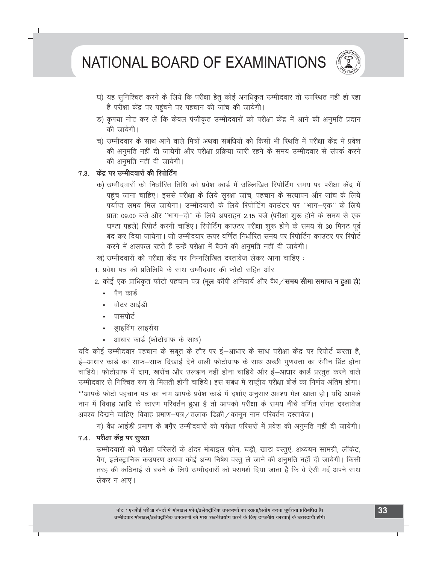

- घ) यह सुनिश्चित करने के लिये कि परीक्षा हेतू कोई अनधिकृत उम्मीदवार तो उपस्थित नहीं हो रहा है परीक्षा केंद्र पर पहुंचने पर पहचान की जांच की जायेगी।
- ङ) कृपया नोट कर लें कि केवल पंजीकृत उम्मीदवारों को परीक्षा केंद्र में आने की अनुमति प्रदान की जायेगी।
- च) उम्मीदवार के साथ आने वाले मित्रों अथवा संबंधियों को किसी भी स्थिति में परीक्षा केंद्र में प्रवेश की अनुमति नहीं दी जायेगी और परीक्षा प्रक्रिया जारी रहने के समय उम्मीदवार से संपर्क करने की अनुमति नहीं दी जायेगी।

#### 7.3. केंद्र पर उम्मीदवारों की रिपोर्टिंग

क) उम्मीदवारों को निर्धारित तिथि को प्रवेश कार्ड में उल्लिखित रिपोर्टिंग समय पर परीक्षा केंद्र में पहुंच जाना चाहिए। इससे परीक्षा के लिये सुरक्षा जांच, पहचान के सत्यापन और जांच के लिये पर्याप्त समय मिल जायेगा। उम्मीदवारों के लिये रिपोर्टिंग काउंटर पर ''भाग—एक'' के लिये प्रातः 09.00 बजे और ''भाग-दो'' के लिये अपराहन 2.15 बजे (परीक्षा शुरू होने के समय से एक घण्टा पहले) रिपोर्ट करनी चाहिए। रिपोर्टिंग काउंटर परीक्षा शुरू होने के समय से 30 मिनट पूर्व बंद कर दिया जायेगा। जो उम्मीदवार ऊपर वर्णित निर्धारित समय पर रिपोर्टिंग काउंटर पर रिपोर्ट करने में असफल रहते हैं उन्हें परीक्षा में बैठने की अनुमति नहीं दी जायेगी।

ख) उम्मीदवारों को परीक्षा केंद्र पर निम्नलिखित दस्तावेज लेकर आना चाहिए:

- 1. प्रवेश पत्र की प्रतिलिपि के साथ उम्मीदवार की फोटो सहित और
- 2. कोई एक प्राधिकृत फोटो पहचान पत्र (मूल कॉपी अनिवार्य और वैध / समय सीमा समाप्त न हुआ हो)
	- पैन कार्ड
	- वोटर आईडी
	- पासपोर्ट
	- ज्ञाइविंग लाइसेंस
	- आधार कार्ड (फोटोग्राफ के साथ)

यदि कोई उम्मीदवार पहचान के सबूत के तौर पर ई–आधार के साथ परीक्षा केंद्र पर रिपोर्ट करता है, ई–आधार कार्ड का साफ–साफ दिखाई देने वाली फोटोग्राफ के साथ अच्छी गुणवत्ता का रंगीन प्रिंट होना चाहिये। फोटोग्राफ में दाग, खरोंच और उलझन नहीं होना चाहिये और ई—आधार कार्ड प्रस्तुत करने वाले उम्मीदवार से निश्चित रूप से मिलती होनी चाहिये। इस संबंध में राष्ट्रीय परीक्षा बोर्ड का निर्णय अंतिम होगा। \*\*आपके फोटो पहचान पत्र का नाम आपके प्रवेश कार्ड में दर्शाए अनुसार अवश्य मेल खाता हो। यदि आपके नाम में विवाह आदि के कारण परिवर्तन हुआ है तो आपको परीक्षा के समय नीचे वर्णित संगत दस्तावेज अवश्य दिखने चाहिएः विवाह प्रमाण-पत्र/तलाक डिक्री/कानून नाम परिवर्तन दस्तावेज।

ग) वैध आईडी प्रमाण के बगै़र उम्मीदवारों को परीक्षा परिसरों में प्रवेश की अनुमति नहीं दी जायेगी।

#### 7.4. परीक्षा केंद्र पर सुरक्षा

उम्मीदवारों को परीक्षा परिसरों के अंदर मोबाइल फोन, घड़ी, खाद्य वस्तूएं, अध्ययन सामग्री, लॉकेट, बैग, इलेक्ट्रानिक कउपरण अथवा कोई अन्य निषेध वस्तू ले जाने की अनुमति नहीं दी जायेगी। किसी तरह की कठिनाई से बचने के लिये उम्मीदवारों को परामर्श दिया जाता है कि वे ऐसी मदें अपने साथ लेकर न आएं।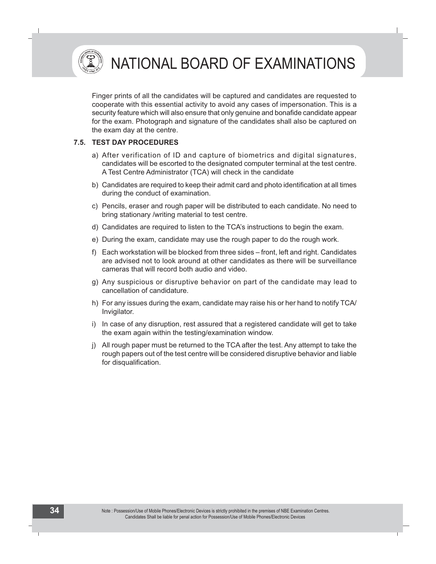

Finger prints of all the candidates will be captured and candidates are requested to cooperate with this essential activity to avoid any cases of impersonation. This is a security feature which will also ensure that only genuine and bonafide candidate appear for the exam. Photograph and signature of the candidates shall also be captured on the exam day at the centre.

#### **7.5. TEST DAY PROCEDURES**

- a) After verification of ID and capture of biometrics and digital signatures, candidates will be escorted to the designated computer terminal at the test centre. A Test Centre Administrator (TCA) will check in the candidate
- b) Candidates are required to keep their admit card and photo identification at all times during the conduct of examination.
- c) Pencils, eraser and rough paper will be distributed to each candidate. No need to bring stationary /writing material to test centre.
- d) Candidates are required to listen to the TCA's instructions to begin the exam.
- e) During the exam, candidate may use the rough paper to do the rough work.
- f) Each workstation will be blocked from three sides front, left and right. Candidates are advised not to look around at other candidates as there will be surveillance cameras that will record both audio and video.
- g) Any suspicious or disruptive behavior on part of the candidate may lead to cancellation of candidature.
- h) For any issues during the exam, candidate may raise his or her hand to notify TCA/ Invigilator.
- i) In case of any disruption, rest assured that a registered candidate will get to take the exam again within the testing/examination window.
- j) All rough paper must be returned to the TCA after the test. Any attempt to take the rough papers out of the test centre will be considered disruptive behavior and liable for disqualification.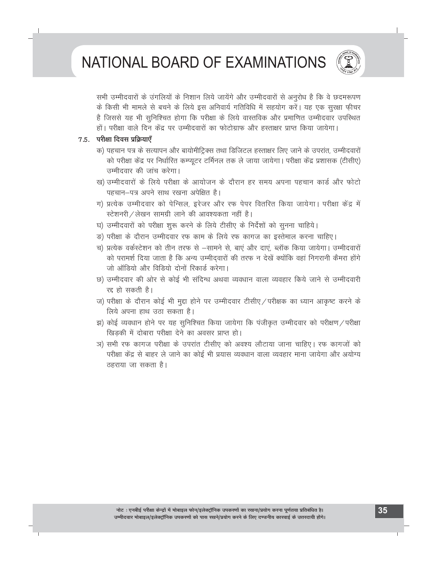

सभी उम्मीदवारों के उंगलियों के निशान लिये जायेंगे और उम्मीदवारों से अनुरोध है कि वे छदमरूपण के किसी भी मामले से बचने के लिये इस अनिवार्य गतिविधि में सहयोग करें। यह एक सुरक्षा फीचर है जिससे यह भी सुनिश्चित होगा कि परीक्षा के लिये वास्तविक और प्रमाणित उम्मीदवार उपस्थित हों। परीक्षा वाले दिन केंद्र पर उम्मीदवारों का फोटोग्राफ और हस्ताक्षर प्राप्त किया जायेगा।

#### 7.5. परीक्षा दिवस प्रक्रियाएँ

- क) पहचान पत्र के सत्यापन और बायोमीट्रिक्स तथा डिजिटल हस्ताक्षर लिए जाने के उपरांत, उम्मीदवारों को परीक्षा केंद्र पर निर्धारित कम्प्यटर टर्मिनल तक ले जाया जायेगा। परीक्षा केंद्र प्रशासक (टीसीए) उम्मीदवार की जांच करेगा।
- ख) उम्मीदवारों के लिये परीक्षा के आयोजन के दौरान हर समय अपना पहचान कार्ड और फोटो पहचान-पत्र अपने साथ रखना अपेक्षित है।
- ग) प्रत्येक उम्मीदवार को पेन्सिल, इरेजर और रफ पेपर वितरित किया जायेगा। परीक्षा केंद्र में स्टेशनरी / लेखन सामग्री लाने की आवश्यकता नहीं है।
- घ) उम्मीदवारों को परीक्षा शुरू करने के लिये टीसीए के निर्देशों को सुनना चाहिये।
- ङ) परीक्षा के दौरान उम्मीदवार रफ काम के लिये रफ कागज का इस्तेमाल करना चाहिए।
- च) प्रत्येक वर्कस्टेशन को तीन तरफ से –सामने से. बाएं और दाएं. ब्लॉक किया जायेगा। उम्मीदवारों को परामर्श दिया जाता है कि अन्य उम्मीदवारों की तरफ न देखें क्योंकि वहां निगरानी कैमरा होंगे जो ऑडियो और विडियो दोनों रिकार्ड करेगा।
- छ) उम्मीदवार की ओर से कोई भी संदिग्ध अथवा व्यवधान वाला व्यवहार किये जाने से उम्मीदवारी रद्द हो सकती है।
- ज) परीक्षा के दौरान कोई भी मुद्दा होने पर उम्मीदवार टीसीए / परीक्षक का ध्यान आकृष्ट करने के लिये अपना हाथ उठा सकता है।
- झ) कोई व्यवधान होने पर यह सुनिश्चित किया जायेगा कि पंजीकृत उम्मीदवार को परीक्षण/परीक्षा खिड़की में दोबारा परीक्षा देने का अवसर प्राप्त हो।
- ञ) सभी रफ कागज परीक्षा के उपरांत टीसीए को अवश्य लौटाया जाना चाहिए। रफ कागजों को परीक्षा केंद्र से बाहर ले जाने का कोई भी प्रयास व्यवधान वाला व्यवहार माना जायेगा और अयोग्य ठहराया जा सकता है।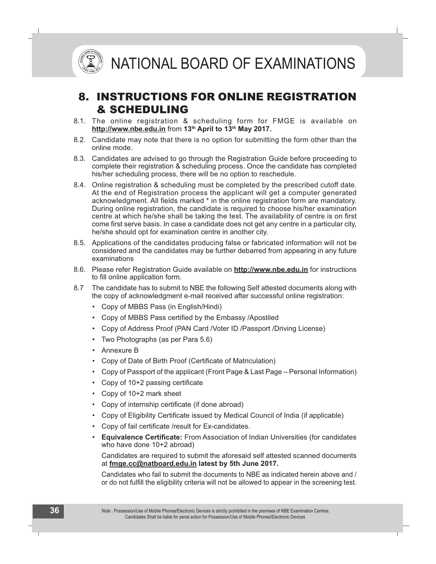

### 8. INSTRUCTIONS FOR ONLINE REGISTRATION **& SCHEDULING**

- 8.1. The online registration & scheduling form for FMGE is available on **http://www.nbe.edu.in** from **13th April to 13th May 2017.**
- 8.2. Candidate may note that there is no option for submitting the form other than the online mode.
- 8.3. Candidates are advised to go through the Registration Guide before proceeding to complete their registration & scheduling process. Once the candidate has completed his/her scheduling process, there will be no option to reschedule.
- 8.4. Online registration & scheduling must be completed by the prescribed cutoff date. At the end of Registration process the applicant will get a computer generated acknowledgment. All fields marked \* in the online registration form are mandatory. During online registration, the candidate is required to choose his/her examination centre at which he/she shall be taking the test. The availability of centre is on first come first serve basis. In case a candidate does not get any centre in a particular city, he/she should opt for examination centre in another city.
- 8.5. Applications of the candidates producing false or fabricated information will not be considered and the candidates may be further debarred from appearing in any future examinations
- 8.6. Please refer Registration Guide available on **http://www.nbe.edu.in** for instructions to fill online application form.
- 8.7 The candidate has to submit to NBE the following Self attested documents along with the copy of acknowledgment e-mail received after successful online registration:
	- Copy of MBBS Pass (in English/Hindi)
	- Copy of MBBS Pass certified by the Embassy /Apostiled
	- Copy of Address Proof (PAN Card /Voter ID /Passport /Driving License)
	- Two Photographs (as per Para 5.6)
	- $\cdot$  Annexure B
	- Copy of Date of Birth Proof (Certificate of Matriculation)
	- Copy of Passport of the applicant (Front Page & Last Page Personal Information)
	- $\cdot$  Copy of 10+2 passing certificate
	- Copy of 10+2 mark sheet
	- Copy of internship certificate (if done abroad)
	- Copy of Eligibility Certificate issued by Medical Council of India (if applicable)
	- Copy of fail certificate /result for Ex-candidates.
	- **Equivalence Certificate:** From Association of Indian Universities (for candidates who have done 10+2 abroad)

 Candidates are required to submit the aforesaid self attested scanned documents at **fmge.cc@natboard.edu.in latest by 5th June 2017.**

Candidates who fail to submit the documents to NBE as indicated herein above and / or do not fulfill the eligibility criteria will not be allowed to appear in the screening test.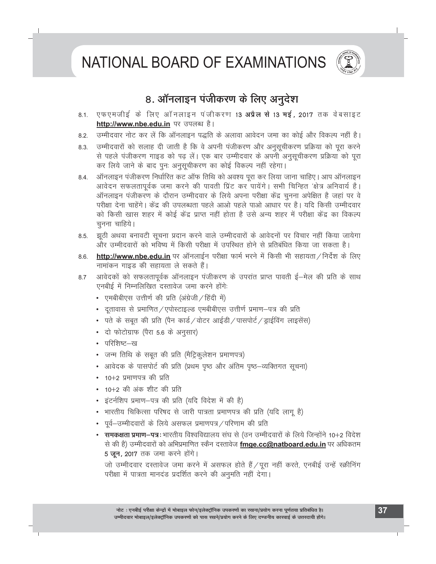

### 8. ऑनलाइन पंजीकरण के लिए अनुदेश

- 8.1. एफएमजीई के लिए ऑनलाइन पंजीकरण 1**3 अप्रेल से 13 मई, 2017** तक वेबसाइट http://www.nbe.edu.in पर उपलब्ध है।
- उम्मीदवार नोट कर लें कि ऑनलाइन पद्धति के अलावा आवेदन जमा का कोई और विकल्प नहीं है।  $8.2.$
- उम्मीदवारों को सलाह दी जाती है कि वे अपनी पंजीकरण और अनुसुचीकरण प्रक्रिया को पुरा करने 8.3. से पहले पंजीकरण गाइड को पढ लें। एक बार उम्मीदवार के अपनी अनुसूचीकरण प्रक्रिया को पूरा कर लिये जाने के बाद पूनः अनुसूचीकरण का कोई विकल्प नहीं रहेगा।
- ऑनलाइन पंजीकरण निर्धारित कट ऑफ तिथि को अवश्य पूरा कर लिया जाना चाहिए। आप ऑनलाइन 8.4. आवेदन सफलतापूर्वक जमा करने की पावती प्रिंट कर पायेंगे। सभी चिन्हित 'क्षेत्र अनिवार्य है। ऑनलाइन पंजीकरण के दौरान उम्मीदवार के लिये अपना परीक्षा केंद्र चुनना अपेक्षित है जहां पर वे परीक्षा देना चाहेंगे। केंद्र की उपलब्धता पहले आओ पहले पाओ आधार पर है। यदि किसी उम्मीदवार को किसी खास शहर में कोई केंद्र प्राप्त नहीं होता है उसे अन्य शहर में परीक्षा केंद्र का विकल्प चुनना चाहिये।
- झूठी अथवा बनावटी सूचना प्रदान करने वाले उम्मीदवारों के आवेदनों पर विचार नहीं किया जायेगा  $8.5.$ और उम्मीदवारों को भविष्य में किसी परीक्षा में उपस्थित होने से प्रतिबंधित किया जा सकता है।
- http://www.nbe.edu.in पर ऑनलाईन परीक्षा फार्म भरने में किसी भी सहायता / निर्देश के लिए  $8.6.$ नामांकन गाइड की सहायता ले सकते हैं।
- आवेदकों को सफलतापूर्वक ऑनलाइन पंजीकरण के उपरांत प्राप्त पावती ई—मेल की प्रति के साथ 8.7 एनबीई में निम्नलिखित दस्तावेज जमा करने होंगे:
	- एमबीबीएस उत्तीर्ण की प्रति (अंग्रेजी / हिंदी में)
	- दूतावास से प्रमाणित/एपोस्टाइल्ड एमबीबीएस उत्तीर्ण प्रमाण–पत्र की प्रति
	- पते के सबूत की प्रति (पैन कार्ड/वोटर आईडी/पासपोर्ट/ड्राईविंग लाइसेंस)
	- दो फोटोग्राफ (पैरा 5.6 के अनुसार)
	- परिशिष्ट—ख
	- जन्म तिथि के सबूत की प्रति (मैट्रिकुलेशन प्रमाणपत्र)
	- आवेदक के पासपोर्ट की प्रति (प्रथम पृष्ठ और अंतिम पृष्ठ–व्यक्तिगत सूचना)
	- 10+2 प्रमाणपत्र की प्रति
	- 10+2 की अंक शीट की प्रति
	- इंटर्नशिप प्रमाण-पत्र की प्रति (यदि विदेश में की है)
	- भारतीय चिकित्सा परिषद से जारी पात्रता प्रमाणपत्र की प्रति (यदि लागू है)
	- पूर्व—उम्मीदवारों के लिये असफल प्रमाणपत्र ⁄ परिणाम की प्रति
	- समकक्षता प्रमाण–पत्र: भारतीय विश्वविद्यालय संघ से (उन उम्मीदवारों के लिये जिन्होंने 10+2 विदेश से की है) उम्मीदवारों को अभिप्रमाणित स्कैन दस्तावेज *fmge.cc@natboard.edu.in* पर अधिकतम 5 जून, 2017 तक जमा करने होंगे।

जो उम्मीदवार दस्तावेज जमा करने में असफल होते हैं / पूरा नहीं करते, एनबीई उन्हें स्क्रीनिंग परीक्षा में पात्रता मानदंड प्रदर्शित करने की अनुमति नहीं देगा।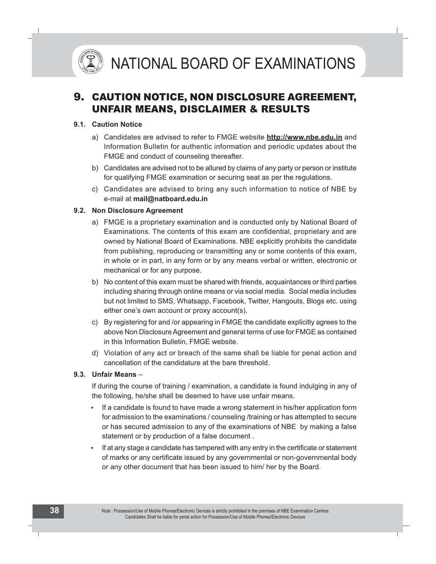

### **9. CAUTION NOTICE, NON DISCLOSURE AGREEMENT,<br>UNFAIR MEANS, DISCLAIMER & RESULTS**  $\mathcal{L}$  ,  $\mathcal{L}$  ,  $\mathcal{L}$  ,  $\mathcal{L}$  ,  $\mathcal{L}$  ,  $\mathcal{L}$  ,  $\mathcal{L}$  ,  $\mathcal{L}$  ,  $\mathcal{L}$  ,  $\mathcal{L}$  ,  $\mathcal{L}$  ,  $\mathcal{L}$  ,  $\mathcal{L}$  ,  $\mathcal{L}$  ,  $\mathcal{L}$  ,  $\mathcal{L}$  ,  $\mathcal{L}$  ,  $\mathcal{L}$  ,  $\mathcal{L}$  ,  $\mathcal{L}$  ,

#### **9.1. Caution Notice**

- a) Candidates are advised to refer to FMGE website **http://www.nbe.edu.in** and Information Bulletin for authentic information and periodic updates about the FMGE and conduct of counseling thereafter.
- b) Candidates are advised not to be allured by claims of any party or person or institute for qualifying FMGE examination or securing seat as per the regulations.
- c) Candidates are advised to bring any such information to notice of NBE by e-mail at **mail@natboard.edu.in**

#### **9.2. Non Disclosure Agreement**

- a) FMGE is a proprietary examination and is conducted only by National Board of Examinations. The contents of this exam are confidential, proprietary and are owned by National Board of Examinations. NBE explicitly prohibits the candidate from publishing, reproducing or transmitting any or some contents of this exam, in whole or in part, in any form or by any means verbal or written, electronic or mechanical or for any purpose.
- b) No content of this exam must be shared with friends, acquaintances or third parties including sharing through online means or via social media. Social media includes but not limited to SMS, Whatsapp, Facebook, Twitter, Hangouts, Blogs etc. using either one's own account or proxy account(s).
- c) By registering for and /or appearing in FMGE the candidate explicitly agrees to the above Non Disclosure Agreement and general terms of use for FMGE as contained in this Information Bulletin, FMGE website.
- d) Violation of any act or breach of the same shall be liable for penal action and cancellation of the candidature at the bare threshold.

#### **9.3. Unfair Means -**

If during the course of training / examination, a candidate is found indulging in any of the following, he/she shall be deemed to have use unfair means.

- Û If a candidate is found to have made a wrong statement in his/her application form for admission to the examinations / counseling /training or has attempted to secure or has secured admission to any of the examinations of NBE by making a false statement or by production of a false document .
- If at any stage a candidate has tampered with any entry in the certificate or statement of marks or any certificate issued by any governmental or non-governmental body or any other document that has been issued to him/ her by the Board.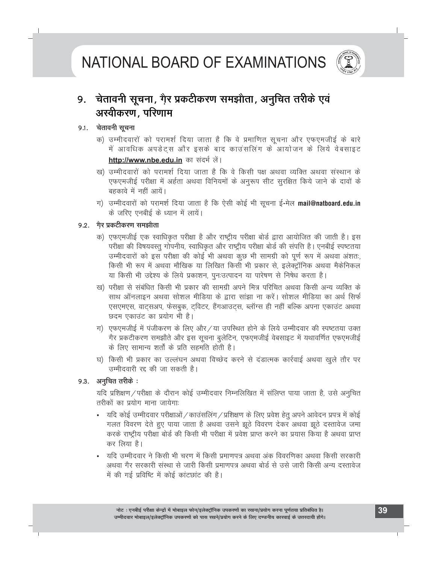

#### चेतावनी सूचना, गैर प्रकटीकरण समझौता, अनुचित तरीके एवं 9. अस्वीकरण, परिणाम

### 9.1. चेतावनी सूचना

- क) उम्मीदवारों को परामर्श दिया जाता है कि वे प्रमाणित सुचना और एफएमजीई के बारे में आवधिक अपडेट्स और इसके बाद काउंसलिंग के आयोजन के लिये वेबसाइट http://www.nbe.edu.in का संदर्भ लें।
- ख) उम्मीदवारों को परामर्श दिया जाता है कि वे किसी पक्ष अथवा व्यक्ति अथवा संस्थान के एफएमजीई परीक्षा में अर्हता अथवा विनियमों के अनुरूप सीट सुरक्षित किये जाने के दावों के बहकावे में नहीं आयें।
- ग) उम्मीदवारों को परामर्श दिया जाता है कि ऐसी कोई भी सचना ई-मेल mail@natboard.edu.in के जरिए एनबीई के ध्यान में लायें।

#### 9.2. गैर प्रकटीकरण समझौता

- क) एफएमजीई एक स्वाधिकृत परीक्षा है और राष्ट्रीय परीक्षा बोर्ड द्वारा आयोजित की जाती है। इस परीक्षा की विषयवस्तु गोपनीय, स्वाधिकृत और राष्ट्रीय परीक्षा बोर्ड की संपत्ति है। एनबीई स्पष्टतया उम्मीदवारों को इस परीक्षा की कोई भी अथवा कुछ भी सामग्री को पूर्ण रूप में अथवा अंशतः, किसी भी रूप में अथवा मौखिक या लिखित किसी भी प्रकार से, इलेक्ट्रॉनिक अथवा मैकेनिकल या किसी भी उद्देश्य के लिये प्रकाशन, पुनःउत्पादन या पारेषण से निषेध करता है।
- ख) परीक्षा से संबंधित किसी भी प्रकार की सामग्री अपने मित्र परिचित अथवा किसी अन्य व्यक्ति के साथ ऑनलाइन अथवा सोशल मीडिया के द्वारा सांझा ना करें। सोशल मीडिया का अर्थ सिर्फ एसएमएस, वाट्सअप, फेसबुक, टविटर, हैंगआउट्स, ब्लॉग्स ही नहीं बल्कि अपना एकाउंट अथवा छदम एकाउंट का प्रयोग भी है।
- ग) एफएमजीई में पंजीकरण के लिए और / या उपस्थित होने के लिये उम्मीदवार की स्पष्टतया उक्त गैर प्रकटीकरण समझौते और इस सूचना बुलेटिन, एफएमजीई वेबसाइट में यथावर्णित एफएमजीई के लिए सामान्य शर्तों के प्रति सहमति होती है।
- घ) किसी भी प्रकार का उल्लंघन अथवा विच्छेद करने से दंडात्मक कार्रवाई अथवा खुले तौर पर उम्मीदवारी रद्द की जा सकती है।

### 9.3. अनुचित तरीके :

यदि प्रशिक्षण/परीक्षा के दौरान कोई उम्मीदवार निम्नलिखित में संलिप्त पाया जाता है, उसे अनूचित तरीकों का प्रयोग माना जायेगा:

- ्यदि कोई उम्मीदवार परीक्षाओं / काउंसलिंग / प्रशिक्षण के लिए प्रवेश हेतु अपने आवेदन प्रपत्र में कोई गलत विवरण देते हुए पाया जाता है अथवा उसने झूठे विवरण देकर अथवा झूठे दस्तावेज जमा करके राष्ट्रीय परीक्षा बोर्ड की किसी भी परीक्षा में प्रवेश प्राप्त करने का प्रयास किया है अथवा प्राप्त कर लिया है।
- यदि उम्मीदवार ने किसी भी चरण में किसी प्रमाणपत्र अथवा अंक विवरणिका अथवा किसी सरकारी अथवा गैर सरकारी संस्था से जारी किसी प्रमाणपत्र अथवा बोर्ड से उसे जारी किसी अन्य दस्तावेज में की गई प्रविष्टि में कोई कांटछांट की है।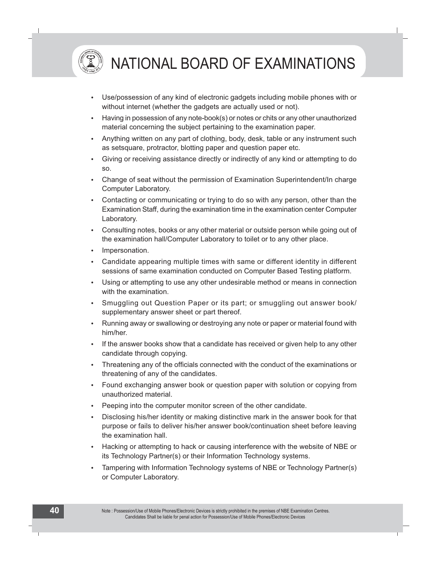

- Û Use/possession of any kind of electronic gadgets including mobile phones with or without internet (whether the gadgets are actually used or not).
- Having in possession of any note-book(s) or notes or chits or any other unauthorized material concerning the subject pertaining to the examination paper.
- Û Anything written on any part of clothing, body, desk, table or any instrument such as setsquare, protractor, blotting paper and question paper etc.
- Û Giving or receiving assistance directly or indirectly of any kind or attempting to do so.
- Change of seat without the permission of Examination Superintendent/In charge Computer Laboratory.
- Contacting or communicating or trying to do so with any person, other than the Examination Staff, during the examination time in the examination center Computer Laboratory.
- Û Consulting notes, books or any other material or outside person while going out of the examination hall/Computer Laboratory to toilet or to any other place.
- Impersonation.
- Candidate appearing multiple times with same or different identity in different sessions of same examination conducted on Computer Based Testing platform.
- Û Using or attempting to use any other undesirable method or means in connection with the examination.
- Smuggling out Question Paper or its part; or smuggling out answer book/ supplementary answer sheet or part thereof.
- Û Running away or swallowing or destroying any note or paper or material found with him/her.
- Û If the answer books show that a candidate has received or given help to any other candidate through copying.
- Threatening any of the officials connected with the conduct of the examinations or threatening of any of the candidates.
- Û Found exchanging answer book or question paper with solution or copying from unauthorized material.
- Peeping into the computer monitor screen of the other candidate.
- Disclosing his/her identity or making distinctive mark in the answer book for that purpose or fails to deliver his/her answer book/continuation sheet before leaving the examination hall.
- Hacking or attempting to hack or causing interference with the website of NBE or its Technology Partner(s) or their Information Technology systems.
- Tampering with Information Technology systems of NBE or Technology Partner(s) or Computer Laboratory.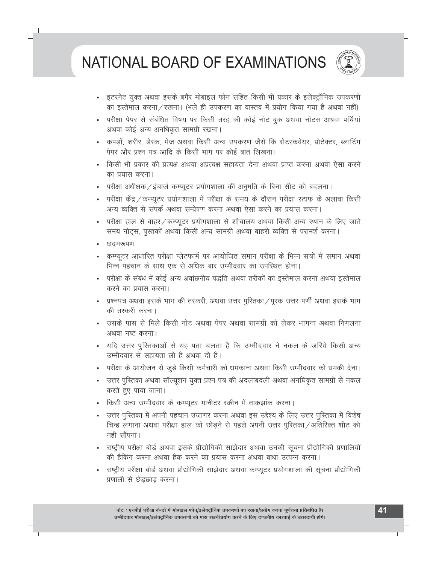

- इंटरनेट युक्त अथवा इसके बगैर मोबाइल फोन सहित किसी भी प्रकार के इलेक्ट्रॉनिक उपकरणों का इस्तेमाल करना / रखना। (भले ही उपकरण का वास्तव में प्रयोग किया गया है अथवा नहीं)
- परीक्षा पेपर से संबंधित विषय पर किसी तरह की कोई नोट बूक अथवा नोटस अथवा पर्चियां अथवा कोई अन्य अनधिकृत सामग्री रखना।
- कपड़ों, शरीर, डेस्क, मेज अथवा किसी अन्य उपकरण जैसे कि सेटस्कवेयर, प्रोटेक्टर, ब्लाटिंग पेपर और प्रश्न पत्र आदि के किसी भाग पर कोई बात लिखना।
- किसी भी प्रकार की प्रत्यक्ष अथवा अप्रत्यक्ष सहायता देना अथवा प्राप्त करना अथवा ऐसा करने का प्रयास करना।
- परीक्षा अधीक्षक / इंचार्ज कम्प्यूटर प्रयोगशाला की अनुमति के बिना सीट को बदलना।
- परीक्षा केंद्र / कम्प्यूटर प्रयोगशाला में परीक्षा के समय के दौरान परीक्षा स्टाफ के अलावा किसी अन्य व्यक्ति से संपर्क अथवा सम्प्रेषण करना अथवा ऐसा करने का प्रयास करना।
- परीक्षा हाल से बाहर/कम्प्यूटर प्रयोगशाला से शौचालय अथवा किसी अन्य स्थान के लिए जाते समय नोट्स, पुस्तकों अथवा किसी अन्य सामग्री अथवा बाहरी व्यक्ति से परामर्श करना।
- छदमरूपण
- कम्प्यूटर आधारित परीक्षा प्लेटफार्म पर आयोजित समान परीक्षा के भिन्न सत्रों में समान अथवा भिन्न पहचान के साथ एक से अधिक बार उम्मीदवार का उपस्थित होना।
- परीक्षा के संबंध में कोई अन्य अवांछनीय पद्धति अथवा तरीकों का इस्तेमाल करना अथवा इस्तेमाल करने का प्रयास करना।
- प्रश्नपत्र अथवा इसके भाग की तस्करी, अथवा उत्तर पुस्तिका / पूरक उत्तर पर्णी अथवा इसके भाग की तस्करी करना।
- उसके पास से मिले किसी नोट अथवा पेपर अथवा सामग्री को लेकर भागना अथवा निगलना अथवा नष्ट करना।
- यदि उत्तर पुरितकाओं से यह पता चलता है कि उम्मीदवार ने नकल के जरिये किसी अन्य उम्मीदवार से सहायता ली है अथवा दी है।
- परीक्षा के आयोजन से जुड़े किसी कर्मचारी को धमकाना अथवा किसी उम्मीदवार को धमकी देना।
- उत्तर पुरितका अथवा सॉल्यूशन युक्त प्रश्न पत्र की अदलाबदली अथवा अनधिकृत सामग्री से नकल करते हुए पाया जाना।
- किसी अन्य उम्मीदवार के कम्प्यूटर मानीटर स्क्रीन में ताकझांक करना।
- ंउत्तर पुरितका में अपनी पहचान उजागर करना अथवा इस उद्देश्य के लिए उत्तर पुरितका में विशेष चिन्ह लगाना अथवा परीक्षा हाल को छोड़ने से पहले अपनी उत्तर पुस्तिका / अतिरिक्त शीट को नहीं सौंपना।
- राष्ट्रीय परीक्षा बोर्ड अथवा इसके प्रौद्योगिकी साझेदार अथवा उनकी सूचना प्रौद्योगिकी प्रणालियों की हैकिंग करना अथवा हैक करने का प्रयास करना अथवा बाधा उत्पन्न करना।
- राष्ट्रीय परीक्षा बोर्ड अथवा प्रौद्योगिकी साझेदार अथवा कम्प्यूटर प्रयोगशाला की सूचना प्रौद्योगिकी प्रणाली से छेड़छाड़ करना।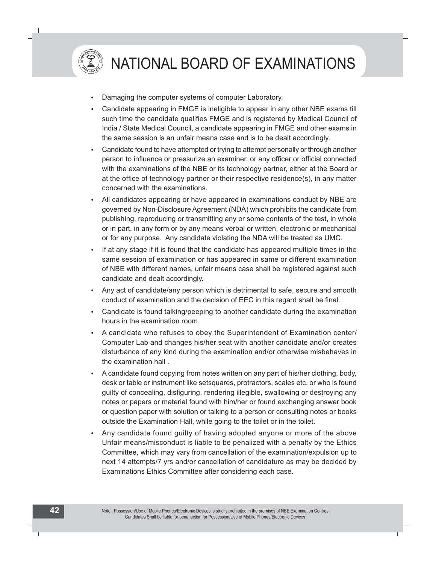

- Damaging the computer systems of computer Laboratory.
- Û Candidate appearing in FMGE is ineligible to appear in any other NBE exams till such time the candidate qualifies FMGE and is registered by Medical Council of India / State Medical Council, a candidate appearing in FMGE and other exams in the same session is an unfair means case and is to be dealt accordingly.
- Candidate found to have attempted or trying to attempt personally or through another person to influence or pressurize an examiner, or any officer or official connected with the examinations of the NBE or its technology partner, either at the Board or at the office of technology partner or their respective residence(s), in any matter concerned with the examinations.
- Û All candidates appearing or have appeared in examinations conduct by NBE are governed by Non-Disclosure Agreement (NDA) which prohibits the candidate from publishing, reproducing or transmitting any or some contents of the test, in whole or in part, in any form or by any means verbal or written, electronic or mechanical or for any purpose. Any candidate violating the NDA will be treated as UMC.
- Û If at any stage if it is found that the candidate has appeared multiple times in the same session of examination or has appeared in same or different examination of NBE with different names, unfair means case shall be registered against such candidate and dealt accordingly.
- Û Any act of candidate/any person which is detrimental to safe, secure and smooth conduct of examination and the decision of EEC in this regard shall be final.
- Candidate is found talking/peeping to another candidate during the examination hours in the examination room.
- A candidate who refuses to obey the Superintendent of Examination center/ Computer Lab and changes his/her seat with another candidate and/or creates disturbance of any kind during the examination and/or otherwise misbehaves in the examination hall .
- Û A candidate found copying from notes written on any part of his/her clothing, body, desk or table or instrument like setsquares, protractors, scales etc. or who is found quilty of concealing, disfiguring, rendering illegible, swallowing or destroying any notes or papers or material found with him/her or found exchanging answer book or question paper with solution or talking to a person or consulting notes or books outside the Examination Hall, while going to the toilet or in the toilet.
- Any candidate found guilty of having adopted anyone or more of the above Unfair means/misconduct is liable to be penalized with a penalty by the Ethics Committee, which may vary from cancellation of the examination/expulsion up to next 14 attempts/7 yrs and/or cancellation of candidature as may be decided by Examinations Ethics Committee after considering each case.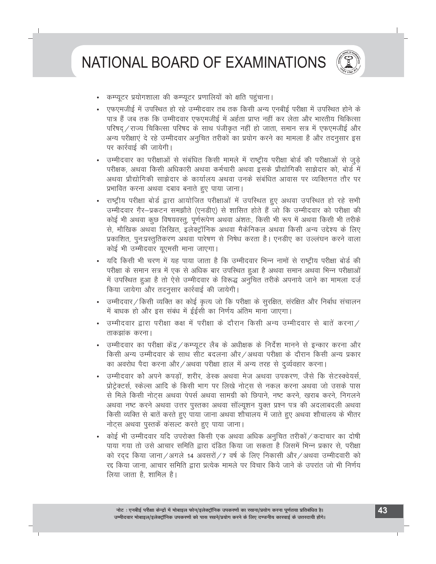

- कम्प्यटर प्रयोगशाला की कम्प्यटर प्रणालियों को क्षति पहचाना।
- एफएमजीई में उपस्थित हो रहे उम्मीदवार तब तक किसी अन्य एनबीई परीक्षा में उपस्थित होने के पात्र हैं जब तक कि उम्मीदवार एफएमजीई में अर्हता प्राप्त नहीं कर लेता और भारतीय चिकित्सा परिषद्/राज्य चिकित्सा परिषद के साथ पंजीकृत नहीं हो जाता, समान सत्र में एफएमजीई और अन्य परीक्षाएं दे रहे उम्मीदवार अनूचित तरीकों का प्रयोग करने का मामला है और तदनूसार इस पर कार्रवाई की जायेगी।
- उम्मीदवार का परीक्षाओं से संबंधित किसी मामले में राष्ट्रीय परीक्षा बोर्ड की परीक्षाओं से जुड़े परीक्षक, अथवा किसी अधिकारी अथवा कर्मचारी अथवा इसके प्रौद्योगिकी साझेदार को, बोर्ड में अथवा प्रौद्योगिकी साझेदार के कार्यालय अथवा उनके संबंधित आवास पर व्यक्तिगत तौर पर प्रभावित करना अथवा दबाव बनाते हुए पाया जाना।
- राष्ट्रीय परीक्षा बोर्ड द्वारा आयोजित परीक्षाओं में उपस्थित हुए अथवा उपस्थित हो रहे सभी उम्मीदवार गैर-प्रकटन समझौते (एनडीए) से शासित होते हैं जो कि उम्मीदवार को परीक्षा की कोई भी अथवा कूछ विषयवस्तू, पूर्णरूपेण अथवा अंशतः, किसी भी रूप में अथवा किसी भी तरीके से, मौखिक अथवा लिखित, इलेक्ट्रॉनिक अथवा मैकेनिकल अथवा किसी अन्य उद्देश्य के लिए प्रकाशित, पुनःप्रस्तुतिकरण अथवा पारेषण से निषेध करता है। एनडीए का उल्लंघन करने वाला कोई भी उम्मीदवार युएमसी माना जाएगा।
- यदि किसी भी चरण में यह पाया जाता है कि उम्मीदवार भिन्न नामों से राष्ट्रीय परीक्षा बोर्ड की परीक्षा के समान सत्र में एक से अधिक बार उपस्थित हुआ है अथवा समान अथवा भिन्न परीक्षाओं में उपस्थित हुआ है तो ऐसे उम्मीदवार के विरूद्ध अनुचित तरीके अपनाये जाने का मामला दर्ज़ किया जायेगा और तदनुसार कार्रवाई की जायेगी।
- उम्मीदवार/किसी व्यक्ति का कोई कृत्य जो कि परीक्षा के सूरक्षित, संरक्षित और निर्बाध संचालन में बाधक हो और इस संबंध में ईईसी का निर्णय अंतिम माना जाएगा।
- उम्मीदवार द्वारा परीक्षा कक्ष में परीक्षा के दौरान किसी अन्य उम्मीदवार से बातें करना / ताकझांक करना।
- उम्मीदवार का परीक्षा केंद्र / कम्प्यूटर लैब के अधीक्षक के निर्देश मानने से इन्कार करना और किसी अन्य उम्मीदवार के साथ सीट बदलना और ⁄ अथवा परीक्षा के दौरान किसी अन्य प्रकार का अवरोध पैदा करना और/अथवा परीक्षा हाल में अन्य तरह से दुर्व्यवहार करना।
- उम्मीदवार को अपने कपड़ों, शरीर, डेस्क अथवा मेज अथवा उपकरण, जैसे कि सेटस्क्वेयर्स, प्रोट्रेक्टर्स, स्केल्स आदि के किसी भाग पर लिखे नोट्स से नकल करना अथवा जो उसके पास से मिले किसी नोट्स अथवा पेपर्स अथवा सामग्री को छिपाने, नष्ट करने, खराब करने, निगलने अथवा नष्ट करने अथवा उत्तर पुस्तका अथवा सॉल्यूशन युक्त प्रश्न पत्र की अदलाबदली अथवा किसी व्यक्ति से बातें करते हुए पाया जाना अथवा शौचालय में जाते हुए अथवा शौचालय के भीतर नोट्स अथवा पुस्तकें कंसल्ट करते हुए पाया जाना।
- कोई भी उम्मीदवार यदि उपरोक्त किसी एक अथवा अधिक अनुचित तरीकों / कदाचार का दोषी पाया गया तो उसे आचार समिति द्वारा दंडित किया जा सकता है जिसमें भिन्न प्रकार से, परीक्षा को रदद किया जाना/अगले 14 अवसरों/7 वर्ष के लिए निकासी और/अथवा उम्मीदवारी को रद्द किया जाना, आचार समिति द्वारा प्रत्येक मामले पर विचार किये जाने के उपरांत जो भी निर्णय लिया जाता है, शामिल है।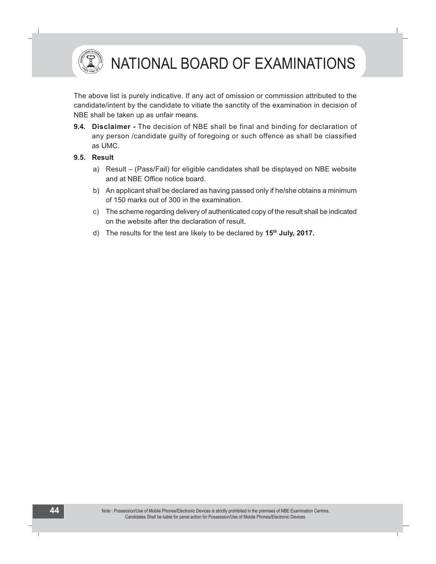

The above list is purely indicative. If any act of omission or commission attributed to the candidate/intent by the candidate to vitiate the sanctity of the examination in decision of NBE shall be taken up as unfair means.

**9.4. Disclaimer -** The decision of NBE shall be final and binding for declaration of any person /candidate guilty of foregoing or such offence as shall be classified as UMC.

#### **9.5. Result**

- a) Result (Pass/Fail) for eligible candidates shall be displayed on NBE website and at NBE Office notice board.
- b) An applicant shall be declared as having passed only if he/she obtains a minimum of 150 marks out of 300 in the examination.
- c) The scheme regarding delivery of authenticated copy of the result shall be indicated on the website after the declaration of result.
- d) The results for the test are likely to be declared by **15th July, 2017.**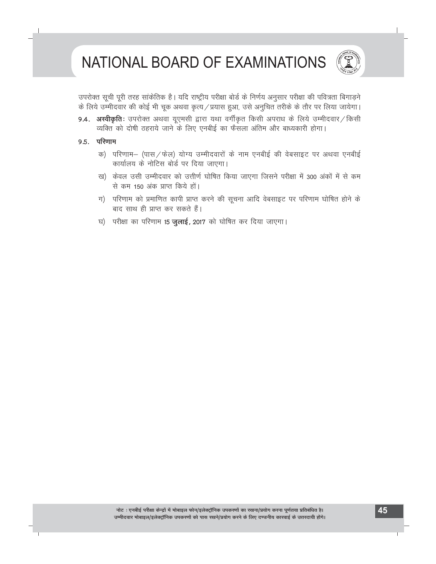

उपरोक्त सची परी तरह सांकेतिक है। यदि राष्ट्रीय परीक्षा बोर्ड के निर्णय अनसार परीक्षा की पवित्रता बिगाड़ने के लिये उम्मीदवार की कोई भी चुक अथवा कृत्य / प्रयास हुआ, उसे अनुचित तरीके के तौर पर लिया जायेगा।

9.4. अर्स्वीकृतिः उपरोक्त अथवा यूएमसी द्वारा यथा वर्गीकृत किसी अपराध के लिये उम्मीदवार / किसी व्यक्ति को दोषी ठहराये जाने के लिए एनबीई का फैसला अंतिम और बाध्यकारी होगा।

9.5. परिणाम

- क) परिणाम- (पास / फेल) योग्य उम्मीदवारों के नाम एनबीई की वेबसाइट पर अथवा एनबीई कार्यालय के नोटिस बोर्ड पर दिया जाएगा।
- ख) केवल उसी उम्मीदवार को उत्तीर्ण घोषित किया जाएगा जिसने परीक्षा में 300 अंकों में से कम से कम 150 अंक प्राप्त किये हों।
- ग) परिणाम को प्रमाणित कापी प्राप्त करने की सूचना आदि वेबसाइट पर परिणाम घोषित होने के बाद साथ ही प्राप्त कर सकते हैं।
- घ) परीक्षा का परिणाम 15 जुलाई, 2017 को घोषित कर दिया जाएगा।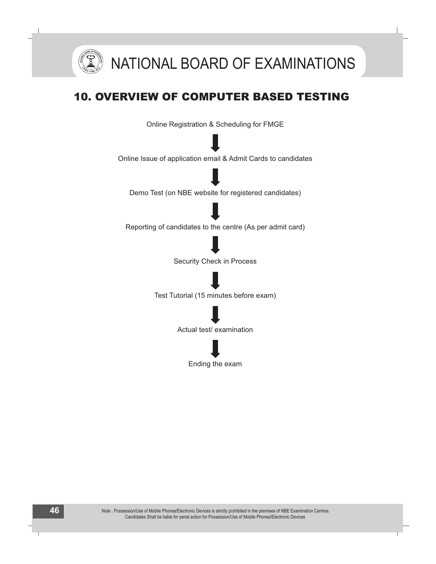

### **10. OVERVIEW OF COMPUTER BASED TESTING**

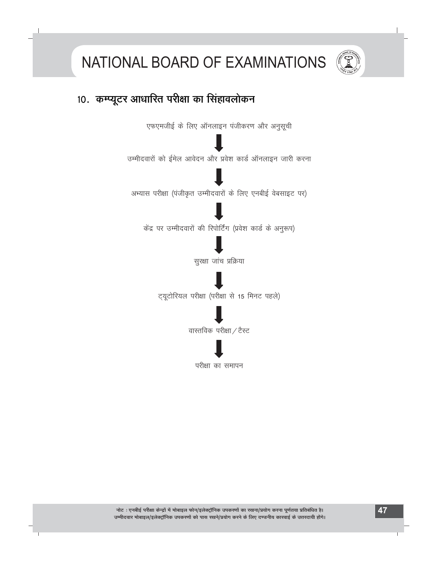

### 10. कम्प्यूटर आधारित परीक्षा का सिंहावलोकन

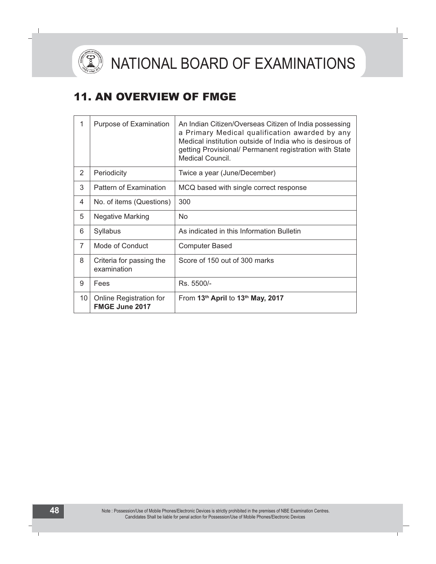

# 11. AN OVERVIEW OF FMGE

| 1  | Purpose of Examination                    | An Indian Citizen/Overseas Citizen of India possessing<br>a Primary Medical qualification awarded by any<br>Medical institution outside of India who is desirous of<br>getting Provisional/ Permanent registration with State<br>Medical Council. |  |
|----|-------------------------------------------|---------------------------------------------------------------------------------------------------------------------------------------------------------------------------------------------------------------------------------------------------|--|
| 2  | Periodicity                               | Twice a year (June/December)                                                                                                                                                                                                                      |  |
| 3  | Pattern of Examination                    | MCQ based with single correct response                                                                                                                                                                                                            |  |
| 4  | No. of items (Questions)                  | 300                                                                                                                                                                                                                                               |  |
| 5  | <b>Negative Marking</b>                   | No.                                                                                                                                                                                                                                               |  |
| 6  | Syllabus                                  | As indicated in this Information Bulletin                                                                                                                                                                                                         |  |
| 7  | Mode of Conduct                           | <b>Computer Based</b>                                                                                                                                                                                                                             |  |
| 8  | Criteria for passing the<br>examination   | Score of 150 out of 300 marks                                                                                                                                                                                                                     |  |
| 9  | Fees                                      | Rs. 5500/-                                                                                                                                                                                                                                        |  |
| 10 | Online Registration for<br>FMGE June 2017 | From 13th April to 13th May, 2017                                                                                                                                                                                                                 |  |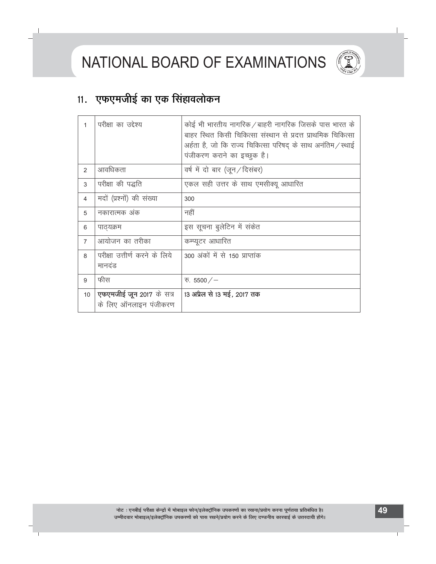

### 11. एफएमजीई का एक सिंहावलोकन

| 1               | परीक्षा का उद्देश्य                               | कोई भी भारतीय नागरिक / बाहरी नागरिक जिसके पास भारत के<br>बाहर स्थित किसी चिकित्सा संस्थान से प्रदत्त प्राथमिक चिकित्सा<br>अर्हता है, जो कि राज्य चिकित्सा परिषद के साथ अनंतिम/स्थाई<br>पंजीकरण कराने का इच्छूक है। |
|-----------------|---------------------------------------------------|--------------------------------------------------------------------------------------------------------------------------------------------------------------------------------------------------------------------|
| $\mathcal{P}$   | आवधिकता                                           | वर्ष में दो बार (जून / दिसंबर)                                                                                                                                                                                     |
| 3               | परीक्षा की पद्धति                                 | एकल सही उत्तर के साथ एमसीक्यू आधारित                                                                                                                                                                               |
| 4               | मदों (प्रश्नों) की संख्या                         | 300                                                                                                                                                                                                                |
| 5               | नकारात्मक अंक                                     | नहीं                                                                                                                                                                                                               |
| 6               | पाठ्यक्रम                                         | इस सूचना बुलेटिन में संकेत                                                                                                                                                                                         |
| $\overline{7}$  | आयोजन का तरीका                                    | कम्प्यूटर आधारित                                                                                                                                                                                                   |
| 8               | परीक्षा उत्तीर्ण करने के लिये                     | 300 अंकों में से 150 प्राप्तांक                                                                                                                                                                                    |
|                 | मानदंड                                            |                                                                                                                                                                                                                    |
| 9               | फीस                                               | रु. 5500/-                                                                                                                                                                                                         |
| 10 <sup>°</sup> | एफएमजीई जून 2017 के सत्र<br>के लिए ऑनलाइन पंजीकरण | 13 अप्रैल से 13 मई, 2017 तक                                                                                                                                                                                        |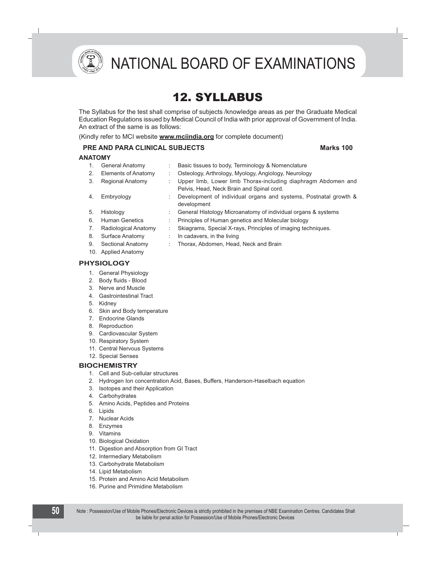

### **12. SYLLABUS**

The Syllabus for the test shall comprise of subjects /knowledge areas as per the Graduate Medical Education Regulations issued by Medical Council of India with prior approval of Government of India. An extract of the same is as follows:

(Kindly refer to MCI website **www.mciindia.org** for complete document)

#### **PRE AND PARA CLINICAL SUBJECTS Marks 100**

#### **ANATOMY**

| 1. | <b>General Anatomy</b> | Basic tissues to body, Terminology & Nomenclature                                                          |
|----|------------------------|------------------------------------------------------------------------------------------------------------|
| 2. | Elements of Anatomy    | Osteology, Arthrology, Myology, Angiology, Neurology                                                       |
| 3. | Regional Anatomy       | Upper limb, Lower limb Thorax-including diaphragm Abdomen and<br>Pelvis, Head, Neck Brain and Spinal cord. |
| 4. | Embryology             | Development of individual organs and systems, Postnatal growth &<br>development                            |
| 5. | Histology              | General Histology Microanatomy of individual organs & systems                                              |
| 6. | <b>Human Genetics</b>  | Principles of Human genetics and Molecular biology                                                         |

- 7. Radiological Anatomy : Skiagrams, Special X-rays, Principles of imaging techniques.
- 8. Surface Anatomy : In cadavers, in the living
- 9. Sectional Anatomy : Thorax, Abdomen, Head, Neck and Brain
- 10. Applied Anatomy

#### **PHYSIOLOGY**

- 1. General Physiology
- 2. Body fluids Blood
- 3. Nerve and Muscle
- 4. Gastrointestinal Tract
- 5. Kidney
- 6. Skin and Body temperature
- 7. Endocrine Glands
- 8. Reproduction
- 9. Cardiovascular System
- 10. Respiratory System
- 11. Central Nervous Systems

### 12. Special Senses

#### **BIOCHEMISTRY**

- 1. Cell and Sub-cellular structures
- 2. Hydrogen Ion concentration Acid, Bases, Buffers, Handerson-Haselbach equation
- 3. Isotopes and their Application
- 4. Carbohydrates
- 5. Amino Acids, Peptides and Proteins
- 6. Lipids
- 7. Nuclear Acids
- 8. Enzymes
- 9. Vitamins
- 10. Biological Oxidation
- 11. Digestion and Absorption from GI Tract
- 12. Intermediary Metabolism
- 13. Carbohydrate Metabolism
- 14. Lipid Metabolism
- 15. Protein and Amino Acid Metabolism
- 16. Purine and Primidine Metabolism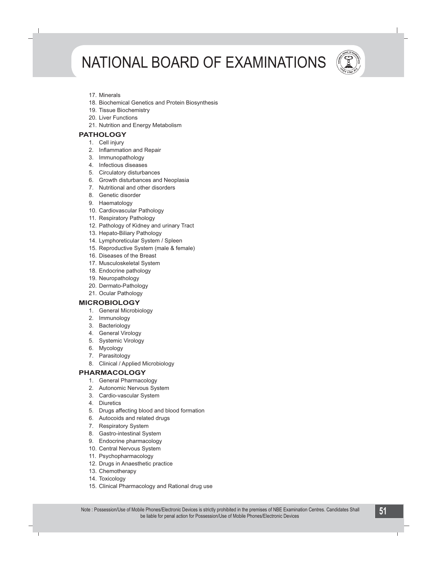

- 17. Minerals
- 18. Biochemical Genetics and Protein Biosynthesis
- 19. Tissue Biochemistry
- 20. Liver Functions
- 21. Nutrition and Energy Metabolism

#### **PATHOLOGY**

- 1. Cell injury
- 2. Inflammation and Repair
- 3. Immunopathology
- 4. Infectious diseases
- 5. Circulatory disturbances
- 6. Growth disturbances and Neoplasia
- 7. Nutritional and other disorders
- 8. Genetic disorder
- 9. Haematology
- 10. Cardiovascular Pathology
- 11. Respiratory Pathology
- 12. Pathology of Kidney and urinary Tract
- 13. Hepato-Biliary Pathology
- 14. Lymphoreticular System / Spleen
- 15. Reproductive System (male & female)
- 16. Diseases of the Breast
- 17. Musculoskeletal System
- 18. Endocrine pathology
- 19. Neuropathology
- 20. Dermato-Pathology
- 21. Ocular Pathology

#### **MICROBIOLOGY**

- 1. General Microbiology
- 2. Immunology
- 3. Bacteriology
- 4. General Virology
- 5. Systemic Virology
- 6. Mycology
- 7. Parasitology
- 8. Clinical / Applied Microbiology

#### **PHARMACOLOGY**

- 1. General Pharmacology
- 2. Autonomic Nervous System
- 3. Cardio-vascular System
- 4. Diuretics
- 5. Drugs affecting blood and blood formation
- 6. Autocoids and related drugs
- 7. Respiratory System
- 8. Gastro-intestinal System
- 9. Endocrine pharmacology
- 10. Central Nervous System
- 11. Psychopharmacology
- 12. Drugs in Anaesthetic practice
- 13. Chemotherapy
- 14. Toxicology
- 15. Clinical Pharmacology and Rational drug use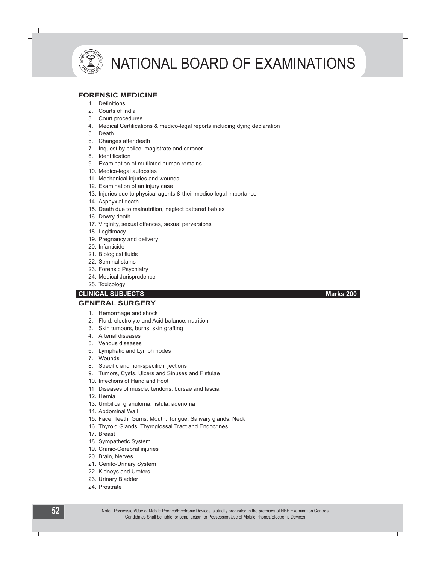

#### **FORENSIC MEDICINE**

- 1. Definitions
- 2. Courts of India
- 3. Court procedures
- 4. Medical Certifications & medico-legal reports including dying declaration
- 5. Death
- 6. Changes after death
- 7. Inquest by police, magistrate and coroner
- 8. Identification
- 9. Examination of mutilated human remains
- 10. Medico-legal autopsies
- 11. Mechanical injuries and wounds
- 12. Examination of an injury case
- 13. Injuries due to physical agents & their medico legal importance
- 14. Asphyxial death
- 15. Death due to malnutrition, neglect battered babies
- 16. Dowry death
- 17. Virginity, sexual offences, sexual perversions
- 18. Legitimacy
- 19. Pregnancy and delivery
- 20. Infanticide
- 21. Biological fluids
- 22. Seminal stains
- 23. Forensic Psychiatry
- 24. Medical Jurisprudence
- 25. Toxicology

#### **CLINICAL SUBJECTS** Marks 200

### **GENERAL SURGERY**

- 1. Hemorrhage and shock
- 2. Fluid, electrolyte and Acid balance, nutrition
- 3. Skin tumours, burns, skin grafting
- 4. Arterial diseases
- 5. Venous diseases
- 6. Lymphatic and Lymph nodes
- 7. Wounds
- 8. Specific and non-specific injections
- 9. Tumors, Cysts, Ulcers and Sinuses and Fistulae
- 10. Infections of Hand and Foot
- 11. Diseases of muscle, tendons, bursae and fascia
- 12. Hernia
- 13. Umbilical granuloma, fistula, adenoma
- 14. Abdominal Wall
- 15. Face, Teeth, Gums, Mouth, Tongue, Salivary glands, Neck
- 16. Thyroid Glands, Thyroglossal Tract and Endocrines
- 17. Breast
- 18. Sympathetic System
- 19. Cranio-Cerebral injuries
- 20. Brain, Nerves
- 21. Genito-Urinary System
- 22. Kidneys and Ureters
- 23. Urinary Bladder
- 24. Prostrate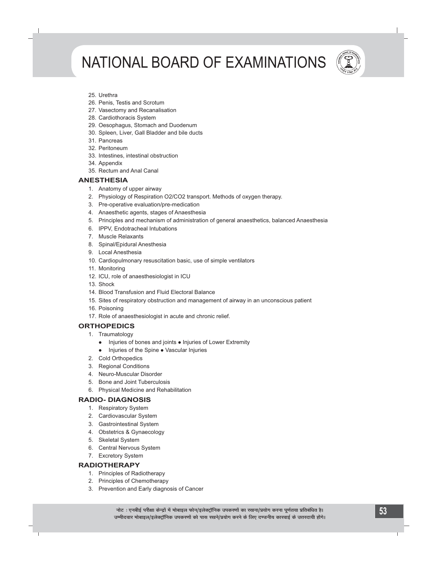

- 25. Urethra
- 26. Penis, Testis and Scrotum
- 27. Vasectomy and Recanalisation
- 28. Cardiothoracis System
- 29. Oesophagus, Stomach and Duodenum
- 30. Spleen, Liver, Gall Bladder and bile ducts
- 31. Pancreas
- 32. Peritoneum
- 33. Intestines, intestinal obstruction
- 34. Appendix
- 35. Rectum and Anal Canal

#### **ANESTHESIA**

- 1. Anatomy of upper airway
- 2. Physiology of Respiration O2/CO2 transport. Methods of oxygen therapy.
- 3. Pre-operative evaluation/pre-medication
- 4. Anaesthetic agents, stages of Anaesthesia
- 5. Principles and mechanism of administration of general anaesthetics, balanced Anaesthesia
- 6. IPPV, Endotracheal Intubations
- 7. Muscle Relaxants
- 8. Spinal/Epidural Anesthesia
- 9. Local Anesthesia
- 10. Cardiopulmonary resuscitation basic, use of simple ventilators
- 11. Monitoring
- 12. ICU, role of anaesthesiologist in ICU
- 13. Shock
- 14. Blood Transfusion and Fluid Electoral Balance
- 15. Sites of respiratory obstruction and management of airway in an unconscious patient
- 16. Poisoning
- 17. Role of anaesthesiologist in acute and chronic relief.

#### **ORTHOPEDICS**

- 1. Traumatology
	- $\bullet$  Injuries of bones and joints  $\bullet$  Injuries of Lower Extremity
	- Injuries of the Spine Vascular Injuries
- 2. Cold Orthopedics
- 3. Regional Conditions
- 4. Neuro-Muscular Disorder
- 5. Bone and Joint Tuberculosis
- 6. Physical Medicine and Rehabilitation

#### **RADIO- DIAGNOSIS**

- 1. Respiratory System
- 2. Cardiovascular System
- 3. Gastrointestinal System
- 4. Obstetrics & Gynaecology
- 5. Skeletal System
- 6. Central Nervous System
- 7. Excretory System

#### **RADIOTHERAPY**

- 1. Principles of Radiotherapy
- 2. Principles of Chemotherapy
- 3. Prevention and Early diagnosis of Cancer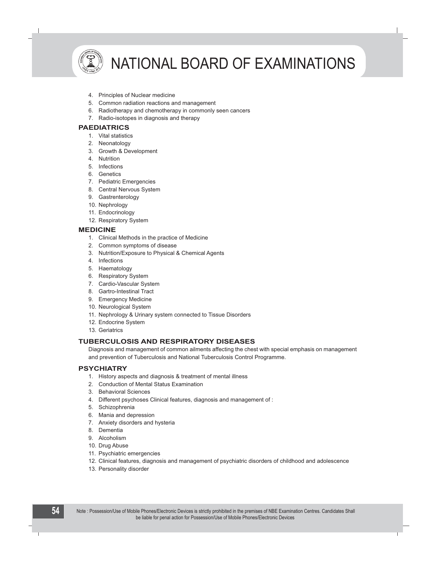

- 4. Principles of Nuclear medicine
- 5. Common radiation reactions and management
- 6. Radiotherapy and chemotherapy in commonly seen cancers
- 7. Radio-isotopes in diagnosis and therapy

#### **PAEDIATRICS**

- 1. Vital statistics
- 2. Neonatology
- 3. Growth & Development
- 4. Nutrition
- 5. Infections
- 6. Genetics
- 7. Pediatric Emergencies
- 8. Central Nervous System
- 9. Gastrenterology
- 10. Nephrology
- 11. Endocrinology
- 12. Respiratory System

#### **MEDICINE**

- 1. Clinical Methods in the practice of Medicine
- 2. Common symptoms of disease
- 3. Nutrition/Exposure to Physical & Chemical Agents
- 4. Infections
- 5. Haematology
- 6. Respiratory System
- 7. Cardio-Vascular System
- 8. Gartro-Intestinal Tract
- 9. Emergency Medicine
- 10. Neurological System
- 11. Nephrology & Urinary system connected to Tissue Disorders
- 12. Endocrine System
- 13. Geriatrics

#### **TUBERCULOSIS AND RESPIRATORY DISEASES**

Diagnosis and management of common ailments affecting the chest with special emphasis on management and prevention of Tuberculosis and National Tuberculosis Control Programme.

#### **PSYCHIATRY**

- 1. History aspects and diagnosis & treatment of mental illness
- 2. Conduction of Mental Status Examination
- 3. Behavioral Sciences
- 4. Different psychoses Clinical features, diagnosis and management of :
- 5. Schizophrenia
- 6. Mania and depression
- 7. Anxiety disorders and hysteria
- 8. Dementia
- 9. Alcoholism
- 10. Drug Abuse
- 11. Psychiatric emergencies
- 12. Clinical features, diagnosis and management of psychiatric disorders of childhood and adolescence
- 13. Personality disorder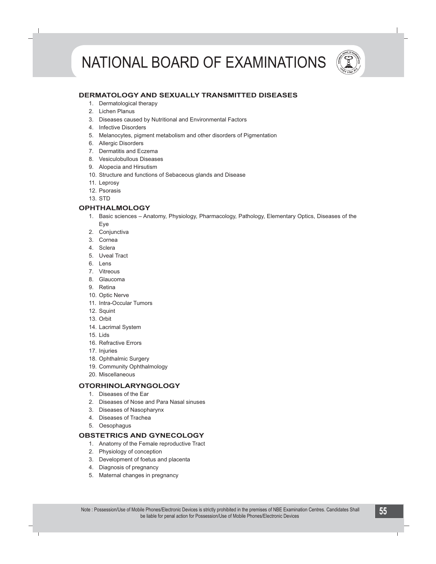

#### **DERMATOLOGY AND SEXUALLY TRANSMITTED DISEASES**

- 1. Dermatological therapy
- 2. Lichen Planus
- 3. Diseases caused by Nutritional and Environmental Factors
- 4. Infective Disorders
- 5. Melanocytes, pigment metabolism and other disorders of Pigmentation
- 6. Allergic Disorders
- 7. Dermatitis and Eczema
- 8. Vesiculobullous Diseases
- 9. Alopecia and Hirsutism
- 10. Structure and functions of Sebaceous glands and Disease
- 11. Leprosy
- 12. Psorasis
- 13. STD

#### **OPHTHALMOLOGY**

- 1. Basic sciences Anatomy, Physiology, Pharmacology, Pathology, Elementary Optics, Diseases of the Eye
- 2. Conjunctiva
- 3. Cornea
- 4. Sclera
- 5. Uveal Tract
- 6. Lens
- 7. Vitreous
- 8. Glaucoma
- 9. Retina
- 10. Optic Nerve
- 11. Intra-Occular Tumors
- 12. Squint
- 13. Orbit
- 14. Lacrimal System
- 15. Lids
- 16. Refractive Errors
- 17. Injuries
- 18. Ophthalmic Surgery
- 19. Community Ophthalmology
- 20. Miscellaneous

#### **OTORHINOLARYNGOLOGY**

- 1. Diseases of the Ear
- 2. Diseases of Nose and Para Nasal sinuses
- 3. Diseases of Nasopharynx
- 4. Diseases of Trachea
- 5. Oesophagus

#### **OBSTETRICS AND GYNECOLOGY**

- 1. Anatomy of the Female reproductive Tract
- 2. Physiology of conception
- 3. Development of foetus and placenta
- 4. Diagnosis of pregnancy
- 5. Maternal changes in pregnancy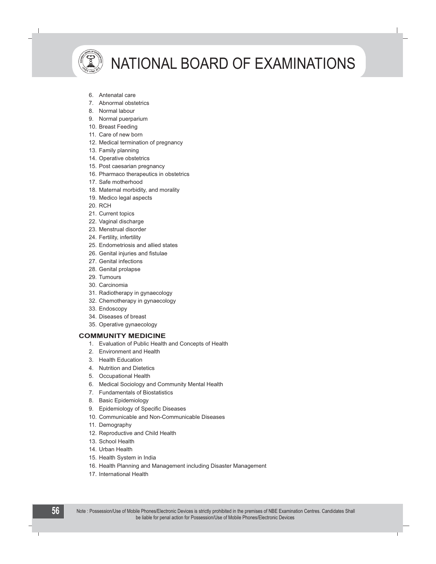

- 6. Antenatal care
- 7. Abnormal obstetrics
- 8. Normal labour
- 9. Normal puerparium
- 10. Breast Feeding
- 11. Care of new born
- 12. Medical termination of pregnancy
- 13. Family planning
- 14. Operative obstetrics
- 15. Post caesarian pregnancy
- 16. Pharmaco therapeutics in obstetrics
- 17. Safe motherhood
- 18. Maternal morbidity, and morality
- 19. Medico legal aspects
- 20. RCH
- 21. Current topics
- 22. Vaginal discharge
- 23. Menstrual disorder
- 24. Fertility, infertility
- 25. Endometriosis and allied states
- 26. Genital iniuries and fistulae
- 27. Genital infections
- 28. Genital prolapse
- 29. Tumours
- 30. Carcinomia
- 31. Radiotherapy in gynaecology
- 32. Chemotherapy in gynaecology
- 33. Endoscopy
- 34. Diseases of breast
- 35. Operative gynaecology

#### **COMMUNITY MEDICINE**

- 1. Evaluation of Public Health and Concepts of Health
- 2. Environment and Health
- 3. Health Education
- 4. Nutrition and Dietetics
- 5. Occupational Health
- 6. Medical Sociology and Community Mental Health
- 7. Fundamentals of Biostatistics
- 8. Basic Epidemiology
- 9. Epidemiology of Specific Diseases
- 10. Communicable and Non-Communicable Diseases
- 11. Demography
- 12. Reproductive and Child Health
- 13. School Health
- 14. Urban Health
- 15. Health System in India
- 16. Health Planning and Management including Disaster Management
- 17. International Health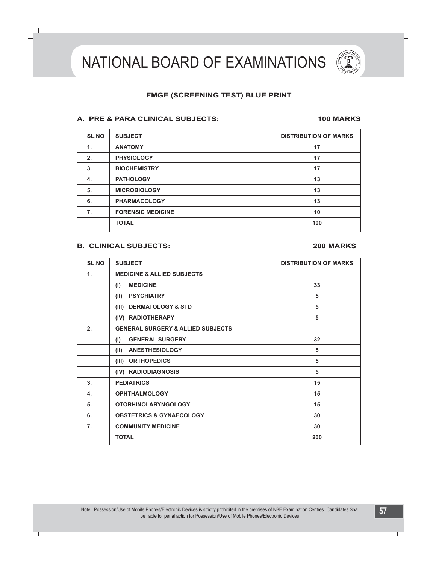#### **FMGE (SCREENING TEST) BLUE PRINT**

#### **A. PRE & PARA CLINICAL SUBJECTS: 100 MARKS**

| <b>SL.NO</b> | <b>SUBJECT</b>           | <b>DISTRIBUTION OF MARKS</b> |
|--------------|--------------------------|------------------------------|
| 1.           | <b>ANATOMY</b>           | 17                           |
| 2.           | <b>PHYSIOLOGY</b>        | 17                           |
| 3.           | <b>BIOCHEMISTRY</b>      | 17                           |
| 4.           | <b>PATHOLOGY</b>         | 13                           |
| 5.           | <b>MICROBIOLOGY</b>      | 13                           |
| 6.           | <b>PHARMACOLOGY</b>      | 13                           |
| 7.           | <b>FORENSIC MEDICINE</b> | 10                           |
|              | <b>TOTAL</b>             | 100                          |

#### **B. CLINICAL SUBJECTS: 200 MARKS**

| <b>SL.NO</b> | <b>SUBJECT</b>                               | <b>DISTRIBUTION OF MARKS</b> |
|--------------|----------------------------------------------|------------------------------|
| 1.           | <b>MEDICINE &amp; ALLIED SUBJECTS</b>        |                              |
|              | <b>MEDICINE</b><br>(1)                       | 33                           |
|              | <b>PSYCHIATRY</b><br>(II)                    | 5                            |
|              | <b>DERMATOLOGY &amp; STD</b><br>(III)        | 5                            |
|              | (IV) RADIOTHERAPY                            | 5                            |
| 2.           | <b>GENERAL SURGERY &amp; ALLIED SUBJECTS</b> |                              |
|              | <b>GENERAL SURGERY</b><br>(1)                | 32                           |
|              | <b>ANESTHESIOLOGY</b><br>(II)                | 5                            |
|              | <b>ORTHOPEDICS</b><br>(III)                  | 5                            |
|              | (IV) RADIODIAGNOSIS                          | 5                            |
| 3.           | <b>PEDIATRICS</b>                            | 15                           |
| 4.           | <b>OPHTHALMOLOGY</b>                         | 15                           |
| 5.           | <b>OTORHINOLARYNGOLOGY</b>                   | 15                           |
| 6.           | <b>OBSTETRICS &amp; GYNAECOLOGY</b>          | 30                           |
| 7.           | <b>COMMUNITY MEDICINE</b>                    | 30                           |
|              | <b>TOTAL</b>                                 | 200                          |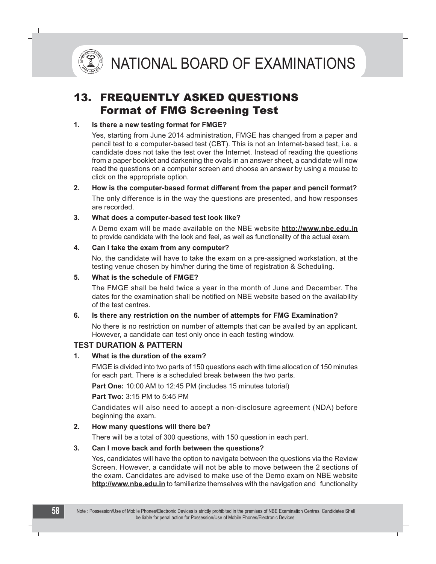

### **13. FREQUENTLY ASKED QUESTIONS Format of FMG Screening Test**

### 1. Is there a new testing format for FMGE?

Yes, starting from June 2014 administration, FMGE has changed from a paper and pencil test to a computer-based test (CBT). This is not an Internet-based test, i.e. a candidate does not take the test over the Internet. Instead of reading the questions from a paper booklet and darkening the ovals in an answer sheet, a candidate will now read the questions on a computer screen and choose an answer by using a mouse to click on the appropriate option.

### **2. How is the computer-based format different from the paper and pencil format?**

The only difference is in the way the questions are presented, and how responses are recorded.

#### **3. What does a computer-based test look like?**

A Demo exam will be made available on the NBE website **http://www.nbe.edu.in** to provide candidate with the look and feel, as well as functionality of the actual exam.

#### **4. Can I take the exam from any computer?**

No, the candidate will have to take the exam on a pre-assigned workstation, at the testing venue chosen by him/her during the time of registration & Scheduling.

#### **5. What is the schedule of FMGE?**

The FMGE shall be held twice a year in the month of June and December. The dates for the examination shall be notified on NBE website based on the availability of the test centres.

#### **6. Is there any restriction on the number of attempts for FMG Examination?**

No there is no restriction on number of attempts that can be availed by an applicant. However, a candidate can test only once in each testing window.

#### **TEST DURATION & PATTERN**

#### **1. What is the duration of the exam?**

FMGE is divided into two parts of 150 questions each with time allocation of 150 minutes for each part. There is a scheduled break between the two parts.

**Part One:** 10:00 AM to 12:45 PM (includes 15 minutes tutorial)

**Part Two:** 3:15 PM to 5:45 PM

Candidates will also need to accept a non-disclosure agreement (NDA) before beginning the exam.

#### **2. How many questions will there be?**

There will be a total of 300 questions, with 150 question in each part.

#### **3. Can I move back and forth between the questions?**

Yes, candidates will have the option to navigate between the questions via the Review Screen. However, a candidate will not be able to move between the 2 sections of the exam. Candidates are advised to make use of the Demo exam on NBE website **http://www.nbe.edu.in** to familiarize themselves with the navigation and functionality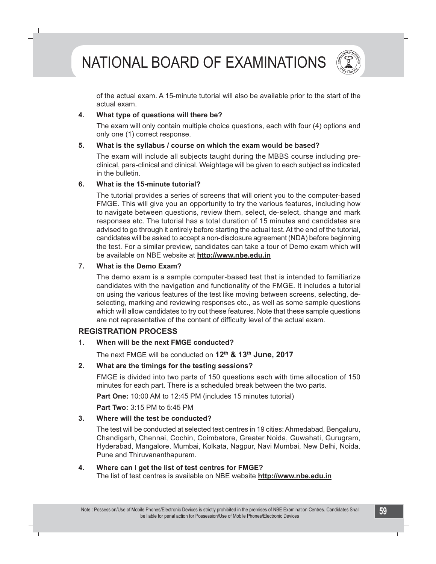

of the actual exam. A 15-minute tutorial will also be available prior to the start of the actual exam.

#### **4. What type of questions will there be?**

The exam will only contain multiple choice questions, each with four (4) options and only one (1) correct response.

#### **5. What is the syllabus / course on which the exam would be based?**

The exam will include all subjects taught during the MBBS course including preclinical, para-clinical and clinical. Weightage will be given to each subject as indicated in the bulletin.

#### **6. What is the 15-minute tutorial?**

The tutorial provides a series of screens that will orient you to the computer-based FMGE. This will give you an opportunity to try the various features, including how to navigate between questions, review them, select, de-select, change and mark responses etc. The tutorial has a total duration of 15 minutes and candidates are advised to go through it entirely before starting the actual test. At the end of the tutorial, candidates will be asked to accept a non-disclosure agreement (NDA) before beginning the test. For a similar preview, candidates can take a tour of Demo exam which will be available on NBE website at **http://www.nbe.edu.in**

#### **7. What is the Demo Exam?**

The demo exam is a sample computer-based test that is intended to familiarize candidates with the navigation and functionality of the FMGE. It includes a tutorial on using the various features of the test like moving between screens, selecting, deselecting, marking and reviewing responses etc., as well as some sample questions which will allow candidates to try out these features. Note that these sample questions are not representative of the content of difficulty level of the actual exam.

#### **REGISTRATION PROCESS**

#### **1. When will be the next FMGE conducted?**

The next FMGE will be conducted on **12th & 13th June, 2017**

#### **2. What are the timings for the testing sessions?**

FMGE is divided into two parts of 150 questions each with time allocation of 150 minutes for each part. There is a scheduled break between the two parts.

**Part One:** 10:00 AM to 12:45 PM (includes 15 minutes tutorial)

**Part Two:** 3:15 PM to 5:45 PM

#### **3. Where will the test be conducted?**

The test will be conducted at selected test centres in 19 cities: Ahmedabad, Bengaluru, Chandigarh, Chennai, Cochin, Coimbatore, Greater Noida, Guwahati, Gurugram, Hyderabad, Mangalore, Mumbai, Kolkata, Nagpur, Navi Mumbai, New Delhi, Noida, Pune and Thiruvananthapuram.

### **4. Where can I get the list of test centres for FMGE?**

The list of test centres is available on NBE website **http://www.nbe.edu.in**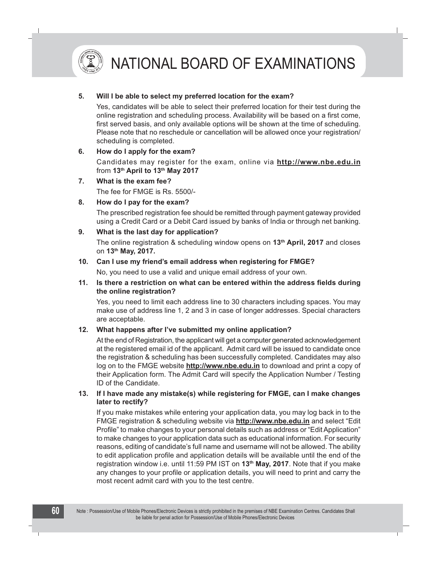

#### **5. Will I be able to select my preferred location for the exam?**

Yes, candidates will be able to select their preferred location for their test during the online registration and scheduling process. Availability will be based on a first come, first served basis, and only available options will be shown at the time of scheduling. Please note that no reschedule or cancellation will be allowed once your registration/ scheduling is completed.

#### **6. How do I apply for the exam?**

Candidates may register for the exam, online via **http://www.nbe.edu.in** from **13th April to 13th May 2017**

#### **7. What is the exam fee?**

The fee for FMGE is Rs. 5500/-

#### **8. How do I pay for the exam?**

The prescribed registration fee should be remitted through payment gateway provided using a Credit Card or a Debit Card issued by banks of India or through net banking.

#### **9. What is the last day for application?**

The online registration & scheduling window opens on **13th April, 2017** and closes on **13th May, 2017.**

#### **10. Can I use my friend's email address when registering for FMGE?**

No, you need to use a valid and unique email address of your own.

#### **11.** Is there a restriction on what can be entered within the address fields during **the online registration?**

Yes, you need to limit each address line to 30 characters including spaces. You may make use of address line 1, 2 and 3 in case of longer addresses. Special characters are acceptable.

#### **12. What happens after I've submitted my online application?**

At the end of Registration, the applicant will get a computer generated acknowledgement at the registered email id of the applicant. Admit card will be issued to candidate once the registration & scheduling has been successfully completed. Candidates may also log on to the FMGE website **http://www.nbe.edu.in** to download and print a copy of their Application form. The Admit Card will specify the Application Number / Testing ID of the Candidate.

#### **13. If I have made any mistake(s) while registering for FMGE, can I make changes later to rectify?**

If you make mistakes while entering your application data, you may log back in to the FMGE registration & scheduling website via **http://www.nbe.edu.in** and select "Edit Profile" to make changes to your personal details such as address or "Edit Application" to make changes to your application data such as educational information. For security reasons, editing of candidate's full name and username will not be allowed. The ability to edit application profile and application details will be available until the end of the registration window i.e. until 11:59 PM IST on **13th May, 2017**. Note that if you make any changes to your profile or application details, you will need to print and carry the most recent admit card with you to the test centre.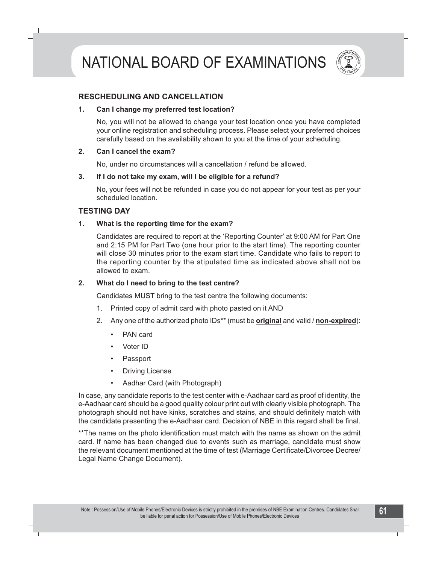

#### **RESCHEDULING AND CANCELLATION**

#### **1. Can I change my preferred test location?**

No, you will not be allowed to change your test location once you have completed your online registration and scheduling process. Please select your preferred choices carefully based on the availability shown to you at the time of your scheduling.

#### **2. Can I cancel the exam?**

No, under no circumstances will a cancellation / refund be allowed.

#### **3. If I do not take my exam, will I be eligible for a refund?**

No, your fees will not be refunded in case you do not appear for your test as per your scheduled location.

#### **TESTING DAY**

#### **1. What is the reporting time for the exam?**

Candidates are required to report at the 'Reporting Counter' at 9:00 AM for Part One and 2:15 PM for Part Two (one hour prior to the start time). The reporting counter will close 30 minutes prior to the exam start time. Candidate who fails to report to the reporting counter by the stipulated time as indicated above shall not be allowed to exam.

#### **2. What do I need to bring to the test centre?**

Candidates MUST bring to the test centre the following documents:

- 1. Printed copy of admit card with photo pasted on it AND
- 2. Any one of the authorized photo IDs\*\* (must be **original** and valid / **non-expired**):
	- PAN card
	- Voter ID
	- Passport
	- Driving License
	- Aadhar Card (with Photograph)

In case, any candidate reports to the test center with e-Aadhaar card as proof of identity, the e-Aadhaar card should be a good quality colour print out with clearly visible photograph. The photograph should not have kinks, scratches and stains, and should definitely match with the candidate presenting the e-Aadhaar card. Decision of NBE in this regard shall be final.

\*\* The name on the photo identification must match with the name as shown on the admit card. If name has been changed due to events such as marriage, candidate must show the relevant document mentioned at the time of test (Marriage Certificate/Divorcee Decree/ Legal Name Change Document).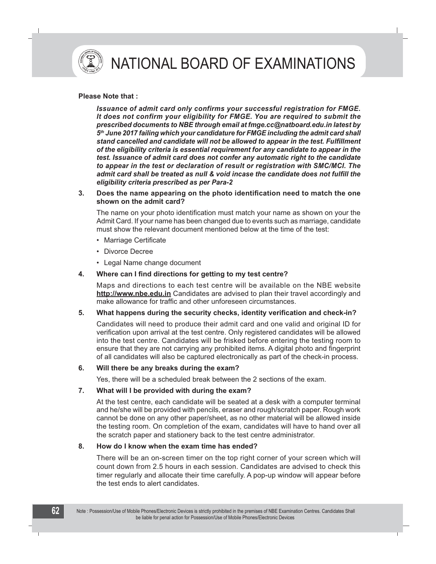

#### **Please Note that :**

*Issuance of admit card only confirms your successful registration for FMGE.* It does not confirm your eligibility for FMGE. You are reguired to submit the prescribed documents to NBE through email at fmge.cc@natboard.edu.in latest by  $5<sup>th</sup>$  June 2017 failing which your candidature for FMGE including the admit card shall stand cancelled and candidate will not be allowed to appear in the test. Fulfillment of the eligibility criteria is essential requirement for any candidate to appear in the test. Issuance of admit card does not confer any automatic right to the candidate to appear in the test or declaration of result or registration with SMC/MCI. The admit card shall be treated as null & void incase the candidate does not fulfill the *eligibility criteria prescribed as per Para-2* 

#### **3.** Does the name appearing on the photo identification need to match the one **shown on the admit card?**

The name on your photo identification must match your name as shown on your the Admit Card. If your name has been changed due to events such as marriage, candidate must show the relevant document mentioned below at the time of the test:

- Marriage Certificate
- Divorce Decree
- Legal Name change document

#### 4. Where can I find directions for getting to my test centre?

Maps and directions to each test centre will be available on the NBE website **http://www.nbe.edu.in** Candidates are advised to plan their travel accordingly and make allowance for traffic and other unforeseen circumstances.

#### 5. What happens during the security checks, identity verification and check-in?

Candidates will need to produce their admit card and one valid and original ID for verification upon arrival at the test centre. Only registered candidates will be allowed into the test centre. Candidates will be frisked before entering the testing room to ensure that they are not carrying any prohibited items. A digital photo and fingerprint of all candidates will also be captured electronically as part of the check-in process.

#### **6. Will there be any breaks during the exam?**

Yes, there will be a scheduled break between the 2 sections of the exam.

#### **7. What will I be provided with during the exam?**

At the test centre, each candidate will be seated at a desk with a computer terminal and he/she will be provided with pencils, eraser and rough/scratch paper. Rough work cannot be done on any other paper/sheet, as no other material will be allowed inside the testing room. On completion of the exam, candidates will have to hand over all the scratch paper and stationery back to the test centre administrator.

#### **8. How do I know when the exam time has ended?**

There will be an on-screen timer on the top right corner of your screen which will count down from 2.5 hours in each session. Candidates are advised to check this timer regularly and allocate their time carefully. A pop-up window will appear before the test ends to alert candidates.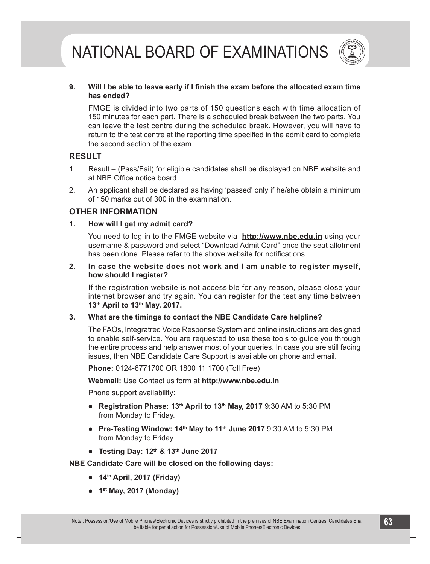

#### **9. Will I be able to leave early if I finish the exam before the allocated exam time has ended?**

FMGE is divided into two parts of 150 questions each with time allocation of 150 minutes for each part. There is a scheduled break between the two parts. You can leave the test centre during the scheduled break. However, you will have to return to the test centre at the reporting time specified in the admit card to complete the second section of the exam.

#### **RESULT**

- 1. Result (Pass/Fail) for eligible candidates shall be displayed on NBE website and at NBE Office notice board.
- 2. An applicant shall be declared as having 'passed' only if he/she obtain a minimum of 150 marks out of 300 in the examination.

#### **OTHER INFORMATION**

**1. How will I get my admit card?**

You need to log in to the FMGE website via **http://www.nbe.edu.in** using your username & password and select "Download Admit Card" once the seat allotment has been done. Please refer to the above website for notifications.

**2. In case the website does not work and I am unable to register myself, how should I register?**

If the registration website is not accessible for any reason, please close your internet browser and try again. You can register for the test any time between **13th April to 13th May, 2017.**

#### **3. What are the timings to contact the NBE Candidate Care helpline?**

The FAQs, Integratred Voice Response System and online instructions are designed to enable self-service. You are requested to use these tools to guide you through the entire process and help answer most of your queries. In case you are still facing issues, then NBE Candidate Care Support is available on phone and email.

**Phone:** 0124-6771700 OR 1800 11 1700 (Toll Free)

#### **Webmail:** Use Contact us form at **http://www.nbe.edu.in**

Phone support availability:

- **Registration Phase: 13th April to 13th May, 2017** 9:30 AM to 5:30 PM from Monday to Friday.
- **Pre-Testing Window: 14th May to 11th June 2017** 9:30 AM to 5:30 PM from Monday to Friday
- **Testing Day: 12th & 13th June 2017**

**NBE Candidate Care will be closed on the following days:**

- **14th April, 2017 (Friday)**
- **1st May, 2017 (Monday)**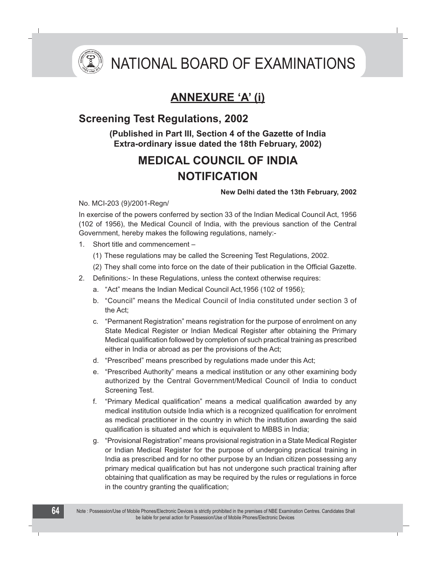

### **ANNEXURE 'A' (i)**

### **Screening Test Regulations, 2002**

**(Published in Part III, Section 4 of the Gazette of India Extra-ordinary issue dated the 18th February, 2002)**

### **MEDICAL COUNCIL OF INDIA NOTIFICATION**

#### **New Delhi dated the 13th February, 2002**

#### No. MCI-203 (9)/2001-Regn/

In exercise of the powers conferred by section 33 of the Indian Medical Council Act, 1956 (102 of 1956), the Medical Council of India, with the previous sanction of the Central Government, hereby makes the following regulations, namely:-

- 1. Short title and commencement  $-$ 
	- (1) These regulations may be called the Screening Test Regulations, 2002.
	- (2) They shall come into force on the date of their publication in the Official Gazette.
- 2. Definitions:- In these Requiations, unless the context otherwise requires:
	- a. "Act" means the Indian Medical Council Act, 1956 (102 of 1956);
	- b. "Council" means the Medical Council of India constituted under section 3 of the Act;
	- c. "Permanent Registration" means registration for the purpose of enrolment on any State Medical Register or Indian Medical Register after obtaining the Primary Medical qualification followed by completion of such practical training as prescribed either in India or abroad as per the provisions of the Act;
	- d. "Prescribed" means prescribed by regulations made under this Act;
	- e. "Prescribed Authority" means a medical institution or any other examining body authorized by the Central Government/Medical Council of India to conduct Screening Test.
	- f. "Primary Medical qualification" means a medical qualification awarded by any medical institution outside India which is a recognized qualification for enrolment as medical practitioner in the country in which the institution awarding the said qualification is situated and which is equivalent to MBBS in India;
	- g. "Provisional Registration" means provisional registration in a State Medical Register or Indian Medical Register for the purpose of undergoing practical training in India as prescribed and for no other purpose by an Indian citizen possessing any primary medical qualification but has not undergone such practical training after obtaining that qualification as may be required by the rules or regulations in force in the country granting the qualification;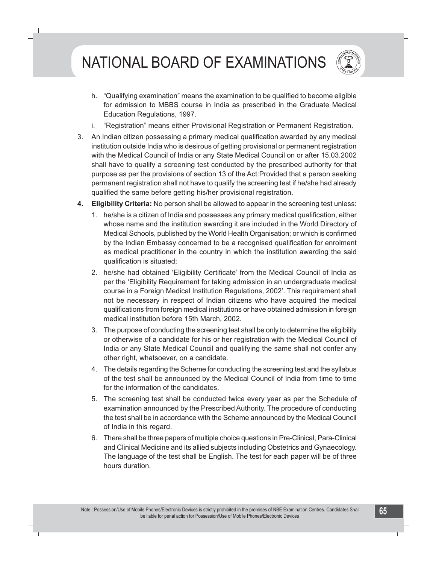

- h. "Qualifying examination" means the examination to be qualified to become eligible for admission to MBBS course in India as prescribed in the Graduate Medical Education Regulations, 1997.
- i. "Registration" means either Provisional Registration or Permanent Registration.
- 3. An Indian citizen possessing a primary medical qualification awarded by any medical institution outside India who is desirous of getting provisional or permanent registration with the Medical Council of India or any State Medical Council on or after 15.03.2002 shall have to qualify a screening test conducted by the prescribed authority for that purpose as per the provisions of section 13 of the Act:Provided that a person seeking permanent registration shall not have to qualify the screening test if he/she had already qualified the same before getting his/her provisional registration.
- **4. Eligibility Criteria:** No person shall be allowed to appear in the screening test unless:
	- 1. he/she is a citizen of India and possesses any primary medical qualification, either whose name and the institution awarding it are included in the World Directory of Medical Schools, published by the World Health Organisation; or which is confirmed by the Indian Embassy concerned to be a recognised qualification for enrolment as medical practitioner in the country in which the institution awarding the said qualification is situated;
	- 2. he/she had obtained 'Eligibility Certificate' from the Medical Council of India as per the 'Eligibility Requirement for taking admission in an undergraduate medical course in a Foreign Medical Institution Regulations, 2002'. This requirement shall not be necessary in respect of Indian citizens who have acquired the medical qualifications from foreign medical institutions or have obtained admission in foreign medical institution before 15th March, 2002.
	- 3. The purpose of conducting the screening test shall be only to determine the eligibility or otherwise of a candidate for his or her registration with the Medical Council of India or any State Medical Council and qualifying the same shall not confer any other right, whatsoever, on a candidate.
	- 4. The details regarding the Scheme for conducting the screening test and the syllabus of the test shall be announced by the Medical Council of India from time to time for the information of the candidates.
	- 5. The screening test shall be conducted twice every year as per the Schedule of examination announced by the Prescribed Authority. The procedure of conducting the test shall be in accordance with the Scheme announced by the Medical Council of India in this regard.
	- 6. There shall be three papers of multiple choice questions in Pre-Clinical, Para-Clinical and Clinical Medicine and its allied subjects including Obstetrics and Gynaecology. The language of the test shall be English. The test for each paper will be of three hours duration.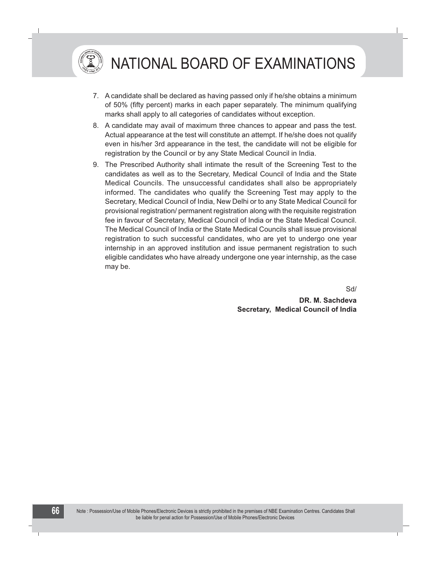

- 7. A candidate shall be declared as having passed only if he/she obtains a minimum of 50% (fifty percent) marks in each paper separately. The minimum qualifying marks shall apply to all categories of candidates without exception.
- 8. A candidate may avail of maximum three chances to appear and pass the test. Actual appearance at the test will constitute an attempt. If he/she does not qualify even in his/her 3rd appearance in the test, the candidate will not be eligible for registration by the Council or by any State Medical Council in India.
- 9. The Prescribed Authority shall intimate the result of the Screening Test to the candidates as well as to the Secretary, Medical Council of India and the State Medical Councils. The unsuccessful candidates shall also be appropriately informed. The candidates who qualify the Screening Test may apply to the Secretary, Medical Council of India, New Delhi or to any State Medical Council for provisional registration/ permanent registration along with the requisite registration fee in favour of Secretary, Medical Council of India or the State Medical Council. The Medical Council of India or the State Medical Councils shall issue provisional registration to such successful candidates, who are yet to undergo one year internship in an approved institution and issue permanent registration to such eligible candidates who have already undergone one year internship, as the case may be.

Sd/

**DR. M. Sachdeva Secretary, Medical Council of India**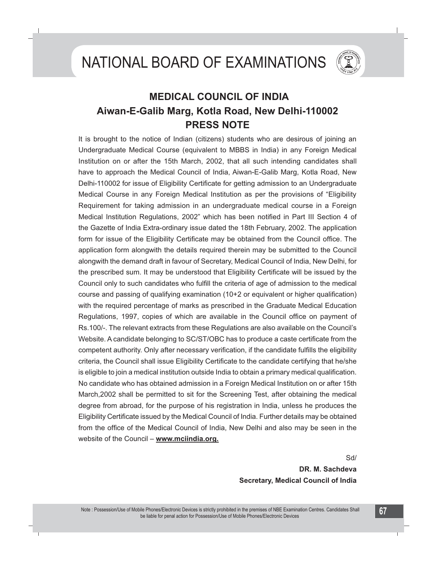

### **MEDICAL COUNCIL OF INDIA Aiwan-E-Galib Marg, Kotla Road, New Delhi-110002 PRESS NOTE**

It is brought to the notice of Indian (citizens) students who are desirous of joining an Undergraduate Medical Course (equivalent to MBBS in India) in any Foreign Medical Institution on or after the 15th March, 2002, that all such intending candidates shall have to approach the Medical Council of India, Aiwan-E-Galib Marg, Kotla Road, New Delhi-110002 for issue of Eligibility Certificate for getting admission to an Undergraduate Medical Course in any Foreign Medical Institution as per the provisions of "Eligibility Requirement for taking admission in an undergraduate medical course in a Foreign Medical Institution Regulations, 2002" which has been notified in Part III Section 4 of the Gazette of India Extra-ordinary issue dated the 18th February, 2002. The application form for issue of the Eligibility Certificate may be obtained from the Council office. The application form alongwith the details required therein may be submitted to the Council alongwith the demand draft in favour of Secretary, Medical Council of India, New Delhi, for the prescribed sum. It may be understood that Eligibility Certificate will be issued by the Council only to such candidates who fulfill the criteria of age of admission to the medical course and passing of qualifying examination  $(10+2)$  or equivalent or higher qualification) with the required percentage of marks as prescribed in the Graduate Medical Education Requlations, 1997, copies of which are available in the Council office on payment of Rs.100/-. The relevant extracts from these Regulations are also available on the Council's Website. A candidate belonging to SC/ST/OBC has to produce a caste certificate from the competent authority. Only after necessary verification, if the candidate fulfills the eligibility criteria, the Council shall issue Eligibility Certificate to the candidate certifying that he/she is eligible to join a medical institution outside India to obtain a primary medical qualification. No candidate who has obtained admission in a Foreign Medical Institution on or after 15th March,2002 shall be permitted to sit for the Screening Test, after obtaining the medical degree from abroad, for the purpose of his registration in India, unless he produces the Eligibility Certificate issued by the Medical Council of India. Further details may be obtained from the office of the Medical Council of India, New Delhi and also may be seen in the website of the Council - www.mciindia.org.

Sd/

**DR. M. Sachdeva Secretary, Medical Council of India**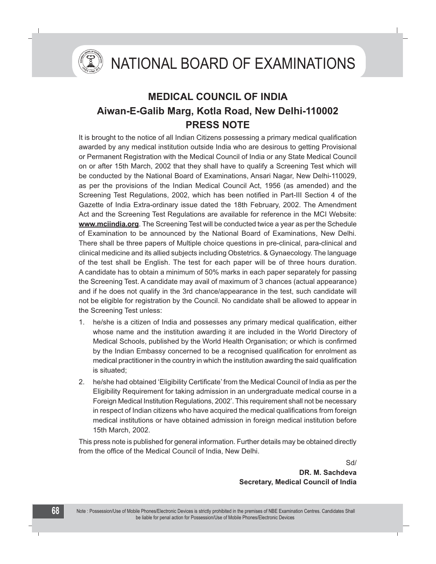### **MEDICAL COUNCIL OF INDIA Aiwan-E-Galib Marg, Kotla Road, New Delhi-110002 PRESS NOTE**

It is brought to the notice of all Indian Citizens possessing a primary medical qualification awarded by any medical institution outside India who are desirous to getting Provisional or Permanent Registration with the Medical Council of India or any State Medical Council on or after 15th March, 2002 that they shall have to qualify a Screening Test which will be conducted by the National Board of Examinations, Ansari Nagar, New Delhi-110029, as per the provisions of the Indian Medical Council Act, 1956 (as amended) and the Screening Test Regulations, 2002, which has been notified in Part-III Section 4 of the Gazette of India Extra-ordinary issue dated the 18th February, 2002. The Amendment Act and the Screening Test Regulations are available for reference in the MCI Website: **www.mciindia.org**. The Screening Test will be conducted twice a year as per the Schedule of Examination to be announced by the National Board of Examinations, New Delhi. There shall be three papers of Multiple choice questions in pre-clinical, para-clinical and clinical medicine and its allied subjects including Obstetrics. & Gynaecology. The language of the test shall be English. The test for each paper will be of three hours duration. A candidate has to obtain a minimum of 50% marks in each paper separately for passing the Screening Test. A candidate may avail of maximum of 3 chances (actual appearance) and if he does not qualify in the 3rd chance/appearance in the test, such candidate will not be eligible for registration by the Council. No candidate shall be allowed to appear in the Screening Test unless:

- 1. he/she is a citizen of India and possesses any primary medical qualification, either whose name and the institution awarding it are included in the World Directory of Medical Schools, published by the World Health Organisation; or which is confirmed by the Indian Embassy concerned to be a recognised qualification for enrolment as medical practitioner in the country in which the institution awarding the said qualification is situated;
- 2. he/she had obtained 'Eligibility Certificate' from the Medical Council of India as per the Eligibility Requirement for taking admission in an undergraduate medical course in a Foreign Medical Institution Regulations, 2002'. This requirement shall not be necessary in respect of Indian citizens who have acquired the medical qualifications from foreign medical institutions or have obtained admission in foreign medical institution before 15th March, 2002.

This press note is published for general information. Further details may be obtained directly from the office of the Medical Council of India, New Delhi.

Sd/

**DR. M. Sachdeva Secretary, Medical Council of India**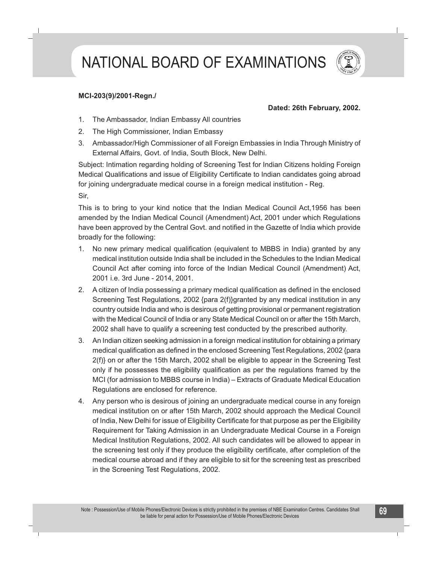

#### **MCI-203(9)/2001-Regn./**

#### **Dated: 26th February, 2002.**

- 1. The Ambassador, Indian Embassy All countries
- 2. The High Commissioner, Indian Embassy
- 3. Ambassador/High Commissioner of all Foreign Embassies in India Through Ministry of External Affairs, Govt. of India, South Block, New Delhi.

Subject: Intimation regarding holding of Screening Test for Indian Citizens holding Foreign Medical Qualifications and issue of Eligibility Certificate to Indian candidates going abroad for joining undergraduate medical course in a foreign medical institution - Reg.

Sir,

This is to bring to your kind notice that the Indian Medical Council Act,1956 has been amended by the Indian Medical Council (Amendment) Act, 2001 under which Regulations have been approved by the Central Govt. and notified in the Gazette of India which provide broadly for the following:

- 1. No new primary medical qualification (equivalent to MBBS in India) granted by any medical institution outside India shall be included in the Schedules to the Indian Medical Council Act after coming into force of the Indian Medical Council (Amendment) Act, 2001 i.e. 3rd June - 2014, 2001.
- 2. A citizen of India possessing a primary medical qualification as defined in the enclosed Screening Test Regulations, 2002 {para 2(f)}granted by any medical institution in any country outside India and who is desirous of getting provisional or permanent registration with the Medical Council of India or any State Medical Council on or after the 15th March, 2002 shall have to qualify a screening test conducted by the prescribed authority.
- 3. An Indian citizen seeking admission in a foreign medical institution for obtaining a primary medical qualification as defined in the enclosed Screening Test Regulations, 2002 {para 2(f)} on or after the 15th March, 2002 shall be eligible to appear in the Screening Test only if he possesses the eligibility qualification as per the regulations framed by the MCI (for admission to MBBS course in India) – Extracts of Graduate Medical Education Regulations are enclosed for reference.
- 4. Any person who is desirous of joining an undergraduate medical course in any foreign medical institution on or after 15th March, 2002 should approach the Medical Council of India, New Delhi for issue of Eligibility Certificate for that purpose as per the Eligibility Requirement for Taking Admission in an Undergraduate Medical Course in a Foreign Medical Institution Regulations, 2002. All such candidates will be allowed to appear in the screening test only if they produce the eligibility certificate, after completion of the medical course abroad and if they are eligible to sit for the screening test as prescribed in the Screening Test Regulations, 2002.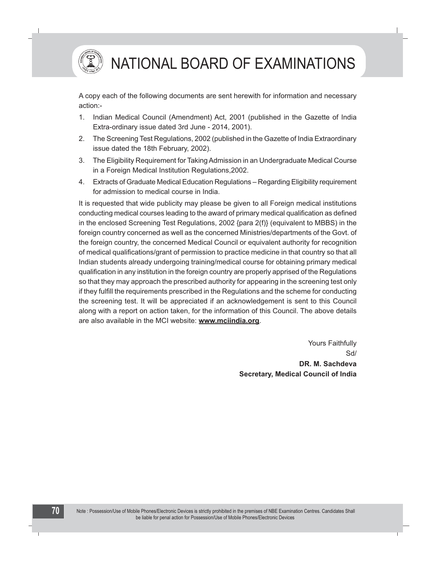

A copy each of the following documents are sent herewith for information and necessary action:-

- 1. Indian Medical Council (Amendment) Act, 2001 (published in the Gazette of India Extra-ordinary issue dated 3rd June - 2014, 2001).
- 2. The Screening Test Regulations, 2002 (published in the Gazette of India Extraordinary issue dated the 18th February, 2002).
- 3. The Eligibility Requirement for Taking Admission in an Undergraduate Medical Course in a Foreign Medical Institution Regulations,2002.
- 4. Extracts of Graduate Medical Education Regulations Regarding Eligibility requirement for admission to medical course in India.

It is requested that wide publicity may please be given to all Foreign medical institutions conducting medical courses leading to the award of primary medical qualification as defined in the enclosed Screening Test Regulations, 2002 {para 2(f)} (equivalent to MBBS) in the foreign country concerned as well as the concerned Ministries/departments of the Govt. of the foreign country, the concerned Medical Council or equivalent authority for recognition of medical qualifications/grant of permission to practice medicine in that country so that all Indian students already undergoing training/medical course for obtaining primary medical qualification in any institution in the foreign country are properly apprised of the Regulations so that they may approach the prescribed authority for appearing in the screening test only if they fulfill the requirements prescribed in the Regulations and the scheme for conducting the screening test. It will be appreciated if an acknowledgement is sent to this Council along with a report on action taken, for the information of this Council. The above details are also available in the MCI website: **www.mciindia.org**.

> Yours Faithfully Sd/ **DR. M. Sachdeva Secretary, Medical Council of India**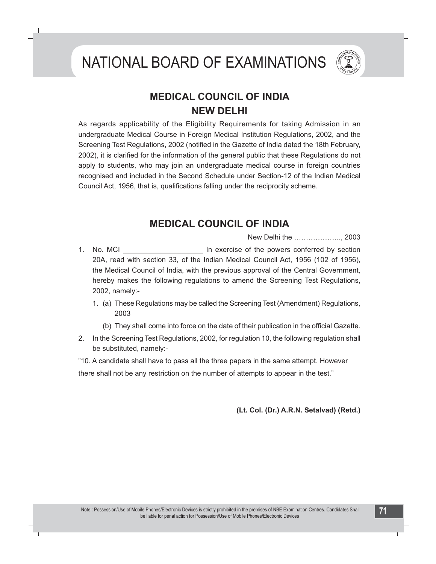

### **MEDICAL COUNCIL OF INDIA NEW DELHI**

As regards applicability of the Eligibility Requirements for taking Admission in an undergraduate Medical Course in Foreign Medical Institution Regulations, 2002, and the Screening Test Regulations, 2002 (notified in the Gazette of India dated the 18th February, 2002), it is clarified for the information of the general public that these Regulations do not apply to students, who may join an undergraduate medical course in foreign countries recognised and included in the Second Schedule under Section-12 of the Indian Medical Council Act, 1956, that is, qualifications falling under the reciprocity scheme.

### **MEDICAL COUNCIL OF INDIA**

New Delhi the ……………….., 2003

- 1. No. MCI **I I I I** exercise of the powers conferred by section 20A, read with section 33, of the Indian Medical Council Act, 1956 (102 of 1956), the Medical Council of India, with the previous approval of the Central Government, hereby makes the following regulations to amend the Screening Test Regulations, 2002, namely:-
	- 1. (a) These Regulations may be called the Screening Test (Amendment) Regulations, 2003
		- (b) They shall come into force on the date of their publication in the official Gazette.
- 2. In the Screening Test Regulations, 2002, for regulation 10, the following regulation shall be substituted, namely:-

"10. A candidate shall have to pass all the three papers in the same attempt. However there shall not be any restriction on the number of attempts to appear in the test."

**(Lt. Col. (Dr.) A.R.N. Setalvad) (Retd.)**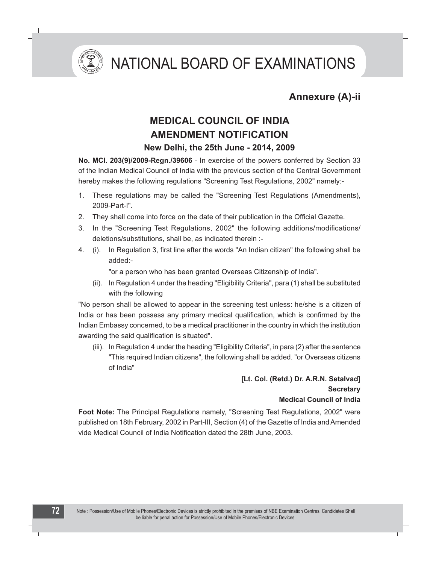

## **Annexure (A)-ii**

## **MEDICAL COUNCIL OF INDIA AMENDMENT NOTIFICATION New Delhi, the 25th June - 2014, 2009**

**No. MCI. 203(9)/2009-Regn./39606** - In exercise of the powers conferred by Section 33 of the Indian Medical Council of India with the previous section of the Central Government hereby makes the following regulations "Screening Test Regulations, 2002" namely:-

- 1. These regulations may be called the "Screening Test Regulations (Amendments), 2009-Part-I".
- 2. They shall come into force on the date of their publication in the Official Gazette.
- 3. In the "Screening Test Regulations, 2002" the following additions/modifications/ deletions/substitutions, shall be, as indicated therein :-
- 4. (i). In Regulation 3, first line after the words "An Indian citizen" the following shall be added:-

"or a person who has been granted Overseas Citizenship of India".

(ii). In Regulation 4 under the heading "Eligibility Criteria", para (1) shall be substituted with the following

"No person shall be allowed to appear in the screening test unless: he/she is a citizen of India or has been possess any primary medical qualification, which is confirmed by the Indian Embassy concerned, to be a medical practitioner in the country in which the institution awarding the said qualification is situated".

(iii). In Regulation 4 under the heading "Eligibility Criteria", in para (2) after the sentence "This required Indian citizens", the following shall be added. "or Overseas citizens of India"

#### **[Lt. Col. (Retd.) Dr. A.R.N. Setalvad] Secretary Medical Council of India**

**Foot Note:** The Principal Regulations namely, "Screening Test Regulations, 2002" were published on 18th February, 2002 in Part-III, Section (4) of the Gazette of India and Amended vide Medical Council of India Notification dated the 28th June, 2003.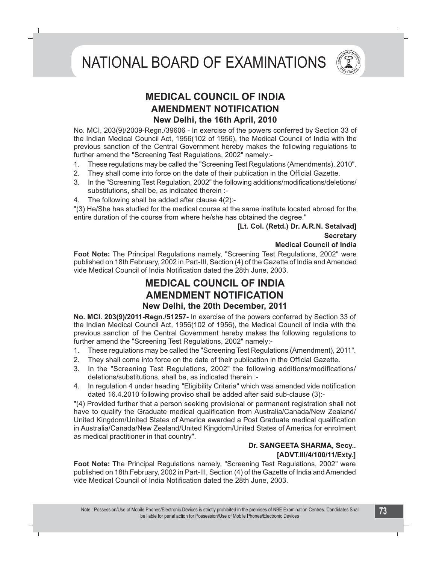

#### **MEDICAL COUNCIL OF INDIA AMENDMENT NOTIFICATION New Delhi, the 16th April, 2010**

No. MCI, 203(9)/2009-Regn./39606 - In exercise of the powers conferred by Section 33 of the Indian Medical Council Act, 1956(102 of 1956), the Medical Council of India with the previous sanction of the Central Government hereby makes the following regulations to further amend the "Screening Test Regulations, 2002" namely:-

- 1. These regulations may be called the "Screening Test Regulations (Amendments), 2010".
- 2. They shall come into force on the date of their publication in the Official Gazette.
- 3. In the "Screening Test Regulation, 2002" the following additions/modifications/deletions/ substitutions, shall be, as indicated therein :-
- 4. The following shall be added after clause 4(2):-

"(3) He/She has studied for the medical course at the same institute located abroad for the entire duration of the course from where he/she has obtained the degree."

#### **[Lt. Col. (Retd.) Dr. A.R.N. Setalvad] Secretary**

#### **Medical Council of India**

**Foot Note:** The Principal Regulations namely, "Screening Test Regulations, 2002" were published on 18th February, 2002 in Part-III, Section (4) of the Gazette of India and Amended vide Medical Council of India Notification dated the 28th June, 2003.

#### **MEDICAL COUNCIL OF INDIA AMENDMENT NOTIFICATION New Delhi, the 20th December, 2011**

**No. MCI. 203(9)/2011-Regn./51257-** In exercise of the powers conferred by Section 33 of the Indian Medical Council Act, 1956(102 of 1956), the Medical Council of India with the previous sanction of the Central Government hereby makes the following regulations to further amend the "Screening Test Regulations, 2002" namely:-

- 1. These regulations may be called the "Screening Test Regulations (Amendment), 2011".
- 2. They shall come into force on the date of their publication in the Official Gazette.
- 3. In the "Screening Test Regulations, 2002" the following additions/modifications/ deletions/substitutions, shall be, as indicated therein :-
- 4. In regulation 4 under heading "Eligibility Criteria" which was amended vide notification dated 16.4.2010 following proviso shall be added after said sub-clause (3):-

"(4) Provided further that a person seeking provisional or permanent registration shall not have to qualify the Graduate medical qualification from Australia/Canada/New Zealand/ United Kingdom/United States of America awarded a Post Graduate medical qualification in Australia/Canada/New Zealand/United Kingdom/United States of America for enrolment as medical practitioner in that country".

#### **Dr. SANGEETA SHARMA, Secy.. [ADVT.III/4/100/11/Exty.]**

**Foot Note:** The Principal Regulations namely, "Screening Test Regulations, 2002" were published on 18th February, 2002 in Part-III, Section (4) of the Gazette of India and Amended vide Medical Council of India Notification dated the 28th June, 2003.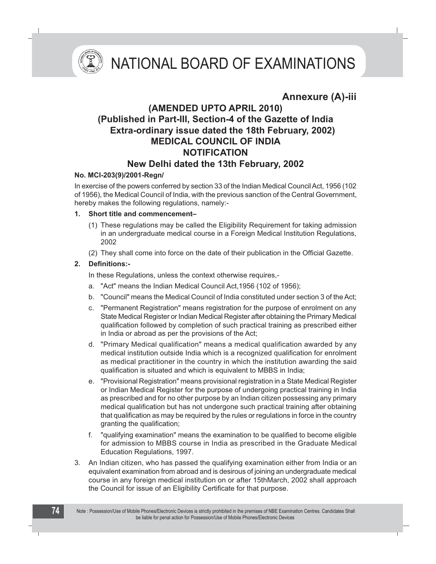

#### **Annexure (A)-iii**

#### **(AMENDED UPTO APRIL 2010) (Published in Part-III, Section-4 of the Gazette of India Extra-ordinary issue dated the 18th February, 2002) MEDICAL COUNCIL OF INDIA NOTIFICATION New Delhi dated the 13th February, 2002**

#### **No. MCI-203(9)/2001-Regn/**

In exercise of the powers conferred by section 33 of the Indian Medical Council Act, 1956 (102 of 1956), the Medical Council of India, with the previous sanction of the Central Government, hereby makes the following regulations, namely:-

#### **1. Short title and commencement–**

- (1) These regulations may be called the Eligibility Requirement for taking admission in an undergraduate medical course in a Foreign Medical Institution Regulations, 2002
- (2) They shall come into force on the date of their publication in the Official Gazette.

#### 2. Definitions:-

In these Regulations, unless the context otherwise requires,-

- a. "Act" means the Indian Medical Council Act,1956 (102 of 1956);
- b. "Council" means the Medical Council of India constituted under section 3 of the Act;
- c. "Permanent Registration" means registration for the purpose of enrolment on any State Medical Register or Indian Medical Register after obtaining the Primary Medical qualification followed by completion of such practical training as prescribed either in India or abroad as per the provisions of the Act;
- d. "Primary Medical qualification" means a medical qualification awarded by any medical institution outside India which is a recognized qualification for enrolment as medical practitioner in the country in which the institution awarding the said qualification is situated and which is equivalent to MBBS in India;
- e. "Provisional Registration" means provisional registration in a State Medical Register or Indian Medical Register for the purpose of undergoing practical training in India as prescribed and for no other purpose by an Indian citizen possessing any primary medical qualification but has not undergone such practical training after obtaining that qualification as may be required by the rules or regulations in force in the country granting the qualification;
- f. "qualifying examination" means the examination to be qualified to become eligible for admission to MBBS course in India as prescribed in the Graduate Medical Education Regulations, 1997.
- 3. An Indian citizen, who has passed the qualifying examination either from India or an equivalent examination from abroad and is desirous of joining an undergraduate medical course in any foreign medical institution on or after 15thMarch, 2002 shall approach the Council for issue of an Eligibility Certificate for that purpose.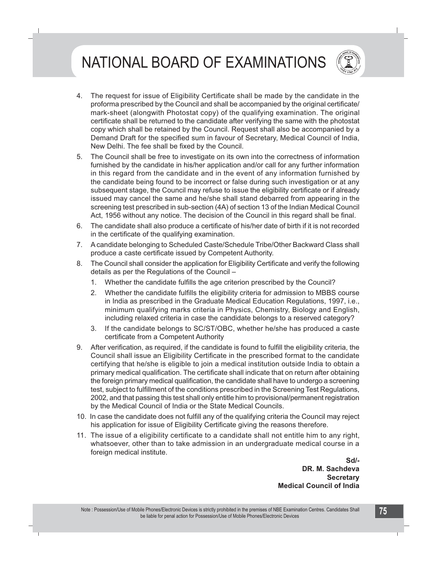

- 4. The request for issue of Eligibility Certificate shall be made by the candidate in the proforma prescribed by the Council and shall be accompanied by the original certificate/ mark-sheet (alongwith Photostat copy) of the qualifying examination. The original certificate shall be returned to the candidate after verifying the same with the photostat copy which shall be retained by the Council. Request shall also be accompanied by a Demand Draft for the specified sum in favour of Secretary, Medical Council of India, New Delhi. The fee shall be fixed by the Council.
- 5. The Council shall be free to investigate on its own into the correctness of information furnished by the candidate in his/her application and/or call for any further information in this regard from the candidate and in the event of any information furnished by the candidate being found to be incorrect or false during such investigation or at any subsequent stage, the Council may refuse to issue the eligibility certificate or if already issued may cancel the same and he/she shall stand debarred from appearing in the screening test prescribed in sub-section (4A) of section 13 of the Indian Medical Council Act, 1956 without any notice. The decision of the Council in this regard shall be final.
- 6. The candidate shall also produce a certificate of his/her date of birth if it is not recorded in the certificate of the qualifying examination.
- 7. A candidate belonging to Scheduled Caste/Schedule Tribe/Other Backward Class shall produce a caste certificate issued by Competent Authority.
- 8. The Council shall consider the application for Eligibility Certificate and verify the following details as per the Regulations of the Council  $-$ 
	- 1. Whether the candidate fulfills the age criterion prescribed by the Council?
	- 2. Whether the candidate fulfills the eligibility criteria for admission to MBBS course in India as prescribed in the Graduate Medical Education Regulations, 1997, i.e., minimum qualifying marks criteria in Physics, Chemistry, Biology and English, including relaxed criteria in case the candidate belongs to a reserved category?
	- 3. If the candidate belongs to SC/ST/OBC, whether he/she has produced a caste certificate from a Competent Authority
- 9. After verification, as required, if the candidate is found to fulfill the eligibility criteria, the Council shall issue an Eligibility Certificate in the prescribed format to the candidate certifying that he/she is eligible to join a medical institution outside India to obtain a primary medical qualification. The certificate shall indicate that on return after obtaining the foreign primary medical qualification, the candidate shall have to undergo a screening test, subject to fulfillment of the conditions prescribed in the Screening Test Regulations, 2002, and that passing this test shall only entitle him to provisional/permanent registration by the Medical Council of India or the State Medical Councils.
- 10. In case the candidate does not fulfill any of the qualifying criteria the Council may reject his application for issue of Eligibility Certificate giving the reasons therefore.
- 11. The issue of a eligibility certificate to a candidate shall not entitle him to any right, whatsoever, other than to take admission in an undergraduate medical course in a foreign medical institute.

**Sd/- DR. M. Sachdeva Secretary Medical Council of India**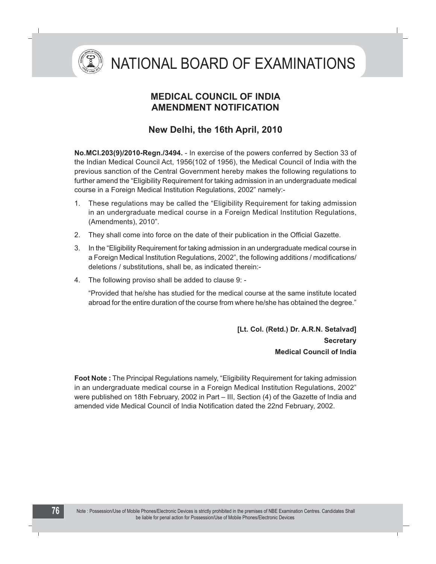

#### **MEDICAL COUNCIL OF INDIA AMENDMENT NOTIFICATION**

#### **New Delhi, the 16th April, 2010**

**No.MCI.203(9)/2010-Regn./3494.** - In exercise of the powers conferred by Section 33 of the Indian Medical Council Act, 1956(102 of 1956), the Medical Council of India with the previous sanction of the Central Government hereby makes the following regulations to further amend the "Eligibility Requirement for taking admission in an undergraduate medical course in a Foreign Medical Institution Regulations, 2002" namely:-

- 1. These regulations may be called the "Eligibility Requirement for taking admission in an undergraduate medical course in a Foreign Medical Institution Regulations,  $(Amendments)$ , 2010".
- 2. They shall come into force on the date of their publication in the Official Gazette.
- 3. In the "Eligibility Requirement for taking admission in an undergraduate medical course in a Foreign Medical Institution Regulations, 2002", the following additions / modifications/ deletions / substitutions, shall be, as indicated therein:-
- 4. The following proviso shall be added to clause 9: -

"Provided that he/she has studied for the medical course at the same institute located abroad for the entire duration of the course from where he/she has obtained the degree."

> **[Lt. Col. (Retd.) Dr. A.R.N. Setalvad] Secretary Medical Council of India**

**Foot Note :** The Principal Regulations namely, "Eligibility Requirement for taking admission in an undergraduate medical course in a Foreign Medical Institution Regulations, 2002" were published on 18th February, 2002 in Part  $-$  III, Section (4) of the Gazette of India and amended vide Medical Council of India Notification dated the 22nd February, 2002.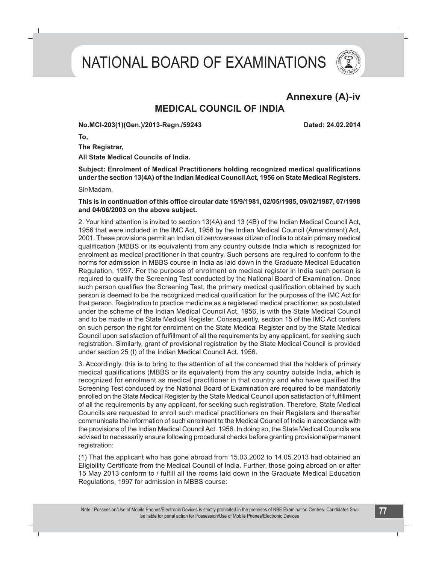

### **Annexure (A)-iv**

#### **MEDICAL COUNCIL OF INDIA**

**No.MCI-203(1)(Gen.)/2013-Regn./59243 Dated: 24.02.2014**

**To,**

**The Registrar,**

**All State Medical Councils of India.**

**Subject: Enrolment of Medical Practitioners holding recognized medical qualifications under the section 13(4A) of the Indian Medical Council Act, 1956 on State Medical Registers.**

Sir/Madam,

This is in continuation of this office circular date 15/9/1981, 02/05/1985, 09/02/1987, 07/1998 **and 04/06/2003 on the above subject.**

2. Your kind attention is invited to section 13(4A) and 13 (4B) of the Indian Medical Council Act, 1956 that were included in the IMC Act, 1956 by the Indian Medical Council (Amendment) Act, 2001. These provisions permit an Indian citizen/overseas citizen of India to obtain primary medical qualification (MBBS or its equivalent) from any country outside India which is recognized for enrolment as medical practitioner in that country. Such persons are required to conform to the norms for admission in MBBS course in India as laid down in the Graduate Medical Education Regulation, 1997. For the purpose of enrolment on medical register in India such person is required to qualify the Screening Test conducted by the National Board of Examination. Once such person qualifies the Screening Test, the primary medical qualification obtained by such person is deemed to be the recognized medical qualification for the purposes of the IMC Act for that person. Registration to practice medicine as a registered medical practitioner, as postulated under the scheme of the Indian Medical Council Act, 1956, is with the State Medical Council and to be made in the State Medical Register. Consequently, section 15 of the IMC Act confers on such person the right for enrolment on the State Medical Register and by the State Medical Council upon satisfaction of fulfillment of all the requirements by any applicant, for seeking such registration. Similarly, grant of provisional registration by the State Medical Council is provided under section 25 (I) of the Indian Medical Council Act. 1956.

3. Accordingly, this is to bring to the attention of all the concerned that the holders of primary medical qualifications (MBBS or its equivalent) from the any country outside India, which is recognized for enrolment as medical practitioner in that country and who have qualified the Screening Test conduced by the National Board of Examination are required to be mandatorily enrolled on the State Medical Register by the State Medical Council upon satisfaction of fulfillment of all the requirements by any applicant, for seeking such registration. Therefore, State Medical Councils are requested to enroll such medical practitioners on their Registers and thereafter communicate the information of such enrolment to the Medical Council of India in accordance with the provisions of the Indian Medical Council Act. 1956. In doing so, the State Medical Councils are advised to necessarily ensure following procedural checks before granting provisional/permanent registration:

(1) That the applicant who has gone abroad from 15.03.2002 to 14.05.2013 had obtained an Eligibility Certificate from the Medical Council of India. Further, those going abroad on or after 15 May 2013 conform to / fulfill all the rooms laid down in the Graduate Medical Education Regulations, 1997 for admission in MBBS course: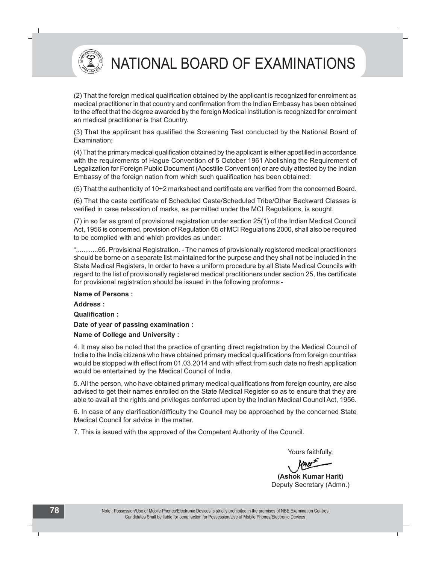

(2) That the foreign medical qualification obtained by the applicant is recognized for enrolment as medical practitioner in that country and confirmation from the Indian Embassy has been obtained to the effect that the degree awarded by the foreign Medical Institution is recognized for enrolment an medical practitioner is that Country.

(3) That the applicant has qualified the Screening Test conducted by the National Board of Examination;

(4) That the primary medical qualification obtained by the applicant is either apostilled in accordance with the requirements of Hague Convention of 5 October 1961 Abolishing the Requirement of Legalization for Foreign Public Document (Apostille Convention) or are duly attested by the Indian Embassy of the foreign nation from which such qualification has been obtained:

(5) That the authenticity of 10+2 marksheet and certificate are verified from the concerned Board.

(6) That the caste certificate of Scheduled Caste/Scheduled Tribe/Other Backward Classes is verified in case relaxation of marks, as permitted under the MCI Regulations, is sought.

(7) in so far as grant of provisional registration under section 25(1) of the Indian Medical Council Act, 1956 is concerned, provision of Regulation 65 of MCI Regulations 2000, shall also be required to be complied with and which provides as under:

"............65. Provisional Registration. - The names of provisionally registered medical practitioners should be borne on a separate list maintained for the purpose and they shall not be included in the State Medical Registers, In order to have a uniform procedure by all State Medical Councils with regard to the list of provisionally registered medical practitioners under section 25, the certificate for provisional registration should be issued in the following proforms:-

**Name of Persons :**

**Address :**

**Qualification:** 

**Date of year of passing examination :**

**Name of College and University :**

4. It may also be noted that the practice of granting direct registration by the Medical Council of India to the India citizens who have obtained primary medical qualifications from foreign countries would be stopped with effect from 01.03.2014 and with effect from such date no fresh application would be entertained by the Medical Council of India.

5. All the person, who have obtained primary medical qualifications from foreign country, are also advised to get their names enrolled on the State Medical Register so as to ensure that they are able to avail all the rights and privileges conferred upon by the Indian Medical Council Act, 1956.

6. In case of any clarification/difficulty the Council may be approached by the concerned State Medical Council for advice in the matter.

7. This is issued with the approved of the Competent Authority of the Council.

Yours faithfully,

**(Ashok Kumar Harit)** Deputy Secretary (Admn.)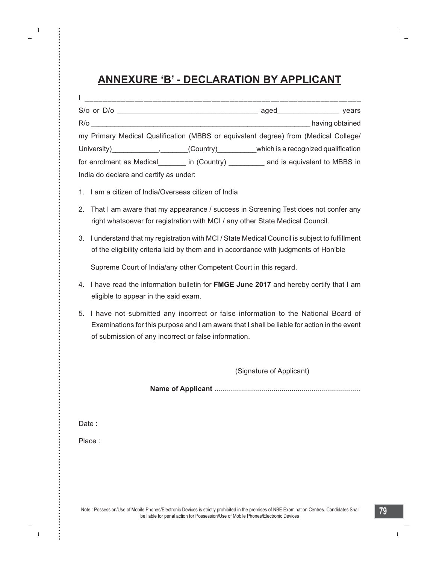## **ANNEXURE 'B' - DECLARATION BY APPLICANT**

|                                                                                     | aged | years                               |
|-------------------------------------------------------------------------------------|------|-------------------------------------|
| R/o                                                                                 |      | having obtained                     |
| my Primary Medical Qualification (MBBS or equivalent degree) from (Medical College/ |      |                                     |
| University) (Country)                                                               |      | which is a recognized qualification |
| for enrolment as Medical in (Country) and is equivalent to MBBS in                  |      |                                     |
| India do declare and certify as under:                                              |      |                                     |

- 1. I am a citizen of India/Overseas citizen of India
- 2. That I am aware that my appearance / success in Screening Test does not confer any right whatsoever for registration with MCI / any other State Medical Council.
- 3. I understand that my registration with MCI / State Medical Council is subject to fulfillment of the eligibility criteria laid by them and in accordance with judgments of Hon'ble

Supreme Court of India/any other Competent Court in this regard.

- 4. I have read the information bulletin for FMGE June 2017 and hereby certify that I am eligible to appear in the said exam.
- 5. I have not submitted any incorrect or false information to the National Board of Examinations for this purpose and I am aware that I shall be liable for action in the event of submission of any incorrect or false information.

(Signature of Applicant)

Date:

 $\mathbf{I}$ 

Place :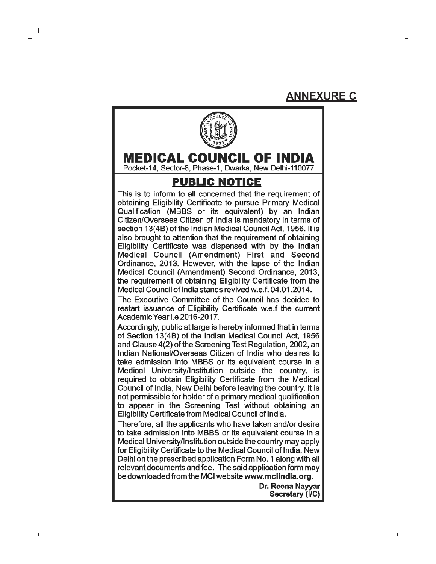### **ANNEXURE C**



### MEDICAL COUNCIL OF INDIA

Pocket-14, Sector-8, Phase-1, Dwarka, New Delhi-110077

### **PUBLIC NOTICE**

This is to inform to all concerned that the requirement of obtaining Eligibility Certificate to pursue Primary Medical Qualification (MBBS or its equivalent) by an Indian Citizen/Oversees Citizen of India is mandatory in terms of section 13(4B) of the Indian Medical Council Act, 1956. It is also brought to attention that the reguirement of obtaining Eligibility Certificate was dispensed with by the Indian Medical Council (Amendment) First and Second Ordinance, 2013. However, with the lapse of the Indian Medical Council (Amendment) Second Ordinance, 2013. the requirement of obtaining Eligibility Certificate from the Medical Council of India stands revived w.e.f. 04.01.2014.

The Executive Committee of the Council has decided to restart issuance of Eligibility Certificate w.e.f the current Academic Year i.e 2016-2017.

Accordingly, public at large is hereby informed that in terms of Section 13(4B) of the Indian Medical Council Act, 1956 and Clause 4(2) of the Screening Test Regulation, 2002, an Indian National/Overseas Citizen of India who desires to take admission into MBBS or its equivalent course in a Medical University/Institution outside the country, is required to obtain Eligibility Certificate from the Medical Council of India. New Delhi before leaving the country. It is not permissible for holder of a primary medical qualification to appear in the Screening Test without obtaining an Eligibility Certificate from Medical Council of India.

Therefore, all the applicants who have taken and/or desire to take admission into MBBS or its equivalent course in a Medical University/Institution outside the country may apply for Eligibility Certificate to the Medical Council of India, New Delhi on the prescribed application Form No. 1 along with all relevant documents and fee. The said application form may be downloaded from the MCI website www.mciindia.org.

> Dr. Reena Navvar Secretary (I/C)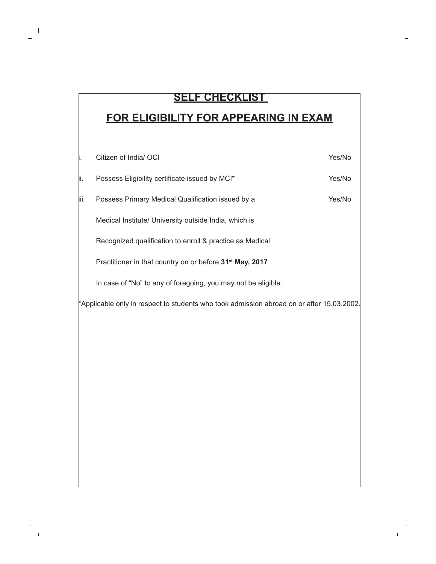## **SELF CHECKLIST**

## **FOR ELIGIBILITY FOR APPEARING IN EXAM**

|                                                                                           | Citizen of India/ OCI                                                | Yes/No |  |
|-------------------------------------------------------------------------------------------|----------------------------------------------------------------------|--------|--|
| ļi.                                                                                       | Possess Eligibility certificate issued by MCI*                       | Yes/No |  |
| ļii.                                                                                      | Possess Primary Medical Qualification issued by a                    | Yes/No |  |
|                                                                                           | Medical Institute/ University outside India, which is                |        |  |
|                                                                                           | Recognized qualification to enroll & practice as Medical             |        |  |
|                                                                                           | Practitioner in that country on or before 31 <sup>st</sup> May, 2017 |        |  |
|                                                                                           | In case of "No" to any of foregoing, you may not be eligible.        |        |  |
| *Applicable only in respect to students who took admission abroad on or after 15.03.2002. |                                                                      |        |  |
|                                                                                           |                                                                      |        |  |
|                                                                                           |                                                                      |        |  |
|                                                                                           |                                                                      |        |  |
|                                                                                           |                                                                      |        |  |
|                                                                                           |                                                                      |        |  |
|                                                                                           |                                                                      |        |  |
|                                                                                           |                                                                      |        |  |
|                                                                                           |                                                                      |        |  |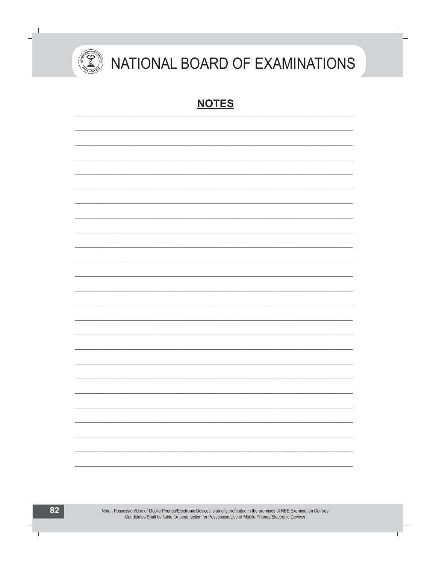

## **NOTES**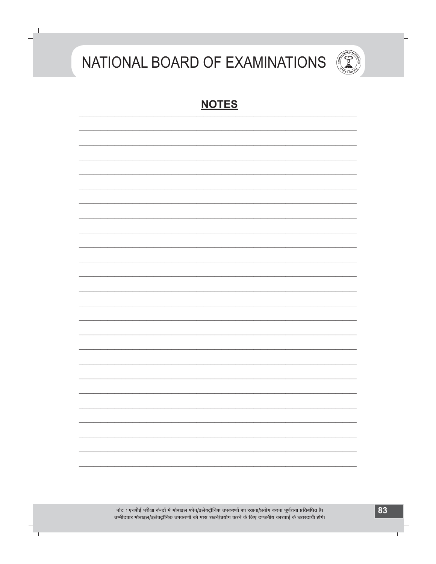

## **NOTES**

नोट : एनबीई परीक्षा केन्द्रों में मोबाइल फोन/इलेक्ट्रॉनिक उपकरणों का रखना/प्रयोग करना पूर्णतया प्रतिबंधित है। उम्मीदवार मोबाइल/इलेक्ट्रॉनिक उपकरणों को पास रखने/प्रयोग करने के लिए दण्डनीय कारवाई के उत्तरदायी होंगे।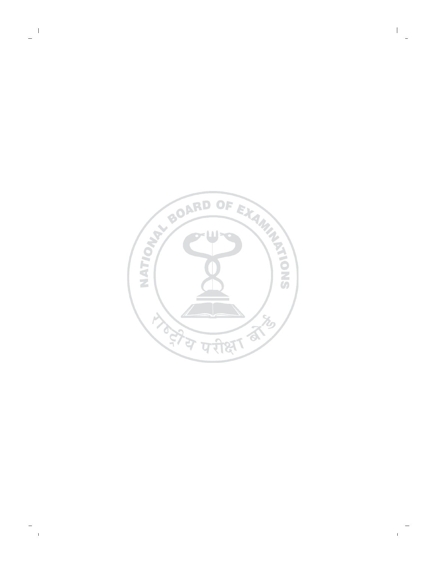

 $\equiv$ 

 $\bar{\phantom{a}}$ 

 $\overline{\phantom{m}}$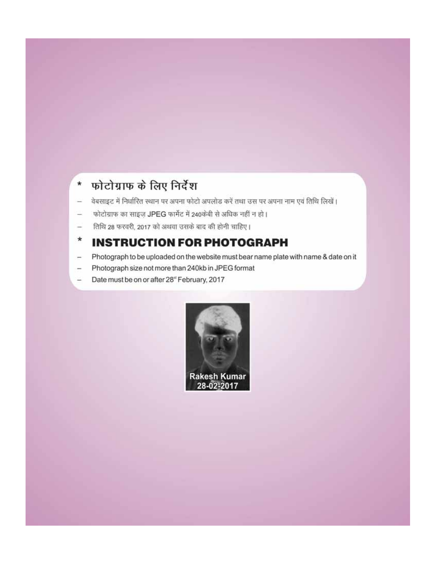#### फोटोग्राफ के लिए निर्देश  $\star$

- वेबसाइट में निर्धारित स्थान पर अपना फोटो अपलोड करें तथा उस पर अपना नाम एवं तिथि लिखें। z
- फोटोग्राफ का साइज JPEG फार्मेट में 240केबी से अधिक नहीं न हो।
- तिथि 28 फरवरी, 2017 को अथवा उसके बाद की होनी चाहिए। -

#### $\star$ **INSTRUCTION FOR PHOTOGRAPH**

- Photograph to be uploaded on the website must bear name plate with name & date on it  $\overline{\phantom{a}}$
- Photograph size not more than 240kb in JPEG format
- Date must be on or after 28<sup>et</sup> February, 2017 二